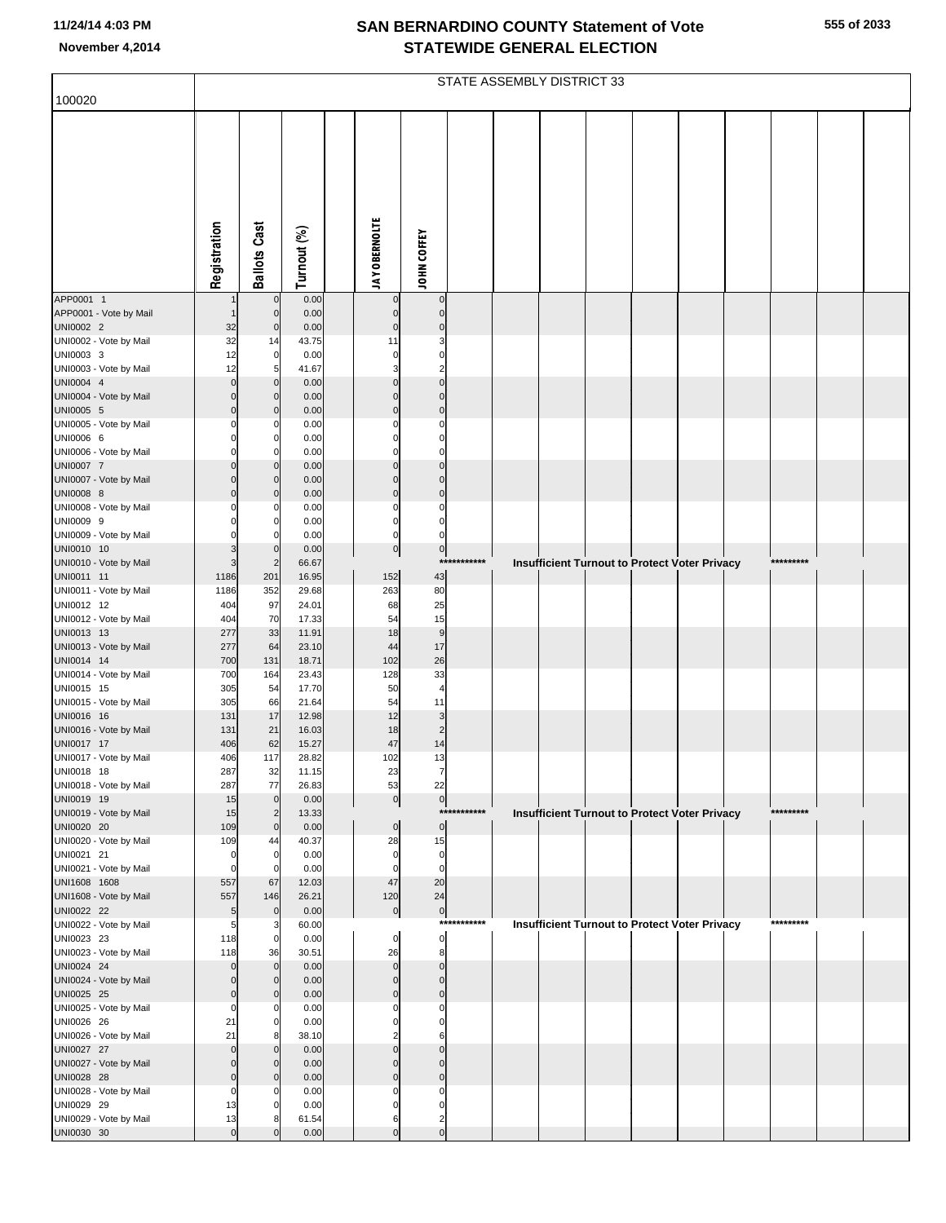|  | 555 of 2033 |
|--|-------------|
|  |             |

|                                      |                            | STATE ASSEMBLY DISTRICT 33    |                |                      |                        |                               |             |  |  |  |  |                                                      |  |           |  |
|--------------------------------------|----------------------------|-------------------------------|----------------|----------------------|------------------------|-------------------------------|-------------|--|--|--|--|------------------------------------------------------|--|-----------|--|
| 100020                               |                            |                               |                |                      |                        |                               |             |  |  |  |  |                                                      |  |           |  |
|                                      | Registration               | <b>Ballots Cast</b>           | Turnout (%)    | <b>JAY OBERNOLTE</b> |                        | <b>JOHN COFFEY</b>            |             |  |  |  |  |                                                      |  |           |  |
| APP0001 1                            |                            |                               | 0.00           |                      | $\mathbf 0$            | $\pmb{0}$                     |             |  |  |  |  |                                                      |  |           |  |
| APP0001 - Vote by Mail<br>UNI0002 2  | 32                         | $\mathsf{C}$<br>C             | 0.00<br>0.00   |                      | $\pmb{0}$<br>$\pmb{0}$ | $\pmb{0}$<br>$\pmb{0}$        |             |  |  |  |  |                                                      |  |           |  |
| UNI0002 - Vote by Mail               | 32                         | 14                            | 43.75          |                      | 11                     | 3                             |             |  |  |  |  |                                                      |  |           |  |
| UNI0003 3                            | 12                         | $\mathbf 0$                   | 0.00           |                      | 0                      | $\mathbf 0$                   |             |  |  |  |  |                                                      |  |           |  |
| UNI0003 - Vote by Mail<br>UNI0004 4  | 12<br>$\mathbf 0$          | 5<br>$\mathcal{C}$            | 41.67<br>0.00  |                      | 3<br>$\mathbf 0$       | $\overline{a}$<br>$\mathbf 0$ |             |  |  |  |  |                                                      |  |           |  |
| UNI0004 - Vote by Mail               | $\Omega$                   |                               | 0.00           |                      | $\mathbf 0$            | $\pmb{0}$                     |             |  |  |  |  |                                                      |  |           |  |
| UNI0005 5                            | $\overline{0}$             |                               | 0.00           |                      | $\mathbf 0$            | $\pmb{0}$                     |             |  |  |  |  |                                                      |  |           |  |
| UNI0005 - Vote by Mail               | $\Omega$                   |                               | 0.00           |                      | 0                      | $\mathbf 0$                   |             |  |  |  |  |                                                      |  |           |  |
| UNI0006 6<br>UNI0006 - Vote by Mail  | $\Omega$<br>$\Omega$       |                               | 0.00<br>0.00   |                      | $\Omega$<br>$\Omega$   | $\mathbf 0$<br>$\mathbf 0$    |             |  |  |  |  |                                                      |  |           |  |
| UNI0007 7                            | $\Omega$                   |                               | 0.00           |                      | $\pmb{0}$              | $\mathbf 0$                   |             |  |  |  |  |                                                      |  |           |  |
| UNI0007 - Vote by Mail               | $\Omega$                   | C                             | 0.00           |                      | $\mathbf 0$            | $\mathbf 0$                   |             |  |  |  |  |                                                      |  |           |  |
| UNI0008 8<br>UNI0008 - Vote by Mail  | $\Omega$<br>0              |                               | 0.00<br>0.00   |                      | $\mathbf 0$<br>0       | $\mathbf 0$<br>$\mathbf 0$    |             |  |  |  |  |                                                      |  |           |  |
| UNI0009 9                            | 0                          |                               | 0.00           |                      | $\mathbf 0$            | $\mathbf 0$                   |             |  |  |  |  |                                                      |  |           |  |
| UNI0009 - Vote by Mail               | $\Omega$                   |                               | 0.00           |                      | $\mathbf 0$            | $\mathbf 0$                   |             |  |  |  |  |                                                      |  |           |  |
| UNI0010 10                           | 3<br>3                     | $\mathcal{L}$<br>2            | 0.00<br>66.67  |                      | $\overline{0}$         | $\circ$                       | *********** |  |  |  |  |                                                      |  | ********* |  |
| UNI0010 - Vote by Mail<br>UNI0011 11 | 1186                       | 201                           | 16.95          |                      | 152                    | 43                            |             |  |  |  |  | <b>Insufficient Turnout to Protect Voter Privacy</b> |  |           |  |
| UNI0011 - Vote by Mail               | 1186                       | 352                           | 29.68          |                      | 263                    | 80                            |             |  |  |  |  |                                                      |  |           |  |
| UNI0012 12                           | 404                        | 97                            | 24.01          |                      | 68                     | 25                            |             |  |  |  |  |                                                      |  |           |  |
| UNI0012 - Vote by Mail<br>UNI0013 13 | 404<br>277                 | 70<br>33                      | 17.33<br>11.91 |                      | 54<br>18               | 15<br>$\boldsymbol{9}$        |             |  |  |  |  |                                                      |  |           |  |
| UNI0013 - Vote by Mail               | 277                        | 64                            | 23.10          |                      | 44                     | 17                            |             |  |  |  |  |                                                      |  |           |  |
| UNI0014 14                           | 700                        | 131                           | 18.71          |                      | 102                    | 26                            |             |  |  |  |  |                                                      |  |           |  |
| UNI0014 - Vote by Mail<br>UNI0015 15 | 700<br>305                 | 164<br>54                     | 23.43<br>17.70 |                      | 128<br>50              | 33<br>$\overline{\mathbf{4}}$ |             |  |  |  |  |                                                      |  |           |  |
| UNI0015 - Vote by Mail               | 305                        | 66                            | 21.64          |                      | 54                     | 11                            |             |  |  |  |  |                                                      |  |           |  |
| UNI0016 16                           | 131                        | 17                            | 12.98          |                      | 12                     | 3                             |             |  |  |  |  |                                                      |  |           |  |
| UNI0016 - Vote by Mail<br>UNI0017 17 | 131<br>406                 | 21<br>62                      | 16.03<br>15.27 |                      | 18<br>47               | $\overline{c}$<br>14          |             |  |  |  |  |                                                      |  |           |  |
| UNI0017 - Vote by Mail               | 406                        | 117                           | 28.82          |                      | 102                    | 13                            |             |  |  |  |  |                                                      |  |           |  |
| UNI0018 18                           | 287                        | 32                            | 11.15          |                      | 23                     | 7                             |             |  |  |  |  |                                                      |  |           |  |
| UNI0018 - Vote by Mail               | 287                        | 77                            | 26.83          |                      | 53                     | 22                            |             |  |  |  |  |                                                      |  |           |  |
| UNI0019 19<br>UNI0019 - Vote by Mail | 15<br>15                   | $\mathbf 0$<br>$\overline{2}$ | 0.00<br>13.33  |                      | 0                      | 0                             | *********** |  |  |  |  | <b>Insufficient Turnout to Protect Voter Privacy</b> |  | ********* |  |
| UNI0020 20                           | 109                        | $\mathbf 0$                   | 0.00           |                      | $\pmb{0}$              | $\overline{0}$                |             |  |  |  |  |                                                      |  |           |  |
| UNI0020 - Vote by Mail               | 109                        | 44                            | 40.37          |                      | 28                     | 15                            |             |  |  |  |  |                                                      |  |           |  |
| UNI0021 21<br>UNI0021 - Vote by Mail | $\mathbf 0$<br>$\mathbf 0$ | $\mathbf 0$<br>$\mathcal{C}$  | 0.00<br>0.00   |                      | 0<br>0                 | $\mathbf 0$<br>$\mathbf 0$    |             |  |  |  |  |                                                      |  |           |  |
| UNI1608 1608                         | 557                        | 67                            | 12.03          |                      | 47                     | 20                            |             |  |  |  |  |                                                      |  |           |  |
| UNI1608 - Vote by Mail               | 557                        | 146                           | 26.21          |                      | 120                    | 24                            |             |  |  |  |  |                                                      |  |           |  |
| UNI0022 22<br>UNI0022 - Vote by Mail | 5<br>5                     | $\mathbf 0$<br>Э              | 0.00<br>60.00  |                      | $\pmb{0}$              | $\overline{0}$                | *********** |  |  |  |  | <b>Insufficient Turnout to Protect Voter Privacy</b> |  | ********* |  |
| UNI0023 23                           | 118                        | $\mathbf 0$                   | 0.00           |                      | 0                      | $\overline{0}$                |             |  |  |  |  |                                                      |  |           |  |
| UNI0023 - Vote by Mail               | 118                        | 36                            | 30.51          |                      | 26                     | 8                             |             |  |  |  |  |                                                      |  |           |  |
| UNI0024 24<br>UNI0024 - Vote by Mail | $\mathbf 0$<br>$\mathbf 0$ | $\mathsf{C}$                  | 0.00<br>0.00   |                      | $\pmb{0}$<br>$\pmb{0}$ | $\mathbf 0$<br>$\mathbf 0$    |             |  |  |  |  |                                                      |  |           |  |
| UNI0025 25                           | $\overline{0}$             |                               | 0.00           |                      | $\pmb{0}$              | $\mathbf 0$                   |             |  |  |  |  |                                                      |  |           |  |
| UNI0025 - Vote by Mail               | $\mathbf 0$                |                               | 0.00           |                      |                        | $\mathbf 0$                   |             |  |  |  |  |                                                      |  |           |  |
| UNI0026 26<br>UNI0026 - Vote by Mail | 21<br>21                   |                               | 0.00<br>38.10  |                      | $\Omega$               | $\mathbf 0$<br>6              |             |  |  |  |  |                                                      |  |           |  |
| UNI0027 27                           | $\mathbf 0$                |                               | 0.00           |                      | $\Omega$               | $\mathbf 0$                   |             |  |  |  |  |                                                      |  |           |  |
| UNI0027 - Vote by Mail               | $\Omega$                   |                               | 0.00           |                      | $\Omega$               | $\mathbf 0$                   |             |  |  |  |  |                                                      |  |           |  |
| UNI0028 28                           | $\overline{0}$             |                               | 0.00           |                      | $\mathbf 0$            | $\mathbf 0$                   |             |  |  |  |  |                                                      |  |           |  |
| UNI0028 - Vote by Mail<br>UNI0029 29 | $\mathbf 0$<br>13          |                               | 0.00<br>0.00   |                      | $\Omega$<br>$\Omega$   | $\mathbf 0$<br>$\mathbf 0$    |             |  |  |  |  |                                                      |  |           |  |
| UNI0029 - Vote by Mail               | 13                         |                               | 61.54          |                      | 6                      | $\overline{c}$                |             |  |  |  |  |                                                      |  |           |  |
| UNI0030 30                           | $\mathbf 0$                |                               | 0.00           |                      | $\mathbf 0$            | $\mathbf 0$                   |             |  |  |  |  |                                                      |  |           |  |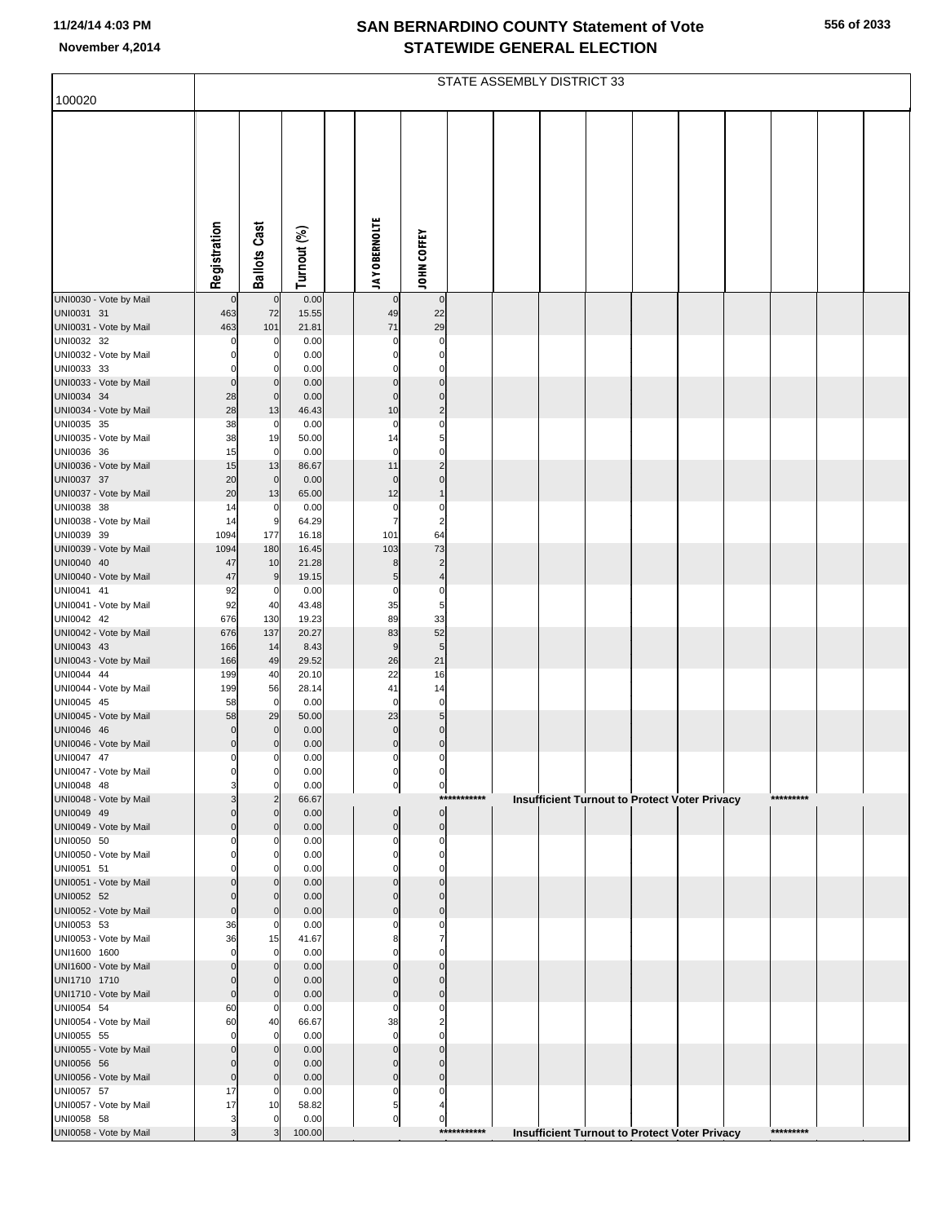|  | 556 of 2033 |
|--|-------------|
|  |             |

|                                      |                                  | STATE ASSEMBLY DISTRICT 33 |                |  |                      |                               |             |  |  |  |  |                                               |           |  |
|--------------------------------------|----------------------------------|----------------------------|----------------|--|----------------------|-------------------------------|-------------|--|--|--|--|-----------------------------------------------|-----------|--|
| 100020                               |                                  |                            |                |  |                      |                               |             |  |  |  |  |                                               |           |  |
|                                      |                                  |                            |                |  |                      |                               |             |  |  |  |  |                                               |           |  |
|                                      |                                  |                            |                |  |                      |                               |             |  |  |  |  |                                               |           |  |
|                                      |                                  |                            |                |  |                      |                               |             |  |  |  |  |                                               |           |  |
|                                      |                                  |                            |                |  |                      |                               |             |  |  |  |  |                                               |           |  |
|                                      |                                  |                            |                |  |                      |                               |             |  |  |  |  |                                               |           |  |
|                                      |                                  |                            |                |  |                      |                               |             |  |  |  |  |                                               |           |  |
|                                      |                                  |                            |                |  |                      |                               |             |  |  |  |  |                                               |           |  |
|                                      |                                  |                            |                |  |                      |                               |             |  |  |  |  |                                               |           |  |
|                                      | Registration                     | <b>Ballots Cast</b>        | Turnout (%)    |  | <b>JAY OBERNOLTE</b> | <b>JOHN COFFEY</b>            |             |  |  |  |  |                                               |           |  |
| UNI0030 - Vote by Mail               | $\overline{0}$                   | $\pmb{0}$                  | 0.00           |  | $\mathbf 0$          | $\mathbf 0$                   |             |  |  |  |  |                                               |           |  |
| UNI0031 31                           | 463                              | 72                         | 15.55          |  | 49                   | 22                            |             |  |  |  |  |                                               |           |  |
| UNI0031 - Vote by Mail               | 463                              | 101                        | 21.81          |  | 71                   | 29                            |             |  |  |  |  |                                               |           |  |
| UNI0032 32                           | 0<br>$\Omega$                    | 0                          | 0.00           |  | 0                    | 0                             |             |  |  |  |  |                                               |           |  |
| UNI0032 - Vote by Mail<br>UNI0033 33 | $\mathbf{0}$                     | 0<br>0                     | 0.00<br>0.00   |  | 0<br>0               | 0<br>0                        |             |  |  |  |  |                                               |           |  |
| UNI0033 - Vote by Mail               | $\overline{0}$                   | $\mathbf 0$                | 0.00           |  | $\Omega$             | $\mathbf 0$                   |             |  |  |  |  |                                               |           |  |
| UNI0034 34                           | 28                               | $\mathbf 0$                | 0.00           |  | $\Omega$             | 0                             |             |  |  |  |  |                                               |           |  |
| UNI0034 - Vote by Mail<br>UNI0035 35 | 28<br>38                         | 13<br>0                    | 46.43<br>0.00  |  | 10<br>0              | $\overline{a}$<br>0           |             |  |  |  |  |                                               |           |  |
| UNI0035 - Vote by Mail               | 38                               | 19                         | 50.00          |  | 14                   | 5                             |             |  |  |  |  |                                               |           |  |
| UNI0036 36                           | 15                               | $\mathbf 0$                | 0.00           |  | $\mathbf 0$          | 0                             |             |  |  |  |  |                                               |           |  |
| UNI0036 - Vote by Mail<br>UNI0037 37 | 15<br>20                         | 13<br>$\pmb{0}$            | 86.67<br>0.00  |  | 11<br>$\mathbf 0$    | $\overline{2}$<br>$\mathbf 0$ |             |  |  |  |  |                                               |           |  |
| UNI0037 - Vote by Mail               | 20                               | 13                         | 65.00          |  | 12                   | $\mathbf{1}$                  |             |  |  |  |  |                                               |           |  |
| UNI0038 38                           | 14                               | 0                          | 0.00           |  | $\mathbf 0$          | 0                             |             |  |  |  |  |                                               |           |  |
| UNI0038 - Vote by Mail<br>UNI0039 39 | 14<br>1094                       | 9<br>177                   | 64.29<br>16.18 |  | 7<br>101             | $\overline{\mathbf{c}}$<br>64 |             |  |  |  |  |                                               |           |  |
| UNI0039 - Vote by Mail               | 1094                             | 180                        | 16.45          |  | 103                  | 73                            |             |  |  |  |  |                                               |           |  |
| UNI0040 40                           | 47                               | 10                         | 21.28          |  | 8                    | $\overline{c}$                |             |  |  |  |  |                                               |           |  |
| UNI0040 - Vote by Mail               | 47                               | 9                          | 19.15          |  | $\sqrt{5}$           | $\overline{\mathbf{r}}$       |             |  |  |  |  |                                               |           |  |
| UNI0041 41<br>UNI0041 - Vote by Mail | 92<br>92                         | 0<br>40                    | 0.00<br>43.48  |  | 0<br>35              | $\pmb{0}$<br>5                |             |  |  |  |  |                                               |           |  |
| UNI0042 42                           | 676                              | 130                        | 19.23          |  | 89                   | 33                            |             |  |  |  |  |                                               |           |  |
| UNI0042 - Vote by Mail               | 676                              | 137                        | 20.27          |  | 83                   | 52                            |             |  |  |  |  |                                               |           |  |
| UNI0043 43<br>UNI0043 - Vote by Mail | 166<br>166                       | 14<br>49                   | 8.43<br>29.52  |  | 9<br>26              | $\overline{5}$<br>21          |             |  |  |  |  |                                               |           |  |
| UNI0044 44                           | 199                              | 40                         | 20.10          |  | 22                   | 16                            |             |  |  |  |  |                                               |           |  |
| UNI0044 - Vote by Mail               | 199                              | 56                         | 28.14          |  | 41                   | 14                            |             |  |  |  |  |                                               |           |  |
| UNI0045 45<br>UNI0045 - Vote by Mail | 58<br>58                         | $\mathbf 0$<br>29          | 0.00<br>50.00  |  | $\mathbf 0$<br>23    | $\pmb{0}$<br>$\overline{5}$   |             |  |  |  |  |                                               |           |  |
| UNI0046 46                           | $\overline{0}$                   | $\mathbf 0$                | 0.00           |  | $\mathbf 0$          | $\mathbf 0$                   |             |  |  |  |  |                                               |           |  |
| UNI0046 - Vote by Mail               | $\overline{0}$                   | 0                          | 0.00           |  | $\pmb{0}$            | $\mathbf 0$                   |             |  |  |  |  |                                               |           |  |
| UNI0047 47<br>UNI0047 - Vote by Mail | $\mathbf{0}$<br>0                | $\mathbf 0$<br>0           | 0.00<br>0.00   |  | $\pmb{0}$<br>0       | 0<br>0                        |             |  |  |  |  |                                               |           |  |
| UNI0048 48                           | 3                                | 0                          | 0.00           |  | 이                    | $\overline{0}$                |             |  |  |  |  |                                               |           |  |
| UNI0048 - Vote by Mail               | 3                                | $\overline{2}$             | 66.67          |  |                      |                               | *********** |  |  |  |  | Insufficient Turnout to Protect Voter Privacy | ********* |  |
| UNI0049 49<br>UNI0049 - Vote by Mail | $\overline{0}$<br>$\overline{0}$ | $\mathbf 0$<br>$\mathbf 0$ | 0.00<br>0.00   |  | 0<br>0               | 0<br>$\mathbf 0$              |             |  |  |  |  |                                               |           |  |
| UNI0050 50                           | $\mathbf{0}$                     | 0                          | 0.00           |  | 0                    | 0                             |             |  |  |  |  |                                               |           |  |
| UNI0050 - Vote by Mail               | $\Omega$                         | 0                          | 0.00           |  | 0                    | 0                             |             |  |  |  |  |                                               |           |  |
| UNI0051 51<br>UNI0051 - Vote by Mail | $\Omega$<br>$\Omega$             | 0<br>$\Omega$              | 0.00<br>0.00   |  | n<br>U               | 0<br>$\Omega$                 |             |  |  |  |  |                                               |           |  |
| UNI0052 52                           | $\Omega$                         | $\mathbf 0$                | 0.00           |  | 0                    | $\mathbf{0}$                  |             |  |  |  |  |                                               |           |  |
| UNI0052 - Vote by Mail               | $\overline{0}$                   | $\mathbf 0$                | 0.00           |  | $\Omega$             | $\mathbf 0$                   |             |  |  |  |  |                                               |           |  |
| UNI0053 53<br>UNI0053 - Vote by Mail | 36<br>36                         | 0<br>15                    | 0.00<br>41.67  |  | 0<br>8               | 0<br>7                        |             |  |  |  |  |                                               |           |  |
| UNI1600 1600                         | $\mathbf{0}$                     | $\mathbf 0$                | 0.00           |  | 0                    | 0                             |             |  |  |  |  |                                               |           |  |
| UNI1600 - Vote by Mail               | $\Omega$                         | $\mathbf 0$                | 0.00           |  | U                    | $\mathbf 0$                   |             |  |  |  |  |                                               |           |  |
| UNI1710 1710                         | $\overline{0}$<br>$\overline{0}$ | $\mathbf 0$                | 0.00           |  | 0<br>$\mathbf 0$     | $\mathbf 0$<br>$\mathbf 0$    |             |  |  |  |  |                                               |           |  |
| UNI1710 - Vote by Mail<br>UNI0054 54 | 60                               | $\mathbf 0$<br>0           | 0.00<br>0.00   |  | 0                    | 0                             |             |  |  |  |  |                                               |           |  |
| UNI0054 - Vote by Mail               | 60                               | 40                         | 66.67          |  | 38                   | $\overline{a}$                |             |  |  |  |  |                                               |           |  |
| UNI0055 55                           | $\mathbf{0}$                     | $\mathbf 0$                | 0.00           |  | $\mathbf 0$          | 0                             |             |  |  |  |  |                                               |           |  |
| UNI0055 - Vote by Mail<br>UNI0056 56 | $\Omega$<br>$\overline{0}$       | $\mathbf 0$<br>$\mathbf 0$ | 0.00<br>0.00   |  | $\Omega$<br>0        | $\Omega$<br>$\mathbf 0$       |             |  |  |  |  |                                               |           |  |
| UNI0056 - Vote by Mail               | $\overline{0}$                   | $\mathbf 0$                | 0.00           |  | 0                    | 0                             |             |  |  |  |  |                                               |           |  |
| UNI0057 57                           | 17                               | 0                          | 0.00           |  | 0                    | 0                             |             |  |  |  |  |                                               |           |  |
| UNI0057 - Vote by Mail<br>UNI0058 58 | 17<br>$\overline{\mathbf{3}}$    | 10<br>$\mathbf 0$          | 58.82<br>0.00  |  | 5<br>이               | 4<br>0                        |             |  |  |  |  |                                               |           |  |
| UNI0058 - Vote by Mail               | $\overline{3}$                   | 3                          | 100.00         |  |                      |                               | *********** |  |  |  |  | Insufficient Turnout to Protect Voter Privacy | ********* |  |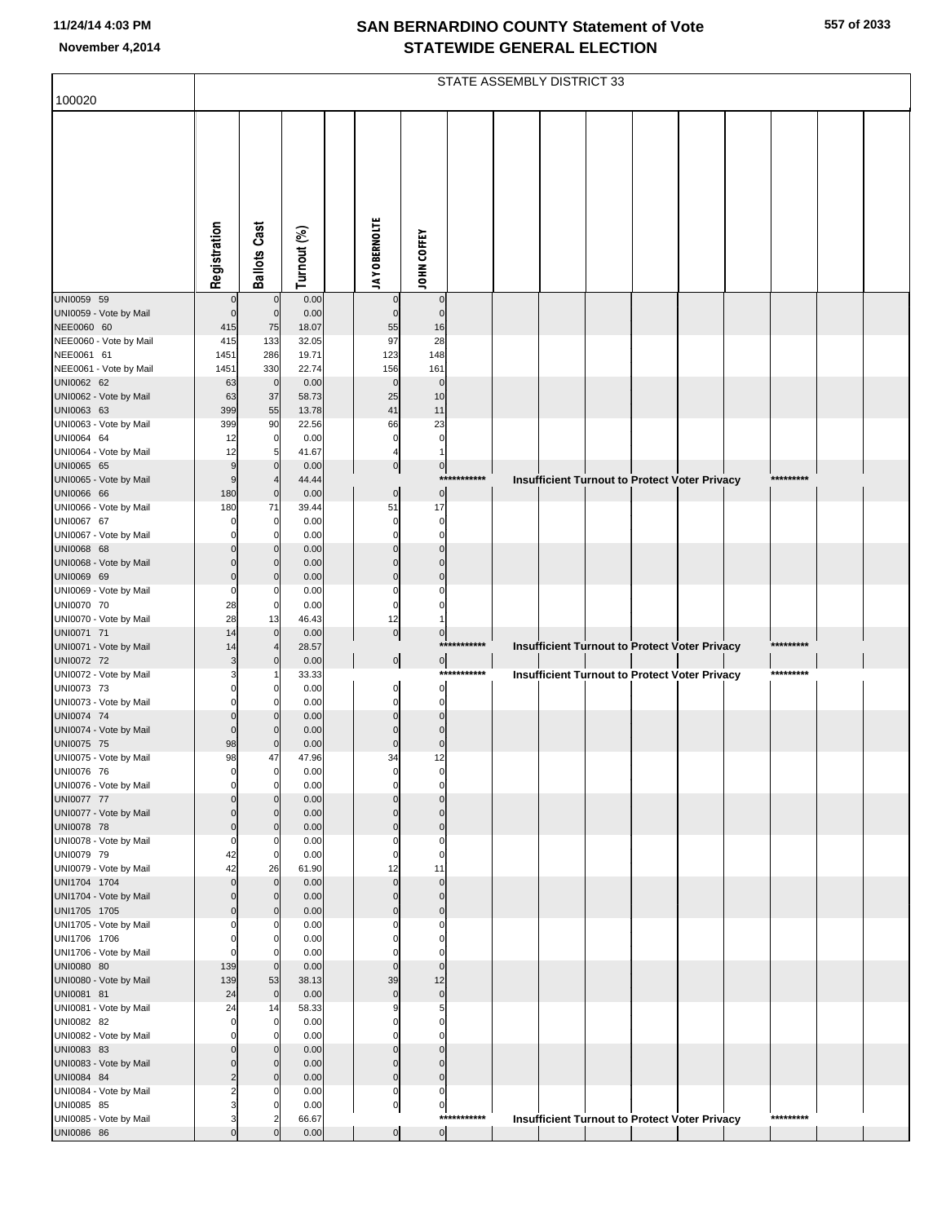|                                        |                      | STATE ASSEMBLY DISTRICT 33    |                |                         |                               |             |  |  |  |  |                                                      |  |           |  |
|----------------------------------------|----------------------|-------------------------------|----------------|-------------------------|-------------------------------|-------------|--|--|--|--|------------------------------------------------------|--|-----------|--|
| 100020                                 |                      |                               |                |                         |                               |             |  |  |  |  |                                                      |  |           |  |
|                                        |                      |                               |                |                         |                               |             |  |  |  |  |                                                      |  |           |  |
|                                        |                      |                               |                |                         |                               |             |  |  |  |  |                                                      |  |           |  |
|                                        |                      |                               |                |                         |                               |             |  |  |  |  |                                                      |  |           |  |
|                                        |                      |                               |                |                         |                               |             |  |  |  |  |                                                      |  |           |  |
|                                        |                      |                               |                |                         |                               |             |  |  |  |  |                                                      |  |           |  |
|                                        |                      |                               |                |                         |                               |             |  |  |  |  |                                                      |  |           |  |
|                                        |                      |                               |                |                         |                               |             |  |  |  |  |                                                      |  |           |  |
|                                        |                      |                               |                |                         |                               |             |  |  |  |  |                                                      |  |           |  |
|                                        | Registration         | <b>Ballots Cast</b>           | Turnout (%)    | <b>JAY OBERNOLTE</b>    | <b>JOHN COFFEY</b>            |             |  |  |  |  |                                                      |  |           |  |
|                                        |                      |                               |                |                         |                               |             |  |  |  |  |                                                      |  |           |  |
| UNI0059 59                             |                      | $\mathbf 0$                   | 0.00           | $\mathsf{C}$            | $\mathbf 0$                   |             |  |  |  |  |                                                      |  |           |  |
| UNI0059 - Vote by Mail                 | $\Omega$             | $\mathbf 0$                   | 0.00           | $\mathbf 0$<br>55       | $\mathbf 0$<br>16             |             |  |  |  |  |                                                      |  |           |  |
| NEE0060 60<br>NEE0060 - Vote by Mail   | 415<br>415           | 75<br>133                     | 18.07<br>32.05 | 97                      | 28                            |             |  |  |  |  |                                                      |  |           |  |
| NEE0061 61                             | 1451                 | 286                           | 19.71          | 123                     | 148                           |             |  |  |  |  |                                                      |  |           |  |
| NEE0061 - Vote by Mail                 | 1451                 | 330                           | 22.74          | 156                     | 161                           |             |  |  |  |  |                                                      |  |           |  |
| UNI0062 62                             | 63                   | $\overline{0}$                | 0.00           | $\mathbf 0$<br>25       | $\mathbf 0$                   |             |  |  |  |  |                                                      |  |           |  |
| UNI0062 - Vote by Mail<br>UNI0063 63   | 63<br>399            | 37<br>55                      | 58.73<br>13.78 | 41                      | 10<br>11                      |             |  |  |  |  |                                                      |  |           |  |
| UNI0063 - Vote by Mail                 | 399                  | 90                            | 22.56          | 66                      | 23                            |             |  |  |  |  |                                                      |  |           |  |
| UNI0064 64                             | 12                   | $\overline{0}$                | 0.00           | $\mathbf 0$             | $\mathbf 0$                   |             |  |  |  |  |                                                      |  |           |  |
| UNI0064 - Vote by Mail<br>UNI0065 65   | 12<br>g              | 5<br>$\mathbf 0$              | 41.67<br>0.00  | 4<br>$\pmb{0}$          | $\pmb{0}$                     |             |  |  |  |  |                                                      |  |           |  |
| UNI0065 - Vote by Mail                 | g                    |                               | 44.44          |                         |                               | *********** |  |  |  |  | Insufficient Turnout to Protect Voter Privacy        |  | ********* |  |
| UNI0066 66                             | 180                  | $\mathbf 0$                   | 0.00           | $\pmb{0}$               | $\pmb{0}$                     |             |  |  |  |  |                                                      |  |           |  |
| UNI0066 - Vote by Mail                 | 180                  | 71                            | 39.44          | 51                      | 17                            |             |  |  |  |  |                                                      |  |           |  |
| UNI0067 67<br>UNI0067 - Vote by Mail   |                      | $\overline{0}$<br>$\mathbf 0$ | 0.00<br>0.00   | $\mathbf 0$<br>0        | $\mathbf 0$<br>$\Omega$       |             |  |  |  |  |                                                      |  |           |  |
| UNI0068 68                             |                      | $\mathbf{0}$                  | 0.00           | $\Omega$                | C                             |             |  |  |  |  |                                                      |  |           |  |
| UNI0068 - Vote by Mail                 |                      | $\mathbf 0$                   | 0.00           | $\mathsf{C}$            | $\mathbf 0$                   |             |  |  |  |  |                                                      |  |           |  |
| UNI0069 69                             | $\Omega$             | $\mathbf 0$                   | 0.00           | $\mathbf 0$             | $\mathbf 0$                   |             |  |  |  |  |                                                      |  |           |  |
| UNI0069 - Vote by Mail<br>UNI0070 70   | 0<br>28              | 0<br>$\overline{0}$           | 0.00<br>0.00   | 0<br>$\mathbf 0$        | C                             |             |  |  |  |  |                                                      |  |           |  |
| UNI0070 - Vote by Mail                 | 28                   | 13                            | 46.43          | 12                      |                               |             |  |  |  |  |                                                      |  |           |  |
| UNI0071 71                             | 14                   | $\mathbf 0$                   | 0.00           | $\overline{0}$          | $\pmb{0}$                     |             |  |  |  |  |                                                      |  |           |  |
| UNI0071 - Vote by Mail                 | 14                   | $\overline{4}$                | 28.57          |                         |                               | *********** |  |  |  |  | <b>Insufficient Turnout to Protect Voter Privacy</b> |  | ********* |  |
| UNI0072 72<br>UNI0072 - Vote by Mail   | 3                    | $\mathbf 0$                   | 0.00<br>33.33  | $\overline{0}$          | $\overline{0}$                | *********** |  |  |  |  | <b>Insufficient Turnout to Protect Voter Privacy</b> |  | ********* |  |
| UNI0073 73                             | 0                    | $\mathbf 0$                   | 0.00           | $\mathbf 0$             | $\mathbf 0$                   |             |  |  |  |  |                                                      |  |           |  |
| UNI0073 - Vote by Mail                 | 0                    | $\Omega$                      | 0.00           | $\mathbf 0$             | $\mathbf 0$                   |             |  |  |  |  |                                                      |  |           |  |
| UNI0074 74                             | $\Omega$<br>$\Omega$ | $\Omega$                      | 0.00<br>0.00   | $\Omega$<br>C           | $\mathsf{C}$<br>$\mathcal{C}$ |             |  |  |  |  |                                                      |  |           |  |
| UNI0074 - Vote by Mail<br>UNI0075 75   | 98                   | $\mathbf 0$                   | 0.00           | $\mathbf 0$             | $\mathbf 0$                   |             |  |  |  |  |                                                      |  |           |  |
| UNI0075 - Vote by Mail                 | 98                   | 47                            | 47.96          | 34                      | 12                            |             |  |  |  |  |                                                      |  |           |  |
| UNI0076 76                             | 0                    | $\overline{0}$                | 0.00           | 0                       | 0                             |             |  |  |  |  |                                                      |  |           |  |
| UNI0076 - Vote by Mail<br>UNI0077 77   | $\Omega$<br>$\Omega$ | $\overline{0}$<br>$\mathbf 0$ | 0.00<br>0.00   | $\mathbf 0$<br>$\Omega$ | 0<br>$\Omega$                 |             |  |  |  |  |                                                      |  |           |  |
| UNI0077 - Vote by Mail                 | $\Omega$             | $\mathbf 0$                   | 0.00           | $\Omega$                | $\mathbf 0$                   |             |  |  |  |  |                                                      |  |           |  |
| UNI0078 78                             | $\mathbf 0$          | $\mathbf 0$                   | 0.00           | $\mathbf 0$             | $\mathbf 0$                   |             |  |  |  |  |                                                      |  |           |  |
| UNI0078 - Vote by Mail                 | $\Omega$             | $\mathbf 0$<br>$\overline{0}$ | 0.00           | 0                       | $\mathbf 0$                   |             |  |  |  |  |                                                      |  |           |  |
| UNI0079 79<br>UNI0079 - Vote by Mail   | 42<br>42             | 26                            | 0.00<br>61.90  | $\mathbf 0$<br>12       | $\mathbf 0$<br>11             |             |  |  |  |  |                                                      |  |           |  |
| UNI1704 1704                           | $\Omega$             | $\mathbf 0$                   | 0.00           | $\mathbf 0$             | $\mathbf 0$                   |             |  |  |  |  |                                                      |  |           |  |
| UNI1704 - Vote by Mail                 | $\Omega$             | $\mathbf 0$                   | 0.00           | $\mathbf 0$             | $\mathbf 0$                   |             |  |  |  |  |                                                      |  |           |  |
| UNI1705 1705<br>UNI1705 - Vote by Mail | $\Omega$<br>0        | $\mathbf 0$<br>0              | 0.00<br>0.00   | $\mathbf 0$<br>0        | $\mathbf 0$<br>$\mathbf 0$    |             |  |  |  |  |                                                      |  |           |  |
| UNI1706 1706                           | $\Omega$             | $\mathbf 0$                   | 0.00           | $\Omega$                | $\Omega$                      |             |  |  |  |  |                                                      |  |           |  |
| UNI1706 - Vote by Mail                 | $\mathbf 0$          | $\mathbf 0$                   | 0.00           | $\mathbf 0$             | $\mathbf 0$                   |             |  |  |  |  |                                                      |  |           |  |
| UNI0080 80                             | 139                  | $\overline{0}$                | 0.00           | $\mathbf 0$             | $\mathbf 0$                   |             |  |  |  |  |                                                      |  |           |  |
| UNI0080 - Vote by Mail<br>UNI0081 81   | 139<br>24            | 53<br>$\overline{0}$          | 38.13<br>0.00  | 39<br>$\mathbf 0$       | 12<br>$\mathbf 0$             |             |  |  |  |  |                                                      |  |           |  |
| UNI0081 - Vote by Mail                 | 24                   | 14                            | 58.33          | 9                       | 5                             |             |  |  |  |  |                                                      |  |           |  |
| UNI0082 82                             | $\mathbf 0$          | $\overline{0}$                | 0.00           | $\mathbf 0$             | $\Omega$                      |             |  |  |  |  |                                                      |  |           |  |
| UNI0082 - Vote by Mail                 | $\Omega$             | $\mathbf 0$                   | 0.00           | $\mathbf 0$             | $\Omega$                      |             |  |  |  |  |                                                      |  |           |  |
| UNI0083 83<br>UNI0083 - Vote by Mail   | $\Omega$<br>$\Omega$ | $\mathbf 0$<br>$\overline{0}$ | 0.00<br>0.00   | $\Omega$<br>$\mathbf 0$ | $\Omega$<br>$\mathbf 0$       |             |  |  |  |  |                                                      |  |           |  |
| UNI0084 84                             | $\overline{2}$       | $\mathbf 0$                   | 0.00           | $\mathbf 0$             | $\mathbf 0$                   |             |  |  |  |  |                                                      |  |           |  |
| UNI0084 - Vote by Mail                 | 2                    | 0                             | 0.00           | $\mathbf 0$             | $\mathbf 0$                   |             |  |  |  |  |                                                      |  |           |  |
| UNI0085 85                             | 3                    | $\mathbf 0$                   | 0.00           | $\pmb{0}$               | $\pmb{0}$                     | *********** |  |  |  |  |                                                      |  | ********* |  |
| UNI0085 - Vote by Mail<br>UNI0086 86   | 3                    | $\overline{2}$<br>$\Omega$    | 66.67<br>0.00  | $\overline{0}$          | $\overline{0}$                |             |  |  |  |  | <b>Insufficient Turnout to Protect Voter Privacy</b> |  |           |  |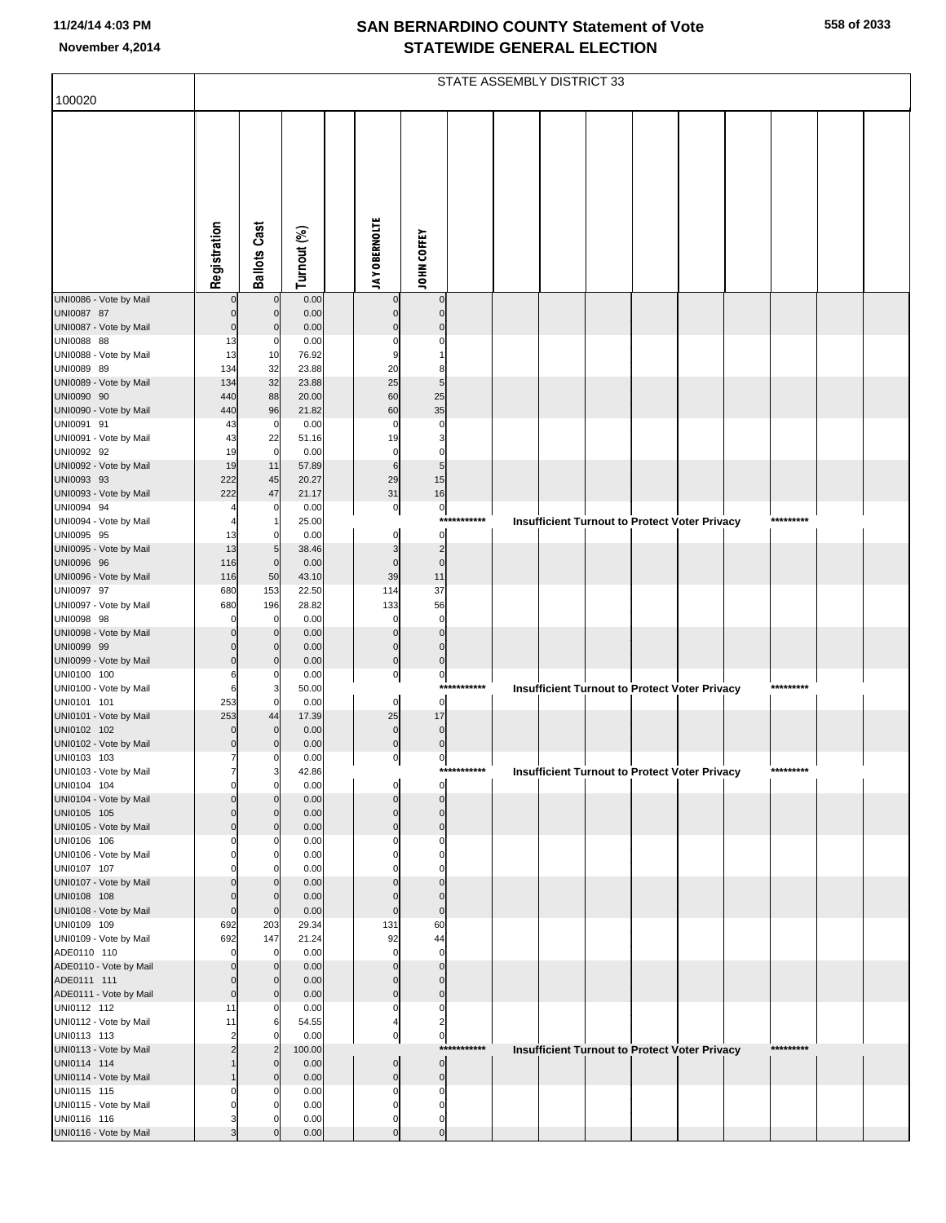|                                       |                      | STATE ASSEMBLY DISTRICT 33 |                |  |                            |                               |                   |  |  |  |  |                                                      |           |  |
|---------------------------------------|----------------------|----------------------------|----------------|--|----------------------------|-------------------------------|-------------------|--|--|--|--|------------------------------------------------------|-----------|--|
| 100020                                |                      |                            |                |  |                            |                               |                   |  |  |  |  |                                                      |           |  |
|                                       |                      |                            |                |  |                            |                               |                   |  |  |  |  |                                                      |           |  |
|                                       |                      |                            |                |  |                            |                               |                   |  |  |  |  |                                                      |           |  |
|                                       |                      |                            |                |  |                            |                               |                   |  |  |  |  |                                                      |           |  |
|                                       |                      |                            |                |  |                            |                               |                   |  |  |  |  |                                                      |           |  |
|                                       |                      |                            |                |  |                            |                               |                   |  |  |  |  |                                                      |           |  |
|                                       |                      |                            |                |  |                            |                               |                   |  |  |  |  |                                                      |           |  |
|                                       |                      |                            |                |  |                            |                               |                   |  |  |  |  |                                                      |           |  |
|                                       |                      |                            |                |  |                            |                               |                   |  |  |  |  |                                                      |           |  |
|                                       |                      |                            |                |  |                            |                               |                   |  |  |  |  |                                                      |           |  |
|                                       | Registration         | <b>Ballots Cast</b>        | Turnout (%)    |  | <b>JAY OBERNOLTE</b>       | JOHN COFFEY                   |                   |  |  |  |  |                                                      |           |  |
| UNI0086 - Vote by Mail                |                      | $\mathbf 0$                | 0.00           |  |                            | $\mathbf 0$                   |                   |  |  |  |  |                                                      |           |  |
| UNI0087 87                            | $\Omega$             | $\mathbf 0$                | 0.00           |  |                            | $\mathbf{0}$                  |                   |  |  |  |  |                                                      |           |  |
| UNI0087 - Vote by Mail<br>UNI0088 88  | $\mathbf 0$<br>13    | 0                          | 0.00<br>0.00   |  |                            | $\Omega$<br>0                 |                   |  |  |  |  |                                                      |           |  |
| UNI0088 - Vote by Mail                | 13                   | 10                         | 76.92          |  | 9                          |                               |                   |  |  |  |  |                                                      |           |  |
| UNI0089 89                            | 134                  | 32                         | 23.88          |  | 20                         | 8                             |                   |  |  |  |  |                                                      |           |  |
| UNI0089 - Vote by Mail                | 134                  | 32                         | 23.88          |  | 25                         | 5                             |                   |  |  |  |  |                                                      |           |  |
| UNI0090 90<br>UNI0090 - Vote by Mail  | 440<br>440           | 88<br>96                   | 20.00<br>21.82 |  | 60<br>60                   | 25<br>35                      |                   |  |  |  |  |                                                      |           |  |
| UNI0091 91                            | 43                   | 0                          | 0.00           |  | 0                          | $\Omega$                      |                   |  |  |  |  |                                                      |           |  |
| UNI0091 - Vote by Mail                | 43                   | 22                         | 51.16          |  | 19                         | 3                             |                   |  |  |  |  |                                                      |           |  |
| UNI0092 92                            | 19                   | $\mathbf 0$                | 0.00           |  | 0                          | 0                             |                   |  |  |  |  |                                                      |           |  |
| UNI0092 - Vote by Mail<br>UNI0093 93  | 19<br>222            | 11<br>45                   | 57.89<br>20.27 |  | $6\phantom{1}6$<br>29      | 5<br>15                       |                   |  |  |  |  |                                                      |           |  |
| UNI0093 - Vote by Mail                | 222                  | 47                         | 21.17          |  | 31                         | 16                            |                   |  |  |  |  |                                                      |           |  |
| UNI0094 94                            |                      | 0                          | 0.00           |  | $\mathbf 0$                | $\overline{0}$                |                   |  |  |  |  |                                                      |           |  |
| UNI0094 - Vote by Mail                |                      |                            | 25.00          |  |                            |                               | $****$<br>******* |  |  |  |  | <b>Insufficient Turnout to Protect Voter Privacy</b> | ********* |  |
| UNI0095 95<br>UNI0095 - Vote by Mail  | 13<br>13             | 0<br>5                     | 0.00<br>38.46  |  | $\Omega$<br>3              | $\mathbf 0$<br>$\overline{2}$ |                   |  |  |  |  |                                                      |           |  |
| UNI0096 96                            | 116                  | $\mathbf 0$                | 0.00           |  | $\mathbf 0$                | $\mathbf 0$                   |                   |  |  |  |  |                                                      |           |  |
| UNI0096 - Vote by Mail                | 116                  | 50                         | 43.10          |  | 39                         | 11                            |                   |  |  |  |  |                                                      |           |  |
| UNI0097 97                            | 680                  | 153                        | 22.50          |  | 114                        | 37                            |                   |  |  |  |  |                                                      |           |  |
| UNI0097 - Vote by Mail<br>UNI0098 98  | 680                  | 196<br>0                   | 28.82<br>0.00  |  | 133                        | 56<br>$\mathbf 0$             |                   |  |  |  |  |                                                      |           |  |
| UNI0098 - Vote by Mail                |                      |                            | 0.00           |  | $\Omega$                   | $\mathbf 0$                   |                   |  |  |  |  |                                                      |           |  |
| UNI0099 99                            |                      |                            | 0.00           |  | $\mathbf 0$                | $\mathbf 0$                   |                   |  |  |  |  |                                                      |           |  |
| UNI0099 - Vote by Mail                | $\mathbf 0$          |                            | 0.00           |  | $\mathbf 0$                | $\mathbf 0$                   |                   |  |  |  |  |                                                      |           |  |
| UNI0100 100<br>UNI0100 - Vote by Mail | 6<br>6               |                            | 0.00<br>50.00  |  | $\pmb{0}$                  | $\overline{0}$                | ***********       |  |  |  |  | <b>Insufficient Turnout to Protect Voter Privacy</b> | ********* |  |
| UNI0101 101                           | 253                  | $\Omega$                   | 0.00           |  | $\mathbf 0$                | $\mathbf 0$                   |                   |  |  |  |  |                                                      |           |  |
| UNI0101 - Vote by Mail                | 253                  | 44                         | 17.39          |  | 25                         | 17                            |                   |  |  |  |  |                                                      |           |  |
| UNI0102 102<br>UNI0102 - Vote by Mail | $\mathbf 0$          |                            | 0.00<br>0.00   |  | 0<br>$\mathbf 0$           | $\mathbf 0$<br>$\mathbf 0$    |                   |  |  |  |  |                                                      |           |  |
| UNI0103 103                           | 7                    |                            | 0.00           |  | 0                          | $\pmb{0}$                     |                   |  |  |  |  |                                                      |           |  |
| UNI0103 - Vote by Mail                | 7                    | 3                          | 42.86          |  |                            |                               | ***********       |  |  |  |  | <b>Insufficient Turnout to Protect Voter Privacy</b> | ********* |  |
| UNI0104 104                           | $\Omega$             | $\Omega$                   | 0.00           |  |                            | $\mathbf 0$                   |                   |  |  |  |  |                                                      |           |  |
| UNI0104 - Vote by Mail<br>UNI0105 105 | $\Omega$<br>$\Omega$ |                            | 0.00<br>0.00   |  | $\Omega$<br>$\Omega$       | $\mathbf{0}$<br>$\mathbf 0$   |                   |  |  |  |  |                                                      |           |  |
| UNI0105 - Vote by Mail                | $\mathbf 0$          |                            | 0.00           |  | $\mathbf 0$                | $\mathbf 0$                   |                   |  |  |  |  |                                                      |           |  |
| UNI0106 106                           |                      |                            | 0.00           |  |                            | 0                             |                   |  |  |  |  |                                                      |           |  |
| UNI0106 - Vote by Mail                |                      |                            | 0.00           |  |                            | $\Omega$                      |                   |  |  |  |  |                                                      |           |  |
| UNI0107 107<br>UNI0107 - Vote by Mail | $\Omega$             |                            | 0.00<br>0.00   |  |                            | $\mathbf{0}$                  |                   |  |  |  |  |                                                      |           |  |
| UNI0108 108                           | $\Omega$             | $\Omega$                   | 0.00           |  | $\Omega$                   | $\mathbf{0}$                  |                   |  |  |  |  |                                                      |           |  |
| UNI0108 - Vote by Mail                | $\mathbf 0$          | $\mathbf 0$                | 0.00           |  | $\mathbf 0$                | $\mathbf 0$                   |                   |  |  |  |  |                                                      |           |  |
| UNI0109 109<br>UNI0109 - Vote by Mail | 692<br>692           | 203<br>147                 | 29.34<br>21.24 |  | 131<br>92                  | 60<br>44                      |                   |  |  |  |  |                                                      |           |  |
| ADE0110 110                           | $\Omega$             | 0                          | 0.00           |  | $\Omega$                   | $\mathbf 0$                   |                   |  |  |  |  |                                                      |           |  |
| ADE0110 - Vote by Mail                | $\Omega$             |                            | 0.00           |  |                            | $\mathbf{0}$                  |                   |  |  |  |  |                                                      |           |  |
| ADE0111 111                           | $\Omega$             |                            | 0.00           |  |                            | $\Omega$                      |                   |  |  |  |  |                                                      |           |  |
| ADE0111 - Vote by Mail<br>UNI0112 112 | $\mathbf 0$<br>11    |                            | 0.00<br>0.00   |  | $\mathbf 0$<br>0           | $\mathbf 0$<br>0              |                   |  |  |  |  |                                                      |           |  |
| UNI0112 - Vote by Mail                | 11                   |                            | 54.55          |  |                            | $\overline{2}$                |                   |  |  |  |  |                                                      |           |  |
| UNI0113 113                           | $\overline{2}$       |                            | 0.00           |  | 0                          | $\pmb{0}$                     |                   |  |  |  |  |                                                      |           |  |
| UNI0113 - Vote by Mail                | $\overline{c}$       |                            | 100.00         |  |                            |                               | ***********       |  |  |  |  | <b>Insufficient Turnout to Protect Voter Privacy</b> | ********* |  |
| UNI0114 114<br>UNI0114 - Vote by Mail |                      |                            | 0.00<br>0.00   |  | $\mathbf 0$<br>$\mathbf 0$ | $\overline{0}$<br>$\mathbf 0$ |                   |  |  |  |  |                                                      |           |  |
| UNI0115 115                           |                      |                            | 0.00           |  | 0                          | 0                             |                   |  |  |  |  |                                                      |           |  |
| UNI0115 - Vote by Mail                |                      |                            | 0.00           |  | O                          | $\Omega$                      |                   |  |  |  |  |                                                      |           |  |
| UNI0116 116<br>UNI0116 - Vote by Mail |                      |                            | 0.00<br>0.00   |  | 0                          | 0<br>$\Omega$                 |                   |  |  |  |  |                                                      |           |  |
|                                       |                      |                            |                |  |                            |                               |                   |  |  |  |  |                                                      |           |  |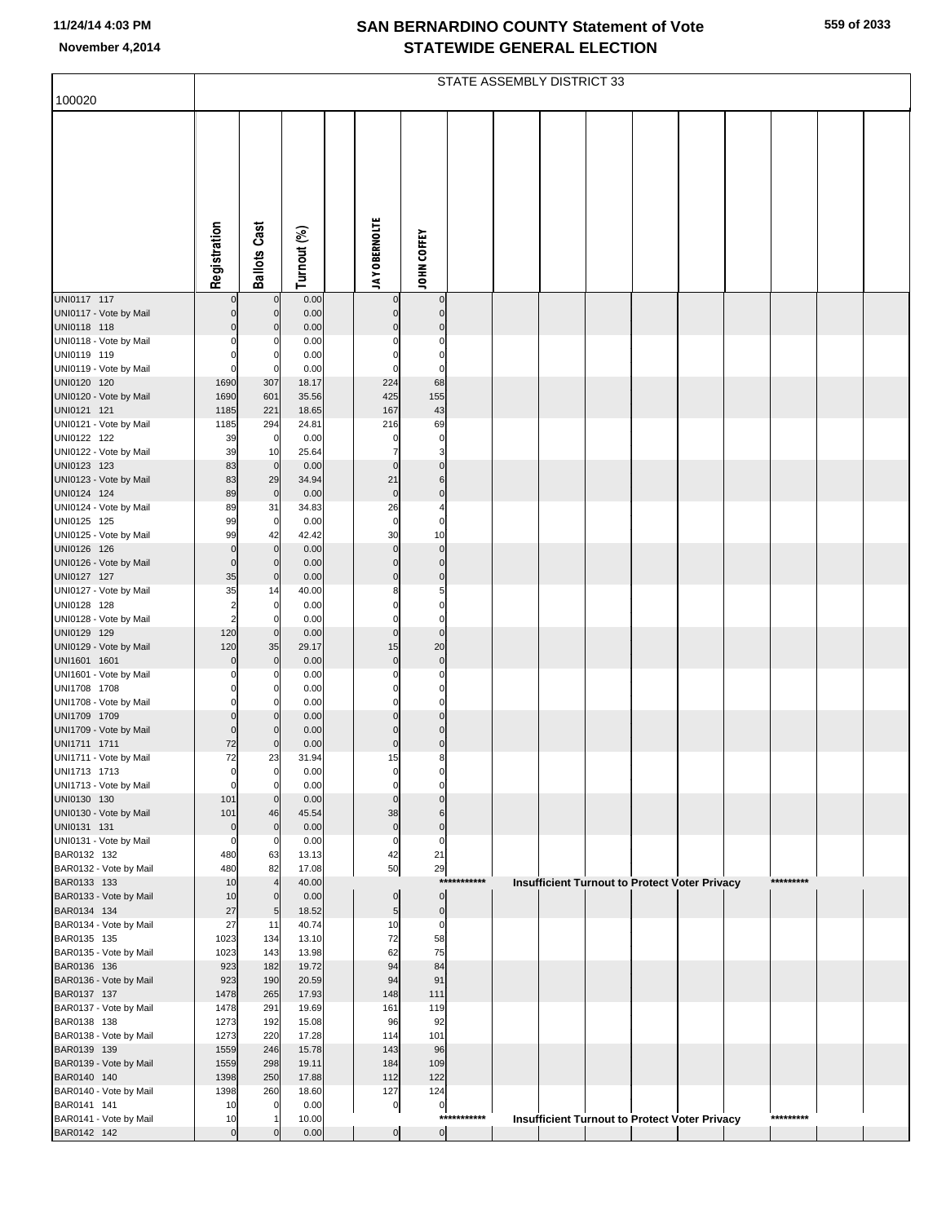|  | 559 of 2033 |
|--|-------------|
|  |             |

|                                        |                               | STATE ASSEMBLY DISTRICT 33    |                |  |                          |                                           |             |  |  |  |  |                                                      |           |  |
|----------------------------------------|-------------------------------|-------------------------------|----------------|--|--------------------------|-------------------------------------------|-------------|--|--|--|--|------------------------------------------------------|-----------|--|
| 100020                                 |                               |                               |                |  |                          |                                           |             |  |  |  |  |                                                      |           |  |
|                                        |                               |                               |                |  |                          |                                           |             |  |  |  |  |                                                      |           |  |
|                                        |                               |                               |                |  |                          |                                           |             |  |  |  |  |                                                      |           |  |
|                                        |                               |                               |                |  |                          |                                           |             |  |  |  |  |                                                      |           |  |
|                                        |                               |                               |                |  |                          |                                           |             |  |  |  |  |                                                      |           |  |
|                                        |                               |                               |                |  |                          |                                           |             |  |  |  |  |                                                      |           |  |
|                                        |                               |                               |                |  |                          |                                           |             |  |  |  |  |                                                      |           |  |
|                                        |                               |                               |                |  |                          |                                           |             |  |  |  |  |                                                      |           |  |
|                                        |                               |                               |                |  |                          |                                           |             |  |  |  |  |                                                      |           |  |
|                                        | Registration                  | <b>Ballots Cast</b>           | Turnout (%)    |  | <b>JAY OBERNOLTE</b>     | <b>JOHN COFFEY</b>                        |             |  |  |  |  |                                                      |           |  |
| UNI0117 117                            | $\mathbf 0$                   | $\pmb{0}$                     | 0.00           |  | $\pmb{0}$                | $\overline{0}$                            |             |  |  |  |  |                                                      |           |  |
| UNI0117 - Vote by Mail                 | 0                             | $\mathbf 0$                   | 0.00           |  | $\mathbf 0$<br>$\Omega$  | $\overline{0}$                            |             |  |  |  |  |                                                      |           |  |
| UNI0118 118<br>UNI0118 - Vote by Mail  | 0<br>ŋ                        | C<br>C                        | 0.00<br>0.00   |  | $\Omega$                 | $\mathbf 0$<br>0                          |             |  |  |  |  |                                                      |           |  |
| UNI0119 119                            |                               | C                             | 0.00           |  |                          | $\mathbf 0$                               |             |  |  |  |  |                                                      |           |  |
| UNI0119 - Vote by Mail                 | $\Omega$                      | 0                             | 0.00           |  | $\Omega$                 | 0                                         |             |  |  |  |  |                                                      |           |  |
| UNI0120 120<br>UNI0120 - Vote by Mail  | 1690<br>1690                  | 307<br>601                    | 18.17<br>35.56 |  | 224<br>425               | 68<br>155                                 |             |  |  |  |  |                                                      |           |  |
| UNI0121 121                            | 1185                          | 221                           | 18.65          |  | 167                      | 43                                        |             |  |  |  |  |                                                      |           |  |
| UNI0121 - Vote by Mail                 | 1185                          | 294                           | 24.81          |  | 216                      | 69                                        |             |  |  |  |  |                                                      |           |  |
| UNI0122 122<br>UNI0122 - Vote by Mail  | 39<br>39                      | $\mathbf 0$<br>10             | 0.00<br>25.64  |  | $\Omega$<br>7            | $\overline{0}$<br>$\overline{\mathbf{3}}$ |             |  |  |  |  |                                                      |           |  |
| UNI0123 123                            | 83                            | $\mathbf 0$                   | 0.00           |  | $\mathbf 0$              | $\overline{0}$                            |             |  |  |  |  |                                                      |           |  |
| UNI0123 - Vote by Mail                 | 83                            | 29                            | 34.94          |  | 21                       | 6                                         |             |  |  |  |  |                                                      |           |  |
| UNI0124 124<br>UNI0124 - Vote by Mail  | 89<br>89                      | $\mathbf 0$<br>31             | 0.00<br>34.83  |  | $\mathbf 0$<br>26        | $\bf 0$<br>4                              |             |  |  |  |  |                                                      |           |  |
| UNI0125 125                            | 99                            | $\mathbf 0$                   | 0.00           |  | $\mathbf 0$              | 0                                         |             |  |  |  |  |                                                      |           |  |
| UNI0125 - Vote by Mail                 | 99                            | 42                            | 42.42          |  | 30                       | 10                                        |             |  |  |  |  |                                                      |           |  |
| UNI0126 126<br>UNI0126 - Vote by Mail  | $\Omega$<br>$\Omega$          | $\mathbf 0$<br>$\mathbf 0$    | 0.00<br>0.00   |  | $\mathbf 0$<br>$\pmb{0}$ | $\overline{0}$<br>$\overline{0}$          |             |  |  |  |  |                                                      |           |  |
| UNI0127 127                            | 35                            | $\mathbf 0$                   | 0.00           |  | $\Omega$                 | $\overline{0}$                            |             |  |  |  |  |                                                      |           |  |
| UNI0127 - Vote by Mail                 | 35                            | 14                            | 40.00          |  | 8                        | $5 \mid$                                  |             |  |  |  |  |                                                      |           |  |
| UNI0128 128<br>UNI0128 - Vote by Mail  | 2<br>2                        | 0<br>$\Omega$                 | 0.00<br>0.00   |  | $\Omega$<br>0            | $\mathbf 0$<br>$\overline{0}$             |             |  |  |  |  |                                                      |           |  |
| UNI0129 129                            | 120                           | $\mathbf 0$                   | 0.00           |  | $\mathbf 0$              | $\mathbf 0$                               |             |  |  |  |  |                                                      |           |  |
| UNI0129 - Vote by Mail                 | 120                           | 35                            | 29.17          |  | 15                       | 20                                        |             |  |  |  |  |                                                      |           |  |
| UNI1601 1601<br>UNI1601 - Vote by Mail | 0                             | $\mathbf 0$<br>C              | 0.00<br>0.00   |  | $\mathbf 0$<br>$\Omega$  | $\overline{0}$<br>0                       |             |  |  |  |  |                                                      |           |  |
| UNI1708 1708                           |                               | 0                             | 0.00           |  | $\Omega$                 | 0                                         |             |  |  |  |  |                                                      |           |  |
| UNI1708 - Vote by Mail                 | $\Omega$                      | 0                             | 0.00           |  | 0                        | $\overline{0}$                            |             |  |  |  |  |                                                      |           |  |
| UNI1709 1709<br>UNI1709 - Vote by Mail | $\Omega$<br>$\Omega$          | $\Omega$<br>0                 | 0.00<br>0.00   |  | $\Omega$<br>$\mathbf 0$  | $\mathbf{0}$<br>$\overline{0}$            |             |  |  |  |  |                                                      |           |  |
| UNI1711 1711                           | 72                            | 0                             | 0.00           |  | $\mathbf 0$              | $\overline{0}$                            |             |  |  |  |  |                                                      |           |  |
| UNI1711 - Vote by Mail                 | 72                            | 23                            | 31.94          |  | 15                       | 8                                         |             |  |  |  |  |                                                      |           |  |
| UNI1713 1713<br>UNI1713 - Vote by Mail | $\mathbf{0}$<br>$\Omega$      | $\mathbf 0$<br>$\mathbf 0$    | 0.00<br>0.00   |  | 0<br>$\mathbf 0$         | 0<br>0                                    |             |  |  |  |  |                                                      |           |  |
| UNI0130 130                            | 101                           | $\mathbf 0$                   | 0.00           |  | $\mathbf{0}$             | $\Omega$                                  |             |  |  |  |  |                                                      |           |  |
| UNI0130 - Vote by Mail                 | 101                           | 46                            | 45.54          |  | 38                       | 6                                         |             |  |  |  |  |                                                      |           |  |
| UNI0131 131<br>UNI0131 - Vote by Mail  | $\overline{0}$<br>$\mathbf 0$ | $\mathbf 0$<br>0              | 0.00<br>0.00   |  | $\pmb{0}$<br>$\mathbf 0$ | $\overline{0}$<br>0                       |             |  |  |  |  |                                                      |           |  |
| BAR0132 132                            | 480                           | 63                            | 13.13          |  | 42                       | 21                                        |             |  |  |  |  |                                                      |           |  |
| BAR0132 - Vote by Mail                 | 480                           | 82                            | 17.08          |  | 50                       | 29                                        |             |  |  |  |  |                                                      |           |  |
| BAR0133 133<br>BAR0133 - Vote by Mail  | 10<br>10                      | $\overline{4}$<br>$\mathbf 0$ | 40.00<br>0.00  |  | $\overline{0}$           | ***<br>$\overline{0}$                     | *******     |  |  |  |  | Insufficient Turnout to Protect Voter Privacy        | ********* |  |
| BAR0134 134                            | 27                            | 5                             | 18.52          |  | $5\overline{)}$          | $\overline{0}$                            |             |  |  |  |  |                                                      |           |  |
| BAR0134 - Vote by Mail                 | 27                            | 11                            | 40.74          |  | 10                       | $\mathbf{0}$                              |             |  |  |  |  |                                                      |           |  |
| BAR0135 135<br>BAR0135 - Vote by Mail  | 1023<br>1023                  | 134<br>143                    | 13.10<br>13.98 |  | 72<br>62                 | 58<br>75                                  |             |  |  |  |  |                                                      |           |  |
| BAR0136 136                            | 923                           | 182                           | 19.72          |  | 94                       | 84                                        |             |  |  |  |  |                                                      |           |  |
| BAR0136 - Vote by Mail                 | 923                           | 190                           | 20.59          |  | 94                       | 91                                        |             |  |  |  |  |                                                      |           |  |
| BAR0137 137<br>BAR0137 - Vote by Mail  | 1478<br>1478                  | 265<br>291                    | 17.93<br>19.69 |  | 148<br>161               | 111<br>119                                |             |  |  |  |  |                                                      |           |  |
| BAR0138 138                            | 1273                          | 192                           | 15.08          |  | 96                       | 92                                        |             |  |  |  |  |                                                      |           |  |
| BAR0138 - Vote by Mail                 | 1273                          | 220                           | 17.28          |  | 114                      | 101                                       |             |  |  |  |  |                                                      |           |  |
| BAR0139 139<br>BAR0139 - Vote by Mail  | 1559<br>1559                  | 246<br>298                    | 15.78<br>19.11 |  | 143<br>184               | 96<br>109                                 |             |  |  |  |  |                                                      |           |  |
| BAR0140 140                            | 1398                          | 250                           | 17.88          |  | 112                      | 122                                       |             |  |  |  |  |                                                      |           |  |
| BAR0140 - Vote by Mail                 | 1398                          | 260                           | 18.60          |  | 127                      | 124                                       |             |  |  |  |  |                                                      |           |  |
| BAR0141 141<br>BAR0141 - Vote by Mail  | 10<br>10                      | $\mathbf 0$<br>-1             | 0.00<br>10.00  |  | $\overline{0}$           | $\overline{0}$                            | *********** |  |  |  |  | <b>Insufficient Turnout to Protect Voter Privacy</b> | ********* |  |
| BAR0142 142                            | $\overline{0}$                | $\Omega$                      | 0.00           |  | $\overline{0}$           | $\overline{0}$                            |             |  |  |  |  |                                                      |           |  |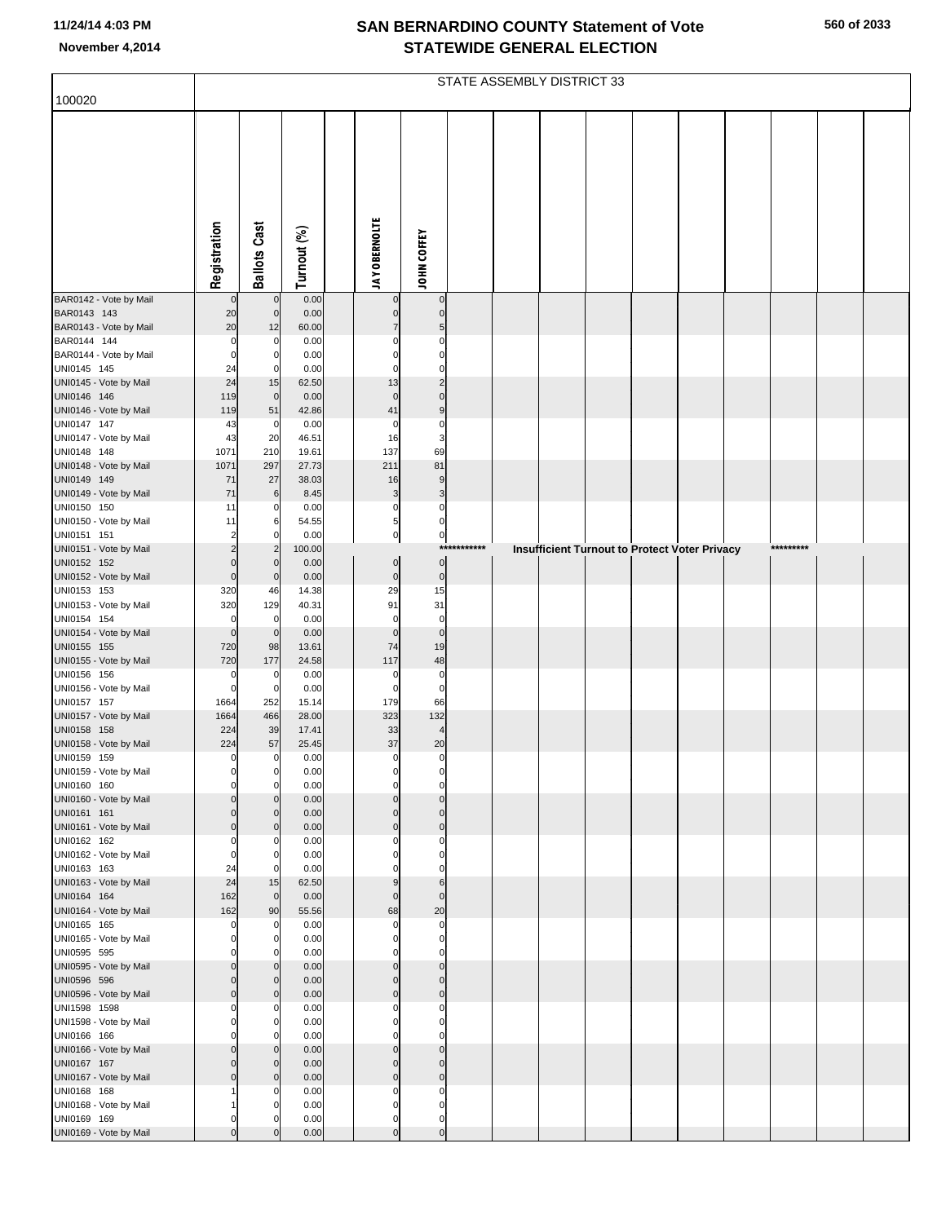|                                       |                 | STATE ASSEMBLY DISTRICT 33       |                |  |                              |                               |             |  |  |  |  |                                                      |           |  |
|---------------------------------------|-----------------|----------------------------------|----------------|--|------------------------------|-------------------------------|-------------|--|--|--|--|------------------------------------------------------|-----------|--|
| 100020                                |                 |                                  |                |  |                              |                               |             |  |  |  |  |                                                      |           |  |
|                                       | Registration    | <b>Ballots Cast</b>              | Turnout (%)    |  | <b>JAY OBERNOLTE</b>         | JOHN COFFEY                   |             |  |  |  |  |                                                      |           |  |
|                                       |                 |                                  |                |  |                              |                               |             |  |  |  |  |                                                      |           |  |
| BAR0142 - Vote by Mail                |                 | $\overline{0}$                   | 0.00           |  |                              | $\mathbf 0$                   |             |  |  |  |  |                                                      |           |  |
| BAR0143 143<br>BAR0143 - Vote by Mail | 20<br>20        | $\overline{0}$<br>12             | 0.00<br>60.00  |  | $\mathsf{C}$<br>7            | $\Omega$<br>5                 |             |  |  |  |  |                                                      |           |  |
| BAR0144 144                           | $\mathbf 0$     | 0                                | 0.00           |  | C                            | $\Omega$                      |             |  |  |  |  |                                                      |           |  |
| BAR0144 - Vote by Mail                | $\Omega$        | $\overline{0}$                   | 0.00           |  | $\mathcal{C}$                | $\Omega$                      |             |  |  |  |  |                                                      |           |  |
| UNI0145 145<br>UNI0145 - Vote by Mail | 24<br>24        | $\mathbf 0$                      | 0.00<br>62.50  |  | $\mathcal{C}$<br>13          | $\Omega$<br>$\overline{2}$    |             |  |  |  |  |                                                      |           |  |
| UNI0146 146                           | 119             | 15<br>$\mathbf 0$                | 0.00           |  | $\mathbf 0$                  | $\Omega$                      |             |  |  |  |  |                                                      |           |  |
| UNI0146 - Vote by Mail                | 119             | 51                               | 42.86          |  | 41                           | 9                             |             |  |  |  |  |                                                      |           |  |
| UNI0147 147                           | 43              | $\overline{0}$                   | 0.00           |  | $\mathbf 0$                  | $\Omega$<br>3                 |             |  |  |  |  |                                                      |           |  |
| UNI0147 - Vote by Mail<br>UNI0148 148 | 43<br>1071      | 20<br>210                        | 46.51<br>19.61 |  | 16<br>137                    | 69                            |             |  |  |  |  |                                                      |           |  |
| UNI0148 - Vote by Mail                | 1071            | 297                              | 27.73          |  | 211                          | 81                            |             |  |  |  |  |                                                      |           |  |
| UNI0149 149<br>UNI0149 - Vote by Mail | 71<br>71        | $27\,$<br>6                      | 38.03          |  | 16<br>3                      | 9<br>3                        |             |  |  |  |  |                                                      |           |  |
| UNI0150 150                           | 11              | 0                                | 8.45<br>0.00   |  | $\mathbf 0$                  | $\Omega$                      |             |  |  |  |  |                                                      |           |  |
| UNI0150 - Vote by Mail                | 11              | 6                                | 54.55          |  | 5                            | $\mathbf 0$                   |             |  |  |  |  |                                                      |           |  |
| UNI0151 151                           | 2               | $\mathbf 0$<br>$\overline{2}$    | 0.00           |  | $\pmb{0}$                    | $\overline{0}$                | *********** |  |  |  |  |                                                      | ********* |  |
| UNI0151 - Vote by Mail<br>UNI0152 152 | C               | $\mathbf 0$                      | 100.00<br>0.00 |  | $\mathbf 0$                  | $\overline{0}$                |             |  |  |  |  | <b>Insufficient Turnout to Protect Voter Privacy</b> |           |  |
| UNI0152 - Vote by Mail                | $\mathbf 0$     | $\mathbf 0$                      | 0.00           |  | $\pmb{0}$                    | $\mathbf 0$                   |             |  |  |  |  |                                                      |           |  |
| UNI0153 153                           | 320             | 46                               | 14.38          |  | 29<br>91                     | 15                            |             |  |  |  |  |                                                      |           |  |
| UNI0153 - Vote by Mail<br>UNI0154 154 | 320<br>C        | 129<br>0                         | 40.31<br>0.00  |  | $\mathbf 0$                  | 31<br>$\mathbf 0$             |             |  |  |  |  |                                                      |           |  |
| UNI0154 - Vote by Mail                | $\Omega$        | $\mathbf 0$                      | 0.00           |  | $\mathcal{C}$                | $\mathbf 0$                   |             |  |  |  |  |                                                      |           |  |
| UNI0155 155                           | 720             | 98                               | 13.61<br>24.58 |  | 74<br>117                    | 19                            |             |  |  |  |  |                                                      |           |  |
| UNI0155 - Vote by Mail<br>UNI0156 156 | 720<br>C        | 177<br>0                         | 0.00           |  | $\mathbf 0$                  | 48<br>$\mathbf 0$             |             |  |  |  |  |                                                      |           |  |
| UNI0156 - Vote by Mail                | $\epsilon$      | $\overline{0}$                   | 0.00           |  | $\epsilon$                   | $\mathbf 0$                   |             |  |  |  |  |                                                      |           |  |
| UNI0157 157<br>UNI0157 - Vote by Mail | 1664<br>1664    | 252<br>466                       | 15.14<br>28.00 |  | 179<br>323                   | 66<br>132                     |             |  |  |  |  |                                                      |           |  |
| UNI0158 158                           | 224             | 39                               | 17.41          |  | 33                           | $\overline{4}$                |             |  |  |  |  |                                                      |           |  |
| UNI0158 - Vote by Mail                | 224             | 57                               | 25.45          |  | 37                           | 20                            |             |  |  |  |  |                                                      |           |  |
| UNI0159 159<br>UNI0159 - Vote by Mail | $\mathbf 0$     | $\overline{0}$<br>$\circ$        | 0.00<br>0.00   |  | $\mathbf 0$                  | $\mathbf 0$                   |             |  |  |  |  |                                                      |           |  |
| UNI0160 160                           | r               | $\overline{0}$                   | 0.00           |  | $\mathcal{C}$                | $\Omega$                      |             |  |  |  |  |                                                      |           |  |
| UNI0160 - Vote by Mail                |                 | $\Omega$                         | 0.00           |  | C                            | $\Omega$                      |             |  |  |  |  |                                                      |           |  |
| UNI0161 161<br>UNI0161 - Vote by Mail | C<br>$\Omega$   | $\overline{0}$<br>$\overline{0}$ | 0.00<br>0.00   |  | $\sqrt{ }$<br>$\Omega$       | $\Omega$<br>$\mathbf{0}$      |             |  |  |  |  |                                                      |           |  |
| UNI0162 162                           | ſ               | $\mathbf 0$                      | 0.00           |  | C                            | $\Omega$                      |             |  |  |  |  |                                                      |           |  |
| UNI0162 - Vote by Mail                | 0               | $\overline{0}$                   | 0.00           |  |                              | $\Omega$                      |             |  |  |  |  |                                                      |           |  |
| UNI0163 163<br>UNI0163 - Vote by Mail | 24<br>24        | $\mathbf 0$<br>15                | 0.00<br>62.50  |  | ċ                            | $\sqrt{ }$<br>$6\phantom{1}6$ |             |  |  |  |  |                                                      |           |  |
| UNI0164 164                           | 162             | $\mathbf{0}$                     | 0.00           |  | $\Omega$                     | $\mathbf{0}$                  |             |  |  |  |  |                                                      |           |  |
| UNI0164 - Vote by Mail                | 162             | 90                               | 55.56          |  | 68                           | 20                            |             |  |  |  |  |                                                      |           |  |
| UNI0165 165<br>UNI0165 - Vote by Mail | $\epsilon$<br>ſ | $\mathbf 0$<br>$\overline{0}$    | 0.00<br>0.00   |  | $\mathbf 0$<br>$\mathcal{C}$ | $\mathbf 0$<br>$\Omega$       |             |  |  |  |  |                                                      |           |  |
| UNI0595 595                           |                 | $\mathbf 0$                      | 0.00           |  | C                            | $\Omega$                      |             |  |  |  |  |                                                      |           |  |
| UNI0595 - Vote by Mail                | C               | $\overline{0}$                   | 0.00           |  | $\sqrt{ }$                   | $\mathbf{0}$                  |             |  |  |  |  |                                                      |           |  |
| UNI0596 596<br>UNI0596 - Vote by Mail | ſ<br>$\Omega$   | $\overline{0}$<br>$\overline{0}$ | 0.00<br>0.00   |  | $\Omega$<br>$\Omega$         | $\mathbf{0}$<br>$\mathbf{0}$  |             |  |  |  |  |                                                      |           |  |
| UNI1598 1598                          | C               | $\mathbf 0$                      | 0.00           |  | C                            | $\Omega$                      |             |  |  |  |  |                                                      |           |  |
| UNI1598 - Vote by Mail                | r               | $\Omega$                         | 0.00           |  | C                            | $\Omega$                      |             |  |  |  |  |                                                      |           |  |
| UNI0166 166<br>UNI0166 - Vote by Mail |                 | $\mathbf 0$<br>$\overline{0}$    | 0.00<br>0.00   |  | $\mathcal{C}$                | $\Omega$<br>$\Omega$          |             |  |  |  |  |                                                      |           |  |
| UNI0167 167                           |                 | $\overline{0}$                   | 0.00           |  | $\sqrt{ }$                   | $\Omega$                      |             |  |  |  |  |                                                      |           |  |
| UNI0167 - Vote by Mail                | ſ               | $\overline{0}$                   | 0.00           |  | $\sqrt{ }$                   | $\mathbf{0}$                  |             |  |  |  |  |                                                      |           |  |
| UNI0168 168<br>UNI0168 - Vote by Mail |                 | $\mathbf 0$<br>$\Omega$          | 0.00<br>0.00   |  | C<br>$\mathcal{C}$           | $\Omega$<br>$\Omega$          |             |  |  |  |  |                                                      |           |  |
| UNI0169 169                           |                 | $\Omega$                         | 0.00           |  | C                            | $\mathbf 0$                   |             |  |  |  |  |                                                      |           |  |
| UNI0169 - Vote by Mail                |                 |                                  | 0.00           |  | $\sqrt{ }$                   | $\mathbf 0$                   |             |  |  |  |  |                                                      |           |  |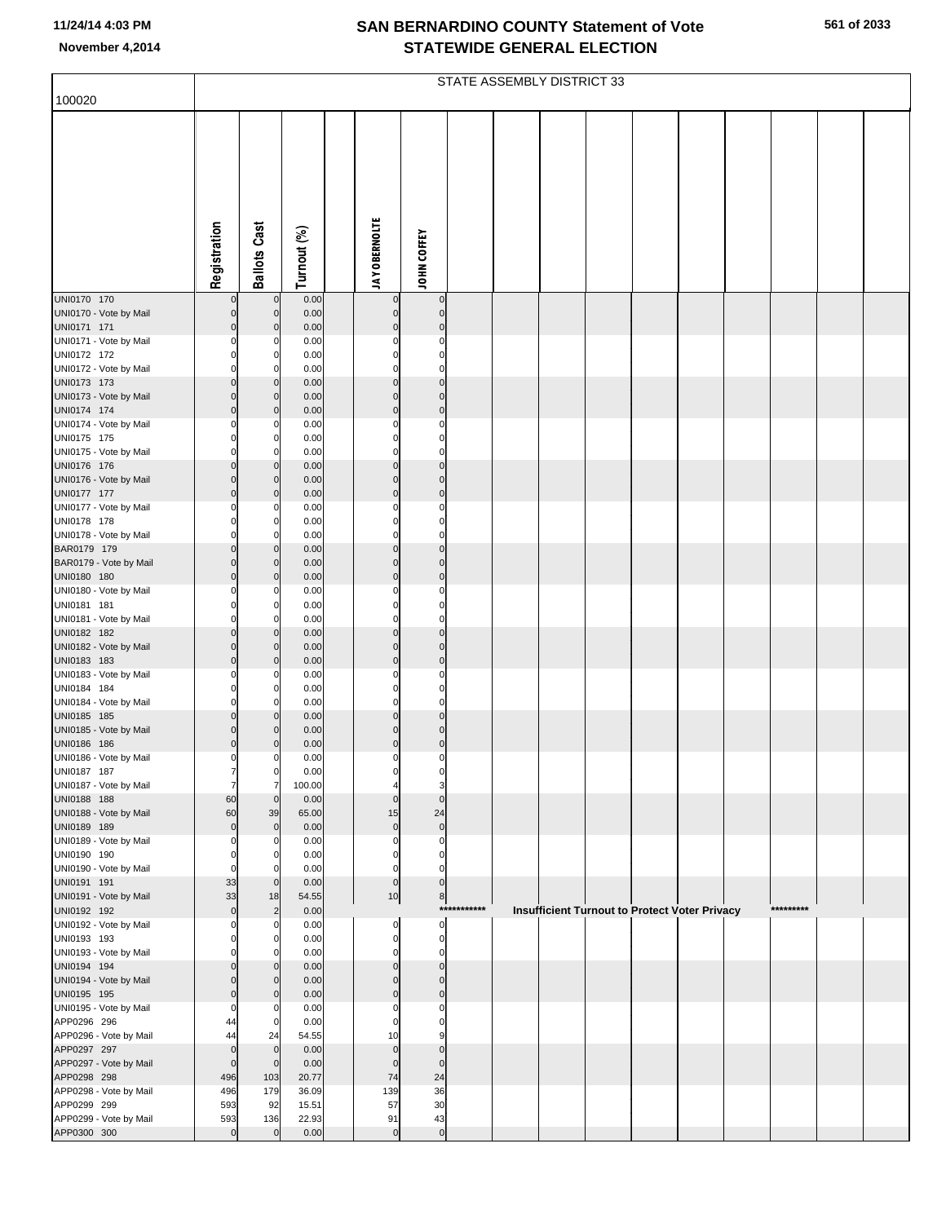| 100020                                |                                    | STATE ASSEMBLY DISTRICT 33 |                |  |                              |                             |             |  |                                                      |  |  |  |           |  |
|---------------------------------------|------------------------------------|----------------------------|----------------|--|------------------------------|-----------------------------|-------------|--|------------------------------------------------------|--|--|--|-----------|--|
|                                       |                                    |                            |                |  |                              |                             |             |  |                                                      |  |  |  |           |  |
|                                       |                                    |                            |                |  |                              |                             |             |  |                                                      |  |  |  |           |  |
|                                       |                                    |                            |                |  |                              |                             |             |  |                                                      |  |  |  |           |  |
|                                       |                                    |                            |                |  |                              |                             |             |  |                                                      |  |  |  |           |  |
|                                       |                                    |                            |                |  |                              |                             |             |  |                                                      |  |  |  |           |  |
|                                       |                                    |                            |                |  |                              |                             |             |  |                                                      |  |  |  |           |  |
|                                       |                                    |                            |                |  |                              |                             |             |  |                                                      |  |  |  |           |  |
|                                       |                                    |                            |                |  |                              |                             |             |  |                                                      |  |  |  |           |  |
|                                       | Registration                       | <b>Ballots Cast</b>        | Turnout (%)    |  | <b>JAY OBERNOLTE</b>         | <b>JOHN COFFEY</b>          |             |  |                                                      |  |  |  |           |  |
|                                       |                                    |                            |                |  |                              |                             |             |  |                                                      |  |  |  |           |  |
| UNI0170 170                           |                                    | $\mathbf 0$                | 0.00           |  |                              | $\bf{0}$                    |             |  |                                                      |  |  |  |           |  |
| UNI0170 - Vote by Mail<br>UNI0171 171 | $\mathsf{O}\xspace$<br>$\mathbf 0$ | $\mathbf 0$<br>$\mathbf 0$ | 0.00<br>0.00   |  | $\mathbf 0$<br>$\mathbf{0}$  | $\mathbf 0$<br>$\mathbf 0$  |             |  |                                                      |  |  |  |           |  |
| UNI0171 - Vote by Mail                | $\Omega$                           | $\Omega$                   | 0.00           |  | O                            | $\Omega$                    |             |  |                                                      |  |  |  |           |  |
| UNI0172 172                           | $\Omega$                           | $\mathbf 0$                | 0.00           |  | $\Omega$                     | $\mathbf 0$                 |             |  |                                                      |  |  |  |           |  |
| UNI0172 - Vote by Mail<br>UNI0173 173 | $\Omega$<br>$\mathsf{O}\xspace$    | $\mathbf 0$<br>$\mathbf 0$ | 0.00<br>0.00   |  | $\mathbf 0$<br>$\mathbf{0}$  | $\mathbf 0$<br>$\mathbf 0$  |             |  |                                                      |  |  |  |           |  |
| UNI0173 - Vote by Mail                | $\mathbf 0$                        | $\mathbf 0$                | 0.00           |  | $\mathbf{0}$                 | $\mathbf{0}$                |             |  |                                                      |  |  |  |           |  |
| UNI0174 174                           | $\mathbf 0$                        | $\mathbf 0$                | 0.00           |  | $\mathbf{0}$                 | $\mathbf 0$                 |             |  |                                                      |  |  |  |           |  |
| UNI0174 - Vote by Mail<br>UNI0175 175 | $\Omega$<br>0                      | $\Omega$<br>$\mathbf 0$    | 0.00<br>0.00   |  | $\Omega$<br>$\Omega$         | $\Omega$<br>0               |             |  |                                                      |  |  |  |           |  |
| UNI0175 - Vote by Mail                | $\Omega$                           | $\Omega$                   | 0.00           |  | $\Omega$                     | $\mathbf 0$                 |             |  |                                                      |  |  |  |           |  |
| UNI0176 176                           | 0                                  | $\mathbf 0$                | 0.00           |  | $\mathbf 0$                  | $\mathbf 0$                 |             |  |                                                      |  |  |  |           |  |
| UNI0176 - Vote by Mail<br>UNI0177 177 | $\mathbf 0$<br>$\mathbf 0$         | $\mathbf 0$<br>$\mathbf 0$ | 0.00<br>0.00   |  | $\mathbf{0}$<br>$\mathbf{0}$ | $\mathbf{0}$<br>$\mathbf 0$ |             |  |                                                      |  |  |  |           |  |
| UNI0177 - Vote by Mail                | $\Omega$                           | $\Omega$                   | 0.00           |  | $\Omega$                     | 0                           |             |  |                                                      |  |  |  |           |  |
| UNI0178 178                           | $\Omega$                           | $\mathbf 0$                | 0.00           |  | $\Omega$                     | $\mathbf 0$                 |             |  |                                                      |  |  |  |           |  |
| UNI0178 - Vote by Mail                | $\Omega$                           | $\Omega$<br>$\mathbf 0$    | 0.00<br>0.00   |  | $\mathbf 0$<br>$\mathbf 0$   | $\mathbf 0$                 |             |  |                                                      |  |  |  |           |  |
| BAR0179 179<br>BAR0179 - Vote by Mail | $\mathsf{O}\xspace$<br>$\mathbf 0$ | $\mathbf 0$                | 0.00           |  | $\mathbf{0}$                 | $\pmb{0}$<br>$\mathbf 0$    |             |  |                                                      |  |  |  |           |  |
| UNI0180 180                           | $\mathbf 0$                        | $\mathbf 0$                | 0.00           |  | $\mathbf{0}$                 | $\mathbf 0$                 |             |  |                                                      |  |  |  |           |  |
| UNI0180 - Vote by Mail                | $\Omega$                           | $\Omega$                   | 0.00           |  | O                            | $\Omega$                    |             |  |                                                      |  |  |  |           |  |
| UNI0181 181<br>UNI0181 - Vote by Mail | 0<br>$\Omega$                      | $\mathbf 0$<br>$\Omega$    | 0.00<br>0.00   |  | $\Omega$<br>$\Omega$         | 0<br>$\mathbf 0$            |             |  |                                                      |  |  |  |           |  |
| UNI0182 182                           | $\mathbf 0$                        | $\mathbf 0$                | 0.00           |  | $\mathbf 0$                  | $\mathbf 0$                 |             |  |                                                      |  |  |  |           |  |
| UNI0182 - Vote by Mail                | $\mathbf 0$                        | $\mathbf 0$                | 0.00           |  | $\mathbf{0}$                 | $\mathbf{0}$                |             |  |                                                      |  |  |  |           |  |
| UNI0183 183<br>UNI0183 - Vote by Mail | $\mathbf 0$<br>$\Omega$            | $\mathbf 0$<br>$\Omega$    | 0.00<br>0.00   |  | $\mathbf{0}$<br>$\Omega$     | $\mathbf 0$<br>$\Omega$     |             |  |                                                      |  |  |  |           |  |
| UNI0184 184                           | 0                                  | $\mathbf 0$                | 0.00           |  | $\Omega$                     | 0                           |             |  |                                                      |  |  |  |           |  |
| UNI0184 - Vote by Mail                | 0                                  | $\Omega$                   | 0.00           |  | $\mathbf 0$                  | $\mathbf 0$                 |             |  |                                                      |  |  |  |           |  |
| UNI0185 185<br>UNI0185 - Vote by Mail | $\mathsf{O}\xspace$<br>$\mathbf 0$ | $\mathbf{0}$<br>$\Omega$   | 0.00<br>0.00   |  | $\mathbf 0$<br>$\mathbf{0}$  | $\mathbf 0$<br>$\mathbf 0$  |             |  |                                                      |  |  |  |           |  |
| UNI0186 186                           | $\mathbf 0$                        | $\Omega$                   | 0.00           |  | $\mathbf 0$                  | $\pmb{0}$                   |             |  |                                                      |  |  |  |           |  |
| UNI0186 - Vote by Mail                | 0                                  | C                          | 0.00           |  | O                            | $\Omega$                    |             |  |                                                      |  |  |  |           |  |
| UNI0187 187<br>UNI0187 - Vote by Mail | 7                                  | U<br>7                     | 0.00<br>100.00 |  | $\overline{4}$               | 3                           |             |  |                                                      |  |  |  |           |  |
| UNI0188 188                           | 60                                 | $\mathbf 0$                | 0.00           |  | $\mathbf{0}$                 | $\mathbf{0}$                |             |  |                                                      |  |  |  |           |  |
| UNI0188 - Vote by Mail                | 60                                 | 39                         | 65.00          |  | 15                           | 24                          |             |  |                                                      |  |  |  |           |  |
| UNI0189 189<br>UNI0189 - Vote by Mail | $\mathbf 0$                        | $\mathbf 0$<br>$\Omega$    | 0.00<br>0.00   |  | $\mathbf 0$<br>0             | $\pmb{0}$<br>0              |             |  |                                                      |  |  |  |           |  |
| UNI0190 190                           | 0                                  | $\Omega$                   | 0.00           |  | 0                            | 0                           |             |  |                                                      |  |  |  |           |  |
| UNI0190 - Vote by Mail                | $\Omega$                           | $\Omega$                   | 0.00           |  | $\mathbf 0$                  | $\mathbf 0$                 |             |  |                                                      |  |  |  |           |  |
| UNI0191 191<br>UNI0191 - Vote by Mail | 33<br>33                           | $\mathbf 0$<br>18          | 0.00<br>54.55  |  | $\pmb{0}$<br>10              | $\pmb{0}$<br>8              |             |  |                                                      |  |  |  |           |  |
| UNI0192 192                           | $\mathbf 0$                        | $\overline{2}$             | 0.00           |  |                              |                             | *********** |  | <b>Insufficient Turnout to Protect Voter Privacy</b> |  |  |  | ********* |  |
| UNI0192 - Vote by Mail                |                                    | $\Omega$                   | 0.00           |  | 0                            | $\mathbf 0$                 |             |  |                                                      |  |  |  |           |  |
| UNI0193 193<br>UNI0193 - Vote by Mail | O                                  | $\mathbf 0$<br>$\Omega$    | 0.00<br>0.00   |  | 0<br>$\mathbf 0$             | $\pmb{0}$<br>0              |             |  |                                                      |  |  |  |           |  |
| UNI0194 194                           | $\Omega$                           | $\mathbf{0}$               | 0.00           |  | $\mathbf 0$                  | $\mathbf 0$                 |             |  |                                                      |  |  |  |           |  |
| UNI0194 - Vote by Mail                | $\Omega$                           | $\Omega$                   | 0.00           |  | $\Omega$                     | $\Omega$                    |             |  |                                                      |  |  |  |           |  |
| UNI0195 195<br>UNI0195 - Vote by Mail | $\mathbf 0$<br>$\Omega$            | $\Omega$<br>O              | 0.00<br>0.00   |  | $\mathbf 0$<br>O             | $\mathbf 0$<br>$\Omega$     |             |  |                                                      |  |  |  |           |  |
| APP0296 296                           | 44                                 | $\mathbf 0$                | 0.00           |  | 0                            | 0                           |             |  |                                                      |  |  |  |           |  |
| APP0296 - Vote by Mail                | 44                                 | 24                         | 54.55          |  | 10                           | 9                           |             |  |                                                      |  |  |  |           |  |
| APP0297 297<br>APP0297 - Vote by Mail | $\mathbf 0$<br>$\mathbf 0$         | $\mathbf 0$<br>$\mathbf 0$ | 0.00<br>0.00   |  | $\mathbf 0$<br>$\mathbf{0}$  | $\mathbf 0$<br>$\mathbf{0}$ |             |  |                                                      |  |  |  |           |  |
| APP0298 298                           | 496                                | 103                        | 20.77          |  | 74                           | 24                          |             |  |                                                      |  |  |  |           |  |
| APP0298 - Vote by Mail                | 496                                | 179                        | 36.09          |  | 139                          | 36                          |             |  |                                                      |  |  |  |           |  |
| APP0299 299<br>APP0299 - Vote by Mail | 593<br>593                         | 92<br>136                  | 15.51<br>22.93 |  | 57<br>91                     | 30<br>43                    |             |  |                                                      |  |  |  |           |  |
| APP0300 300                           | $\Omega$                           | $\mathbf 0$                | 0.00           |  | $\mathbf{0}$                 | $\pmb{0}$                   |             |  |                                                      |  |  |  |           |  |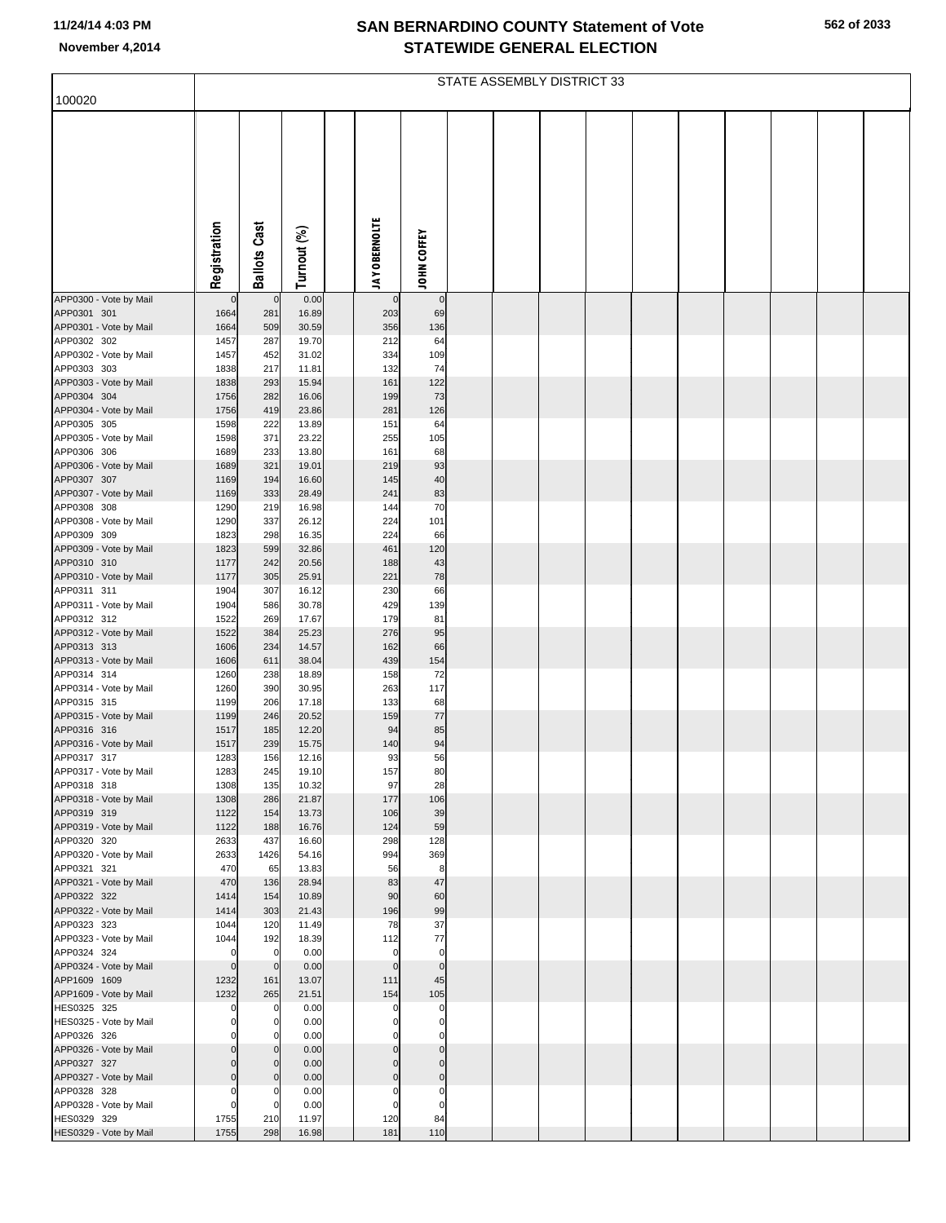|                                        |                            | STATE ASSEMBLY DISTRICT 33 |                |  |                            |                         |  |  |  |  |  |  |  |  |
|----------------------------------------|----------------------------|----------------------------|----------------|--|----------------------------|-------------------------|--|--|--|--|--|--|--|--|
| 100020                                 |                            |                            |                |  |                            |                         |  |  |  |  |  |  |  |  |
|                                        |                            |                            |                |  |                            |                         |  |  |  |  |  |  |  |  |
|                                        | Registration               | <b>Ballots Cast</b>        | Turnout (%)    |  | <b>JAY OBERNOLTE</b>       | JOHN COFFEY             |  |  |  |  |  |  |  |  |
| APP0300 - Vote by Mail                 | $\mathbf 0$                | $\mathbf 0$                | 0.00           |  | $\mathbf 0$                | $\mathbf 0$             |  |  |  |  |  |  |  |  |
| APP0301 301                            | 1664                       | 281                        | 16.89          |  | 203                        | 69                      |  |  |  |  |  |  |  |  |
| APP0301 - Vote by Mail<br>APP0302 302  | 1664<br>1457               | 509<br>287                 | 30.59<br>19.70 |  | 356<br>212                 | 136<br>64               |  |  |  |  |  |  |  |  |
| APP0302 - Vote by Mail                 | 1457                       | 452                        | 31.02          |  | 334                        | 109                     |  |  |  |  |  |  |  |  |
| APP0303 303                            | 1838                       | 217                        | 11.81          |  | 132                        | 74                      |  |  |  |  |  |  |  |  |
| APP0303 - Vote by Mail<br>APP0304 304  | 1838<br>1756               | 293<br>282                 | 15.94<br>16.06 |  | 161<br>199                 | 122<br>73               |  |  |  |  |  |  |  |  |
| APP0304 - Vote by Mail                 | 1756                       | 419                        | 23.86          |  | 281                        | 126                     |  |  |  |  |  |  |  |  |
| APP0305 305                            | 1598                       | 222                        | 13.89          |  | 151                        | 64                      |  |  |  |  |  |  |  |  |
| APP0305 - Vote by Mail<br>APP0306 306  | 1598                       | 371                        | 23.22          |  | 255                        | 105                     |  |  |  |  |  |  |  |  |
| APP0306 - Vote by Mail                 | 1689<br>1689               | 233<br>321                 | 13.80<br>19.01 |  | 161<br>219                 | 68<br>93                |  |  |  |  |  |  |  |  |
| APP0307 307                            | 1169                       | 194                        | 16.60          |  | 145                        | 40                      |  |  |  |  |  |  |  |  |
| APP0307 - Vote by Mail                 | 1169                       | 333                        | 28.49          |  | 241                        | 83                      |  |  |  |  |  |  |  |  |
| APP0308 308<br>APP0308 - Vote by Mail  | 1290<br>1290               | 219<br>337                 | 16.98<br>26.12 |  | 144<br>224                 | 70<br>101               |  |  |  |  |  |  |  |  |
| APP0309 309                            | 1823                       | 298                        | 16.35          |  | 224                        | 66                      |  |  |  |  |  |  |  |  |
| APP0309 - Vote by Mail                 | 1823                       | 599                        | 32.86          |  | 461                        | 120                     |  |  |  |  |  |  |  |  |
| APP0310 310<br>APP0310 - Vote by Mail  | 1177<br>1177               | 242<br>305                 | 20.56<br>25.91 |  | 188<br>221                 | 43<br>78                |  |  |  |  |  |  |  |  |
| APP0311 311                            | 1904                       | 307                        | 16.12          |  | 230                        | 66                      |  |  |  |  |  |  |  |  |
| APP0311 - Vote by Mail                 | 1904                       | 586                        | 30.78          |  | 429                        | 139                     |  |  |  |  |  |  |  |  |
| APP0312 312<br>APP0312 - Vote by Mail  | 1522<br>1522               | 269<br>384                 | 17.67<br>25.23 |  | 179<br>276                 | 81<br>95                |  |  |  |  |  |  |  |  |
| APP0313 313                            | 1606                       | 234                        | 14.57          |  | 162                        | 66                      |  |  |  |  |  |  |  |  |
| APP0313 - Vote by Mail                 | 1606                       | 611                        | 38.04          |  | 439                        | 154                     |  |  |  |  |  |  |  |  |
| APP0314 314                            | 1260                       | 238<br>390                 | 18.89          |  | 158<br>263                 | 72                      |  |  |  |  |  |  |  |  |
| APP0314 - Vote by Mail<br>APP0315 315  | 1260<br>1199               | 206                        | 30.95<br>17.18 |  | 133                        | 117<br>68               |  |  |  |  |  |  |  |  |
| APP0315 - Vote by Mail                 | 1199                       | 246                        | 20.52          |  | 159                        | $77$                    |  |  |  |  |  |  |  |  |
| APP0316 316                            | 1517                       | 185                        | 12.20          |  | 94                         | 85                      |  |  |  |  |  |  |  |  |
| APP0316 - Vote by Mail<br>APP0317 317  | 1517<br>1283               | 239<br>156                 | 15.75<br>12.16 |  | 140<br>93                  | 94<br>56                |  |  |  |  |  |  |  |  |
| APP0317 - Vote by Mail                 | 1283                       | 245                        | 19.10          |  | 157                        | 80                      |  |  |  |  |  |  |  |  |
| APP0318 318                            | 1308                       | 135                        | 10.32          |  | 97                         | 28                      |  |  |  |  |  |  |  |  |
| APP0318 - Vote by Mail<br>APP0319 319  | 1308<br>1122               | 286<br>154                 | 21.87<br>13.73 |  | 177<br>106                 | 106<br>39               |  |  |  |  |  |  |  |  |
| APP0319 - Vote by Mail                 | 1122                       | 188                        | 16.76          |  | 124                        | 59                      |  |  |  |  |  |  |  |  |
| APP0320 320                            | 2633                       | 437                        | 16.60          |  | 298                        | 128                     |  |  |  |  |  |  |  |  |
| APP0320 - Vote by Mail<br>APP0321 321  | 2633<br>470                | 1426<br>65                 | 54.16<br>13.83 |  | 994<br>56                  | 369<br>8                |  |  |  |  |  |  |  |  |
| APP0321 - Vote by Mail                 | 470                        | 136                        | 28.94          |  | 83                         | 47                      |  |  |  |  |  |  |  |  |
| APP0322 322                            | 1414                       | 154                        | 10.89          |  | 90                         | 60                      |  |  |  |  |  |  |  |  |
| APP0322 - Vote by Mail<br>APP0323 323  | 1414<br>1044               | 303<br>120                 | 21.43<br>11.49 |  | 196<br>78                  | 99<br>37                |  |  |  |  |  |  |  |  |
| APP0323 - Vote by Mail                 | 1044                       | 192                        | 18.39          |  | 112                        | 77                      |  |  |  |  |  |  |  |  |
| APP0324 324                            | $\mathbf 0$                | $\mathbf 0$                | 0.00           |  | $\mathbf 0$                | $\mathbf 0$             |  |  |  |  |  |  |  |  |
| APP0324 - Vote by Mail<br>APP1609 1609 | $\mathbf 0$<br>1232        | $\mathbf 0$<br>161         | 0.00<br>13.07  |  | $\mathbf 0$<br>111         | $\mathbf 0$<br>45       |  |  |  |  |  |  |  |  |
| APP1609 - Vote by Mail                 | 1232                       | 265                        | 21.51          |  | 154                        | 105                     |  |  |  |  |  |  |  |  |
| HES0325 325                            | 0                          | $\mathbf 0$                | 0.00           |  | 0                          | $\mathbf 0$             |  |  |  |  |  |  |  |  |
| HES0325 - Vote by Mail<br>APP0326 326  | $\mathbf 0$<br>$\mathbf 0$ | $\mathbf 0$<br>0           | 0.00<br>0.00   |  | $\mathbf 0$<br>$\mathbf 0$ | $\mathbf 0$<br>0        |  |  |  |  |  |  |  |  |
| APP0326 - Vote by Mail                 | $\Omega$                   | $\Omega$                   | 0.00           |  | $\mathbf 0$                | $\mathbf 0$             |  |  |  |  |  |  |  |  |
| APP0327 327                            | $\mathbf 0$                | $\mathbf 0$                | 0.00           |  | $\mathbf 0$                | $\mathbf 0$             |  |  |  |  |  |  |  |  |
| APP0327 - Vote by Mail                 | $\mathbf 0$                | $\Omega$                   | 0.00           |  | $\mathbf 0$                | $\mathbf 0$             |  |  |  |  |  |  |  |  |
| APP0328 328<br>APP0328 - Vote by Mail  | $\mathbf 0$<br>$\mathbf 0$ | 0<br>$\Omega$              | 0.00<br>0.00   |  | $\mathbf 0$<br>$\mathbf 0$ | $\mathbf 0$<br>$\Omega$ |  |  |  |  |  |  |  |  |
| HES0329 329                            | 1755                       | 210                        | 11.97          |  | 120                        | 84                      |  |  |  |  |  |  |  |  |
| HES0329 - Vote by Mail                 | 1755                       | 298                        | 16.98          |  | 181                        | 110                     |  |  |  |  |  |  |  |  |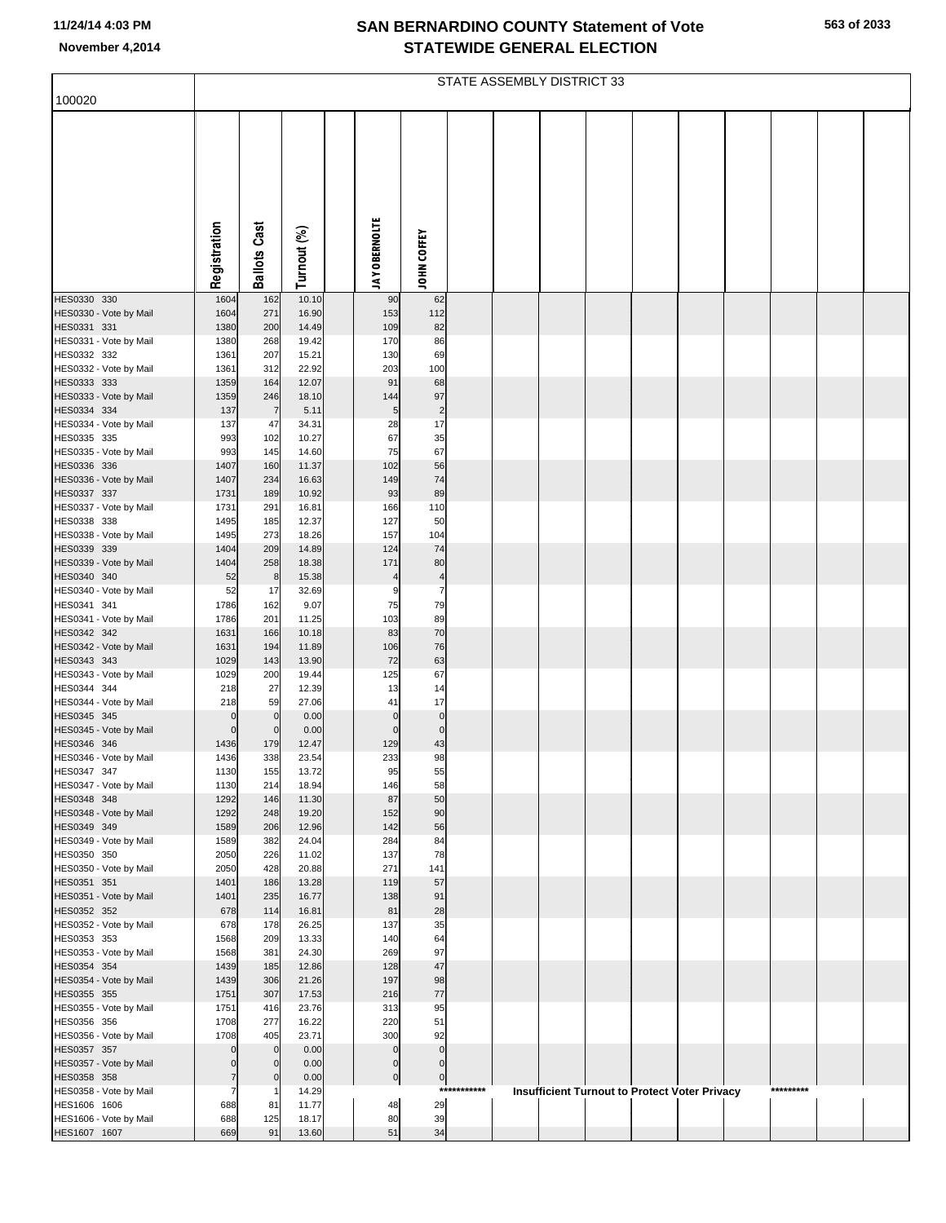|  | 563 of 2033 |
|--|-------------|
|  |             |

|                                        |                     |                     |                |                      |                          |             | STATE ASSEMBLY DISTRICT 33 |  |                                                      |  |           |  |
|----------------------------------------|---------------------|---------------------|----------------|----------------------|--------------------------|-------------|----------------------------|--|------------------------------------------------------|--|-----------|--|
| 100020                                 |                     |                     |                |                      |                          |             |                            |  |                                                      |  |           |  |
|                                        |                     |                     |                |                      |                          |             |                            |  |                                                      |  |           |  |
|                                        | Registration        | <b>Ballots Cast</b> | Turnout (%)    | <b>JAY OBERNOLTE</b> | JOHN COFFEY              |             |                            |  |                                                      |  |           |  |
| HES0330 330                            | 1604                | 162                 | 10.10          | 90                   | 62                       |             |                            |  |                                                      |  |           |  |
| HES0330 - Vote by Mail<br>HES0331 331  | 1604<br>1380        | 271<br>200          | 16.90<br>14.49 | 153<br>109           | 112<br>82                |             |                            |  |                                                      |  |           |  |
| HES0331 - Vote by Mail                 | 1380                | 268                 | 19.42          | 170                  | 86                       |             |                            |  |                                                      |  |           |  |
| HES0332 332                            | 1361                | 207                 | 15.21          | 130                  | 69                       |             |                            |  |                                                      |  |           |  |
| HES0332 - Vote by Mail<br>HES0333 333  | 1361<br>1359        | 312<br>164          | 22.92<br>12.07 | 203<br>91            | 100<br>68                |             |                            |  |                                                      |  |           |  |
| HES0333 - Vote by Mail                 | 1359                | 246                 | 18.10          | 144                  | 97                       |             |                            |  |                                                      |  |           |  |
| HES0334 334                            | 137                 | $\overline{7}$      | 5.11           | 5                    | $\overline{\mathbf{c}}$  |             |                            |  |                                                      |  |           |  |
| HES0334 - Vote by Mail                 | 137                 | 47                  | 34.31          | 28                   | 17                       |             |                            |  |                                                      |  |           |  |
| HES0335 335<br>HES0335 - Vote by Mail  | 993<br>993          | 102<br>145          | 10.27<br>14.60 | 67<br>75             | 35<br>67                 |             |                            |  |                                                      |  |           |  |
| HES0336 336                            | 1407                | 160                 | 11.37          | 102                  | 56                       |             |                            |  |                                                      |  |           |  |
| HES0336 - Vote by Mail                 | 1407                | 234                 | 16.63          | 149                  | 74                       |             |                            |  |                                                      |  |           |  |
| HES0337 337<br>HES0337 - Vote by Mail  | 1731<br>1731        | 189<br>291          | 10.92<br>16.81 | 93<br>166            | 89<br>110                |             |                            |  |                                                      |  |           |  |
| HES0338 338                            | 1495                | 185                 | 12.37          | 127                  | 50                       |             |                            |  |                                                      |  |           |  |
| HES0338 - Vote by Mail                 | 1495                | 273                 | 18.26          | 157                  | 104                      |             |                            |  |                                                      |  |           |  |
| HES0339 339<br>HES0339 - Vote by Mail  | 1404<br>1404        | 209<br>258          | 14.89<br>18.38 | 124<br>171           | 74<br>80                 |             |                            |  |                                                      |  |           |  |
| HES0340 340                            | 52                  | 8                   | 15.38          | $\overline{4}$       | $\overline{\mathcal{L}}$ |             |                            |  |                                                      |  |           |  |
| HES0340 - Vote by Mail                 | 52                  | 17                  | 32.69          | g                    | $\overline{7}$           |             |                            |  |                                                      |  |           |  |
| HES0341 341                            | 1786                | 162                 | 9.07           | 75                   | 79                       |             |                            |  |                                                      |  |           |  |
| HES0341 - Vote by Mail<br>HES0342 342  | 1786<br>1631        | 201<br>166          | 11.25<br>10.18 | 103<br>83            | 89<br>70                 |             |                            |  |                                                      |  |           |  |
| HES0342 - Vote by Mail                 | 1631                | 194                 | 11.89          | 106                  | 76                       |             |                            |  |                                                      |  |           |  |
| HES0343 343                            | 1029                | 143                 | 13.90          | 72                   | 63                       |             |                            |  |                                                      |  |           |  |
| HES0343 - Vote by Mail<br>HES0344 344  | 1029<br>218         | 200<br>27           | 19.44<br>12.39 | 125<br>13            | 67<br>14                 |             |                            |  |                                                      |  |           |  |
| HES0344 - Vote by Mail                 | 218                 | 59                  | 27.06          | 41                   | 17                       |             |                            |  |                                                      |  |           |  |
| HES0345 345                            | $\mathbf 0$         | $\mathbf 0$         | 0.00           | $\Omega$             | $\pmb{0}$                |             |                            |  |                                                      |  |           |  |
| HES0345 - Vote by Mail<br>HES0346 346  | $\mathbf 0$         | $\mathbf 0$<br>179  | 0.00<br>12.47  | $\Omega$<br>129      | $\bf 0$<br>43            |             |                            |  |                                                      |  |           |  |
| HES0346 - Vote by Mail                 | 1436<br>1436        | 338                 | 23.54          | 233                  | 98                       |             |                            |  |                                                      |  |           |  |
| HES0347 347                            | 1130                | 155                 | 13.72          | 95                   | 55                       |             |                            |  |                                                      |  |           |  |
| HES0347 - Vote by Mail                 | 1130                | 214                 | 18.94          | 146<br>87            | 58<br>50                 |             |                            |  |                                                      |  |           |  |
| HES0348 348<br>HES0348 - Vote by Mail  | 1292<br>1292        | 146<br>248          | 11.30<br>19.20 | 152                  | 90                       |             |                            |  |                                                      |  |           |  |
| HES0349 349                            | 1589                | 206                 | 12.96          | 142                  | 56                       |             |                            |  |                                                      |  |           |  |
| HES0349 - Vote by Mail                 | 1589                | 382                 | 24.04          | 284                  | 84                       |             |                            |  |                                                      |  |           |  |
| HES0350 350<br>HES0350 - Vote by Mail  | 2050<br>2050        | 226<br>428          | 11.02<br>20.88 | 137<br>271           | 78<br>141                |             |                            |  |                                                      |  |           |  |
| HES0351 351                            | 1401                | 186                 | 13.28          | 119                  | 57                       |             |                            |  |                                                      |  |           |  |
| HES0351 - Vote by Mail                 | 1401                | 235                 | 16.77          | 138                  | 91                       |             |                            |  |                                                      |  |           |  |
| HES0352 352<br>HES0352 - Vote by Mail  | 678<br>678          | 114<br>178          | 16.81<br>26.25 | 81<br>137            | 28<br>35                 |             |                            |  |                                                      |  |           |  |
| HES0353 353                            | 1568                | 209                 | 13.33          | 140                  | 64                       |             |                            |  |                                                      |  |           |  |
| HES0353 - Vote by Mail                 | 1568                | 381                 | 24.30          | 269                  | 97                       |             |                            |  |                                                      |  |           |  |
| HES0354 354<br>HES0354 - Vote by Mail  | 1439<br>1439        | 185<br>306          | 12.86<br>21.26 | 128<br>197           | 47<br>98                 |             |                            |  |                                                      |  |           |  |
| HES0355 355                            | 1751                | 307                 | 17.53          | 216                  | 77                       |             |                            |  |                                                      |  |           |  |
| HES0355 - Vote by Mail                 | 1751                | 416                 | 23.76          | 313                  | 95                       |             |                            |  |                                                      |  |           |  |
| HES0356 356                            | 1708                | 277                 | 16.22          | 220                  | 51                       |             |                            |  |                                                      |  |           |  |
| HES0356 - Vote by Mail<br>HES0357 357  | 1708<br>$\mathbf 0$ | 405<br>$\mathbf 0$  | 23.71<br>0.00  | 300<br>$\Omega$      | 92<br>$\mathbf 0$        |             |                            |  |                                                      |  |           |  |
| HES0357 - Vote by Mail                 | $\mathbf 0$         | $\mathbf 0$         | 0.00           | $\mathbf 0$          | $\mathbf 0$              |             |                            |  |                                                      |  |           |  |
| HES0358 358                            | $\overline{7}$      | $\mathsf{C}$        | 0.00           | $\pmb{0}$            | $\overline{0}$           |             |                            |  |                                                      |  |           |  |
| HES0358 - Vote by Mail                 | 7                   | -1                  | 14.29          |                      |                          | *********** |                            |  | <b>Insufficient Turnout to Protect Voter Privacy</b> |  | ********* |  |
| HES1606 1606<br>HES1606 - Vote by Mail | 688<br>688          | 81<br>125           | 11.77<br>18.17 | 48<br>80             | 29<br>39                 |             |                            |  |                                                      |  |           |  |
| HES1607 1607                           | 669                 | 91                  | 13.60          | 51                   | 34                       |             |                            |  |                                                      |  |           |  |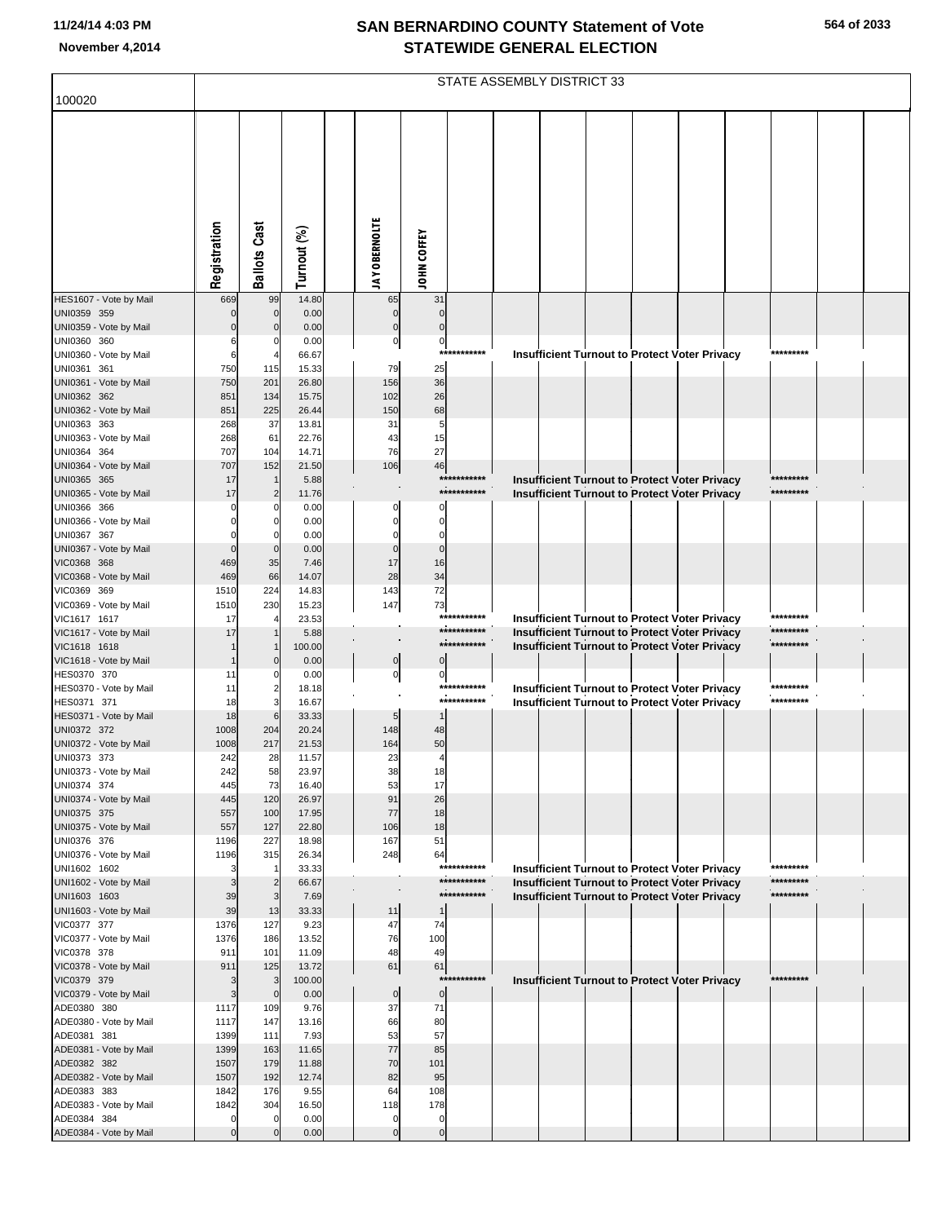|                                        |              |                            |                |                            |                    |                            | STATE ASSEMBLY DISTRICT 33 |  |                                                                                                       |                        |  |
|----------------------------------------|--------------|----------------------------|----------------|----------------------------|--------------------|----------------------------|----------------------------|--|-------------------------------------------------------------------------------------------------------|------------------------|--|
| 100020                                 |              |                            |                |                            |                    |                            |                            |  |                                                                                                       |                        |  |
|                                        | Registration | <b>Ballots Cast</b>        | Turnout (%)    | <b>JAY OBERNOLTE</b>       | <b>JOHN COFFEY</b> |                            |                            |  |                                                                                                       |                        |  |
| HES1607 - Vote by Mail                 | 669          | 99                         | 14.80          | 65                         | 31                 |                            |                            |  |                                                                                                       |                        |  |
| UNI0359 359<br>UNI0359 - Vote by Mail  | $\Omega$     | $\mathbf 0$<br>$\mathbf 0$ | 0.00<br>0.00   | $\mathbf 0$<br>$\mathbf 0$ |                    |                            |                            |  |                                                                                                       |                        |  |
| UNI0360 360                            | 6            | 0                          | 0.00           | $\overline{0}$             | $\pmb{0}$          |                            |                            |  |                                                                                                       |                        |  |
| UNI0360 - Vote by Mail                 | 6            |                            | 66.67          |                            | ***                | ********                   |                            |  | Insufficient Turnout to Protect Voter Privacy                                                         | *********              |  |
| UNI0361 361                            | 750          | 115                        | 15.33          | 79                         | 25                 |                            |                            |  |                                                                                                       |                        |  |
| UNI0361 - Vote by Mail<br>UNI0362 362  | 750<br>851   | 201<br>134                 | 26.80<br>15.75 | 156<br>102                 | 36<br>26           |                            |                            |  |                                                                                                       |                        |  |
| UNI0362 - Vote by Mail                 | 851          | 225                        | 26.44          | 150                        | 68                 |                            |                            |  |                                                                                                       |                        |  |
| UNI0363 363                            | 268          | 37                         | 13.81          | 31                         | 5                  |                            |                            |  |                                                                                                       |                        |  |
| UNI0363 - Vote by Mail                 | 268          | 61                         | 22.76          | 43                         | 15                 |                            |                            |  |                                                                                                       |                        |  |
| UNI0364 364<br>UNI0364 - Vote by Mail  | 707          | 104                        | 14.71          | 76<br>106                  | 27                 |                            |                            |  |                                                                                                       |                        |  |
| UNI0365 365                            | 707<br>17    | 152                        | 21.50<br>5.88  |                            | 46<br>***          |                            |                            |  | Insufficient Turnout to Protect Voter Privacy                                                         | *********              |  |
| UNI0365 - Vote by Mail                 | 17           | $\overline{2}$             | 11.76          |                            |                    | ***********                |                            |  | Insufficient Turnout to Protect Voter Privacy                                                         | *********              |  |
| UNI0366 366                            | $\Omega$     | 0                          | 0.00           |                            |                    |                            |                            |  |                                                                                                       |                        |  |
| UNI0366 - Vote by Mail                 | $\Omega$     | $\Omega$                   | 0.00           |                            |                    |                            |                            |  |                                                                                                       |                        |  |
| UNI0367 367                            | $\Omega$     | $\Omega$                   | 0.00<br>0.00   | $\Omega$                   | C<br>$\mathsf{C}$  |                            |                            |  |                                                                                                       |                        |  |
| UNI0367 - Vote by Mail<br>VIC0368 368  | 469          | $\mathbf 0$<br>35          | 7.46           | 17                         | 16                 |                            |                            |  |                                                                                                       |                        |  |
| VIC0368 - Vote by Mail                 | 469          | 66                         | 14.07          | 28                         | 34                 |                            |                            |  |                                                                                                       |                        |  |
| VIC0369 369                            | 1510         | 224                        | 14.83          | 143                        | 72                 |                            |                            |  |                                                                                                       |                        |  |
| VIC0369 - Vote by Mail                 | 1510         | 230                        | 15.23          | 147                        | 73                 |                            |                            |  |                                                                                                       |                        |  |
| VIC1617 1617                           | 17<br>17     |                            | 23.53<br>5.88  |                            |                    | ***********<br>*********** |                            |  | <b>Insufficient Turnout to Protect Voter Privacy</b>                                                  | *********<br>********* |  |
| VIC1617 - Vote by Mail<br>VIC1618 1618 |              |                            | 100.00         |                            |                    | ***********                |                            |  | <b>Insufficient Turnout to Protect Voter Privacy</b><br>Insufficient Turnout to Protect Voter Privacy | *********              |  |
| VIC1618 - Vote by Mail                 |              | $\mathbf{0}$               | 0.00           | $\pmb{0}$                  |                    |                            |                            |  |                                                                                                       |                        |  |
| HES0370 370                            | 11           | 0                          | 0.00           | $\overline{0}$             | 0                  |                            |                            |  |                                                                                                       |                        |  |
| HES0370 - Vote by Mail                 | 11           | $\overline{2}$             | 18.18          |                            |                    | ***********<br>*********** |                            |  | Insufficient Turnout to Protect Voter Privacy                                                         | *********<br>********* |  |
| HES0371 371<br>HES0371 - Vote by Mail  | 18<br>18     | 3<br>6                     | 16.67<br>33.33 | 5                          |                    |                            |                            |  | Insufficient Turnout to Protect Voter Privacy                                                         |                        |  |
| UNI0372 372                            | 1008         | 204                        | 20.24          | 148                        | 48                 |                            |                            |  |                                                                                                       |                        |  |
| UNI0372 - Vote by Mail                 | 1008         | 217                        | 21.53          | 164                        | 50                 |                            |                            |  |                                                                                                       |                        |  |
| UNI0373 373                            | 242          | 28                         | 11.57          | 23                         | $\overline{4}$     |                            |                            |  |                                                                                                       |                        |  |
| UNI0373 - Vote by Mail                 | 242          | 58                         | 23.97          | 38                         | 18                 |                            |                            |  |                                                                                                       |                        |  |
| UNI0374 374<br>UNI0374 - Vote by Mail  | 445<br>445   | 73<br>120                  | 16.40<br>26.97 | 53<br>91                   | 17<br>26           |                            |                            |  |                                                                                                       |                        |  |
| UNI0375 375                            | 557          | 100                        | 17.95          | 77                         | 18                 |                            |                            |  |                                                                                                       |                        |  |
| UNI0375 - Vote by Mail                 | 557          | 127                        | 22.80          | 106                        | 18                 |                            |                            |  |                                                                                                       |                        |  |
| UNI0376 376                            | 1196         | 227                        | 18.98          | 167                        | 51                 |                            |                            |  |                                                                                                       |                        |  |
| UNI0376 - Vote by Mail<br>UNI1602 1602 | 1196<br>3    | 315<br>-1                  | 26.34<br>33.33 | 248                        | 64                 | ***********                |                            |  | Insufficient Turnout to Protect Voter Privacy                                                         | *********              |  |
| UNI1602 - Vote by Mail                 | 3            | $\overline{2}$             | 66.67          |                            |                    | ***********                |                            |  | Insufficient Turnout to Protect Voter Privacy                                                         | *********              |  |
| UNI1603 1603                           | 39           | 3                          | 7.69           |                            |                    | ***********                |                            |  | <b>Insufficient Turnout to Protect Voter Privacy</b>                                                  | *********              |  |
| UNI1603 - Vote by Mail                 | 39           | 13                         | 33.33          | 11                         |                    |                            |                            |  |                                                                                                       |                        |  |
| VIC0377 377                            | 1376         | 127                        | 9.23           | 47                         | 74                 |                            |                            |  |                                                                                                       |                        |  |
| VIC0377 - Vote by Mail<br>VIC0378 378  | 1376<br>911  | 186<br>101                 | 13.52<br>11.09 | 76<br>48                   | 100<br>49          |                            |                            |  |                                                                                                       |                        |  |
| VIC0378 - Vote by Mail                 | 911          | 125                        | 13.72          | 61                         | 61                 |                            |                            |  |                                                                                                       |                        |  |
| VIC0379 379                            | 3            | 3                          | 100.00         |                            | $***$              | *******                    |                            |  | Insufficient Turnout to Protect Voter Privacy                                                         | *********              |  |
| VIC0379 - Vote by Mail                 | 3            | $\mathbf 0$                | 0.00           | $\mathbf 0$                | $\boldsymbol{0}$   |                            |                            |  |                                                                                                       |                        |  |
| ADE0380 380                            | 1117         | 109                        | 9.76           | 37                         | 71                 |                            |                            |  |                                                                                                       |                        |  |
| ADE0380 - Vote by Mail<br>ADE0381 381  | 1117<br>1399 | 147<br>111                 | 13.16<br>7.93  | 66<br>53                   | 80<br>57           |                            |                            |  |                                                                                                       |                        |  |
| ADE0381 - Vote by Mail                 | 1399         | 163                        | 11.65          | 77                         | 85                 |                            |                            |  |                                                                                                       |                        |  |
| ADE0382 382                            | 1507         | 179                        | 11.88          | 70                         | 101                |                            |                            |  |                                                                                                       |                        |  |
| ADE0382 - Vote by Mail                 | 1507         | 192                        | 12.74          | 82                         | 95                 |                            |                            |  |                                                                                                       |                        |  |
| ADE0383 383<br>ADE0383 - Vote by Mail  | 1842<br>1842 | 176<br>304                 | 9.55<br>16.50  | 64<br>118                  | 108<br>178         |                            |                            |  |                                                                                                       |                        |  |
| ADE0384 384                            | $\Omega$     | $\mathbf 0$                | 0.00           | 0                          | C                  |                            |                            |  |                                                                                                       |                        |  |
| ADE0384 - Vote by Mail                 | $\Omega$     | $\mathbf{0}$               | 0.00           | $\mathbf 0$                | $\mathbf 0$        |                            |                            |  |                                                                                                       |                        |  |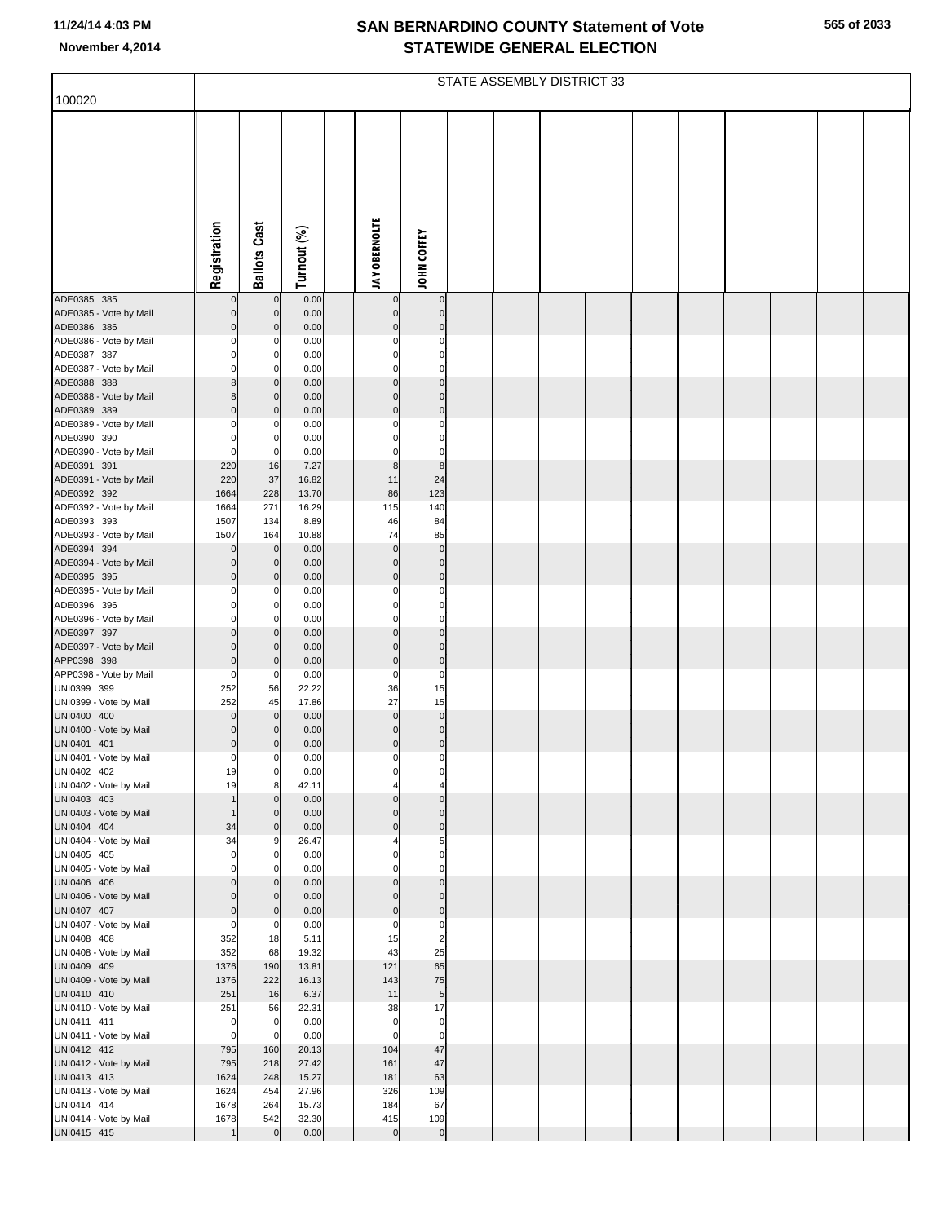|  | 565 of 2033 |
|--|-------------|
|  |             |

|                                       |                            |                            |                |                               |                                        | STATE ASSEMBLY DISTRICT 33 |  |  |  |  |
|---------------------------------------|----------------------------|----------------------------|----------------|-------------------------------|----------------------------------------|----------------------------|--|--|--|--|
| 100020                                |                            |                            |                |                               |                                        |                            |  |  |  |  |
|                                       | Registration               | <b>Ballots Cast</b>        | Turnout (%)    | <b>JAY OBERNOLTE</b>          | JOHN COFFEY                            |                            |  |  |  |  |
| ADE0385 385                           | 0                          | $\mathbf 0$                | 0.00           | 0                             | $\overline{0}$                         |                            |  |  |  |  |
| ADE0385 - Vote by Mail                | $\Omega$                   | $\mathbf 0$                | 0.00           | $\pmb{0}$                     | $\pmb{0}$                              |                            |  |  |  |  |
| ADE0386 386                           | $\Omega$                   | C                          | 0.00           | $\mathbf 0$                   | $\mathbf 0$                            |                            |  |  |  |  |
| ADE0386 - Vote by Mail<br>ADE0387 387 | $\Omega$<br>$\Omega$       | C<br>C                     | 0.00<br>0.00   | $\Omega$<br>$\Omega$          | $\pmb{0}$<br>$\mathbf 0$               |                            |  |  |  |  |
| ADE0387 - Vote by Mail                | $\Omega$                   | C                          | 0.00           | 0                             | $\mathbf 0$                            |                            |  |  |  |  |
| ADE0388 388                           | 8                          | C                          | 0.00           | $\mathbf 0$                   | $\mathbf 0$                            |                            |  |  |  |  |
| ADE0388 - Vote by Mail                | 8                          | C                          | 0.00           | $\mathbf 0$                   | $\mathbf 0$                            |                            |  |  |  |  |
| ADE0389 389                           | $\Omega$                   | -C                         | 0.00           | $\mathbf 0$                   | $\mathbf 0$                            |                            |  |  |  |  |
| ADE0389 - Vote by Mail<br>ADE0390 390 | 0<br>$\Omega$              | 0<br>0                     | 0.00<br>0.00   | 0<br>$\Omega$                 | $\pmb{0}$<br>$\mathbf 0$               |                            |  |  |  |  |
| ADE0390 - Vote by Mail                | $\Omega$                   | C.                         | 0.00           | 0                             | $\pmb{0}$                              |                            |  |  |  |  |
| ADE0391 391                           | 220                        | 16                         | 7.27           | $\bf8$                        | $\bf8$                                 |                            |  |  |  |  |
| ADE0391 - Vote by Mail                | 220                        | 37                         | 16.82          | 11                            | 24                                     |                            |  |  |  |  |
| ADE0392 392<br>ADE0392 - Vote by Mail | 1664<br>1664               | 228<br>271                 | 13.70<br>16.29 | 86<br>115                     | 123<br>140                             |                            |  |  |  |  |
| ADE0393 393                           | 1507                       | 134                        | 8.89           | 46                            | 84                                     |                            |  |  |  |  |
| ADE0393 - Vote by Mail                | 1507                       | 164                        | 10.88          | 74                            | 85                                     |                            |  |  |  |  |
| ADE0394 394                           | $\Omega$                   | $\mathbf 0$                | 0.00           | $\mathbf 0$                   | $\pmb{0}$                              |                            |  |  |  |  |
| ADE0394 - Vote by Mail<br>ADE0395 395 | $\Omega$<br>$\Omega$       | $\mathbf 0$<br>-C          | 0.00           | $\mathbf 0$<br>$\mathbf 0$    | $\pmb{0}$<br>$\mathbf 0$               |                            |  |  |  |  |
| ADE0395 - Vote by Mail                | 0                          | C                          | 0.00<br>0.00   | 0                             | $\pmb{0}$                              |                            |  |  |  |  |
| ADE0396 396                           | $\Omega$                   | C                          | 0.00           | $\Omega$                      | $\mathbf 0$                            |                            |  |  |  |  |
| ADE0396 - Vote by Mail                | 0                          | C                          | 0.00           | 0                             | $\mathbf 0$                            |                            |  |  |  |  |
| ADE0397 397                           | $\Omega$<br>$\Omega$       | C<br>$\mathbf 0$           | 0.00           | $\mathbf 0$<br>$\mathbf 0$    | $\mathbf 0$<br>$\pmb{0}$               |                            |  |  |  |  |
| ADE0397 - Vote by Mail<br>APP0398 398 | $\mathbf 0$                | C                          | 0.00<br>0.00   | $\pmb{0}$                     | $\mathbf 0$                            |                            |  |  |  |  |
| APP0398 - Vote by Mail                | $\Omega$                   | 0                          | 0.00           | 0                             | $\pmb{0}$                              |                            |  |  |  |  |
| UNI0399 399                           | 252                        | 56                         | 22.22          | 36                            | 15                                     |                            |  |  |  |  |
| UNI0399 - Vote by Mail<br>UNI0400 400 | 252<br>$\Omega$            | 45<br>$\mathbf 0$          | 17.86<br>0.00  | 27<br>$\mathbf 0$             | 15<br>$\pmb{0}$                        |                            |  |  |  |  |
| UNI0400 - Vote by Mail                | $\Omega$                   | <sup>-</sup>               | 0.00           | $\pmb{0}$                     | $\mathbf 0$                            |                            |  |  |  |  |
| UNI0401 401                           | $\Omega$                   | C                          | 0.00           | $\pmb{0}$                     | $\mathbf 0$                            |                            |  |  |  |  |
| UNI0401 - Vote by Mail                | $\overline{0}$             | 0                          | 0.00           | 0                             | $\overline{0}$                         |                            |  |  |  |  |
| UNI0402 402                           | 19                         | 0                          | 0.00           | 0                             | $\overline{0}$                         |                            |  |  |  |  |
| UNI0402 - Vote by Mail<br>UNI0403 403 | 19                         | 8<br>C                     | 42.11<br>0.00  | $\overline{4}$<br>$\mathbf 0$ | $\overline{\mathbf{4}}$<br>$\mathbf 0$ |                            |  |  |  |  |
| UNI0403 - Vote by Mail                | 1                          | $\Omega$                   | 0.00           | $\mathbf 0$                   | $\mathbf 0$                            |                            |  |  |  |  |
| UNI0404 404                           | 34                         | $\Omega$                   | 0.00           | $\mathbf 0$                   | $\mathbf 0$                            |                            |  |  |  |  |
| UNI0404 - Vote by Mail                | 34                         | 9                          | 26.47          |                               | 5<br>$\mathbf 0$                       |                            |  |  |  |  |
| UNI0405 405<br>UNI0405 - Vote by Mail | $\mathbf 0$<br>$\Omega$    | $\Omega$<br>0              | 0.00<br>0.00   | $\Omega$<br>$\Omega$          | $\overline{0}$                         |                            |  |  |  |  |
| UNI0406 406                           | $\Omega$                   | C                          | 0.00           | $\mathbf 0$                   | $\mathbf 0$                            |                            |  |  |  |  |
| UNI0406 - Vote by Mail                | $\Omega$                   | $\Omega$                   | 0.00           | $\mathbf 0$                   | $\mathbf 0$                            |                            |  |  |  |  |
| UNI0407 407<br>UNI0407 - Vote by Mail | $\mathbf 0$<br>$\mathbf 0$ | $\mathbf 0$<br>$\mathbf 0$ | 0.00<br>0.00   | $\mathbf 0$<br>0              | $\mathbf 0$<br>$\overline{0}$          |                            |  |  |  |  |
| UNI0408 408                           | 352                        | 18                         | 5.11           | 15                            | $\overline{\mathbf{c}}$                |                            |  |  |  |  |
| UNI0408 - Vote by Mail                | 352                        | 68                         | 19.32          | 43                            | 25                                     |                            |  |  |  |  |
| UNI0409 409                           | 1376                       | 190                        | 13.81          | 121                           | 65                                     |                            |  |  |  |  |
| UNI0409 - Vote by Mail                | 1376                       | 222                        | 16.13<br>6.37  | 143                           | 75                                     |                            |  |  |  |  |
| UNI0410 410<br>UNI0410 - Vote by Mail | 251<br>251                 | 16<br>56                   | 22.31          | 11<br>38                      | $\overline{5}$<br>17                   |                            |  |  |  |  |
| UNI0411 411                           | $\mathbf 0$                | $\mathbf 0$                | 0.00           | $\mathbf 0$                   | $\overline{0}$                         |                            |  |  |  |  |
| UNI0411 - Vote by Mail                | $\mathbf 0$                | $\mathbf 0$                | 0.00           | $\mathbf 0$                   | $\overline{0}$                         |                            |  |  |  |  |
| UNI0412 412                           | 795                        | 160                        | 20.13          | 104                           | 47                                     |                            |  |  |  |  |
| UNI0412 - Vote by Mail<br>UNI0413 413 | 795<br>1624                | 218<br>248                 | 27.42<br>15.27 | 161<br>181                    | 47<br>63                               |                            |  |  |  |  |
| UNI0413 - Vote by Mail                | 1624                       | 454                        | 27.96          | 326                           | 109                                    |                            |  |  |  |  |
| UNI0414 414                           | 1678                       | 264                        | 15.73          | 184                           | 67                                     |                            |  |  |  |  |
| UNI0414 - Vote by Mail                | 1678                       | 542                        | 32.30          | 415                           | 109                                    |                            |  |  |  |  |
| UNI0415 415                           |                            | $\mathbf 0$                | 0.00           | $\overline{0}$                | $\circ$                                |                            |  |  |  |  |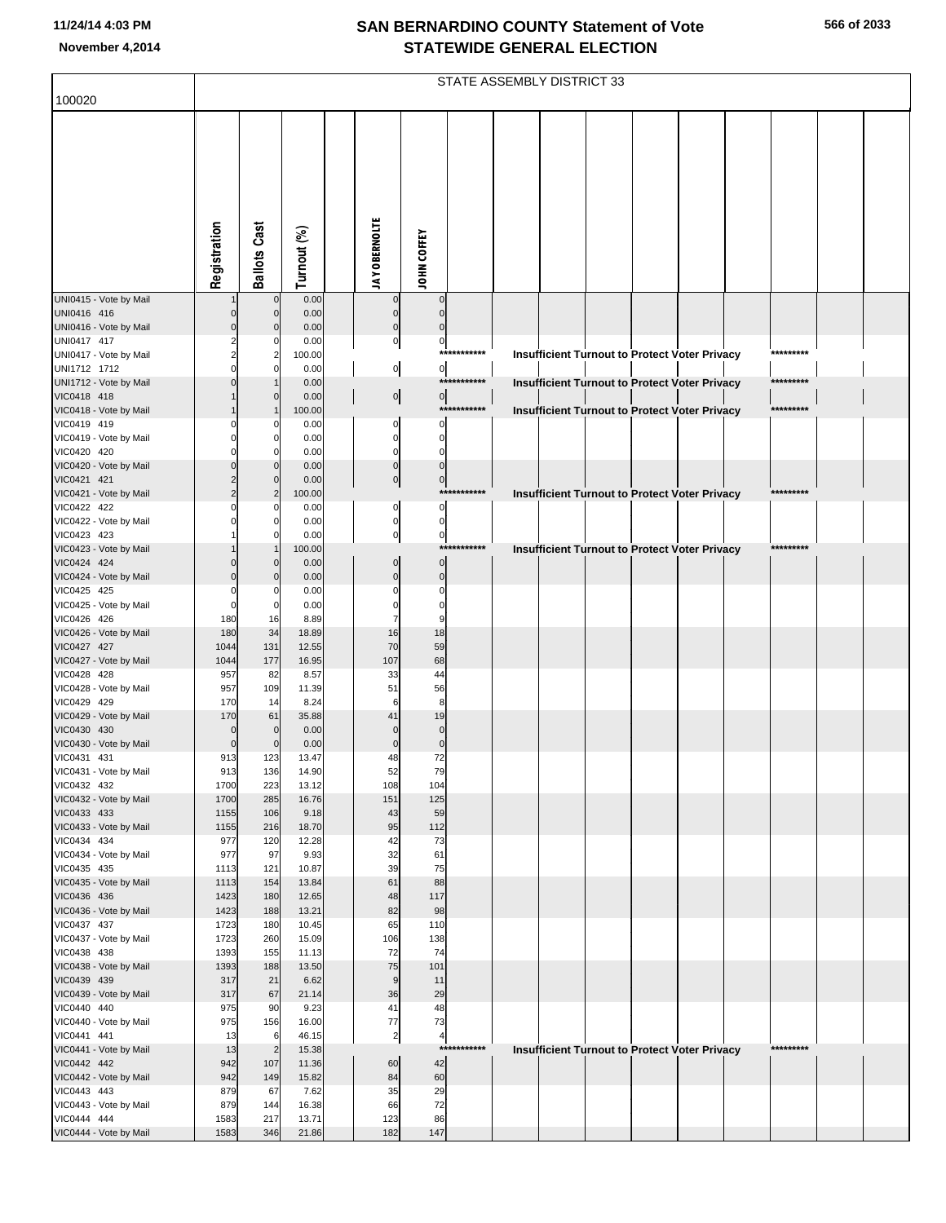|                                        |                    |                     |                |                      |                             |             | STATE ASSEMBLY DISTRICT 33 |  |                                                      |           |  |
|----------------------------------------|--------------------|---------------------|----------------|----------------------|-----------------------------|-------------|----------------------------|--|------------------------------------------------------|-----------|--|
| 100020                                 |                    |                     |                |                      |                             |             |                            |  |                                                      |           |  |
|                                        |                    |                     |                |                      |                             |             |                            |  |                                                      |           |  |
|                                        |                    |                     |                |                      |                             |             |                            |  |                                                      |           |  |
|                                        |                    |                     |                |                      |                             |             |                            |  |                                                      |           |  |
|                                        | Registration       | <b>Ballots Cast</b> | Turnout (%)    | <b>JAY OBERNOLTE</b> | JOHN COFFEY                 |             |                            |  |                                                      |           |  |
|                                        |                    |                     |                |                      |                             |             |                            |  |                                                      |           |  |
| UNI0415 - Vote by Mail                 |                    | $\mathbf 0$         | 0.00           | $\mathbf 0$          | $\mathbf 0$                 |             |                            |  |                                                      |           |  |
| UNI0416 416                            |                    | $\mathbf 0$         | 0.00           | $\mathbf{0}$         | $\Omega$                    |             |                            |  |                                                      |           |  |
| UNI0416 - Vote by Mail                 |                    | $\Omega$            | 0.00           | $\mathbf{0}$         | $\mathsf{C}$                |             |                            |  |                                                      |           |  |
| UNI0417 417                            |                    | n                   | 0.00           | $\mathbf 0$          | $\pmb{0}$                   | *********** |                            |  |                                                      | ********* |  |
| UNI0417 - Vote by Mail<br>UNI1712 1712 |                    | $\overline{2}$      | 100.00<br>0.00 | $\mathbf{0}$         | $\overline{0}$              |             |                            |  | Insufficient Turnout to Protect Voter Privacy        |           |  |
| UNI1712 - Vote by Mail                 |                    |                     | 0.00           |                      |                             | *********** |                            |  | <b>Insufficient Turnout to Protect Voter Privacy</b> | ********* |  |
| VIC0418 418                            |                    | n                   | 0.00           | $\overline{0}$       | $\overline{0}$              |             |                            |  |                                                      |           |  |
| VIC0418 - Vote by Mail                 |                    |                     | 100.00         |                      |                             | *********** |                            |  | Insufficient Turnout to Protect Voter Privacy        | ********* |  |
| VIC0419 419<br>VIC0419 - Vote by Mail  |                    | n                   | 0.00<br>0.00   | $\Omega$<br>0        | $\Omega$<br>$\Omega$        |             |                            |  |                                                      |           |  |
| VIC0420 420                            |                    | O                   | 0.00           | $\Omega$             | C                           |             |                            |  |                                                      |           |  |
| VIC0420 - Vote by Mail                 |                    | $\Omega$            | 0.00           | $\mathbf 0$          | $\mathbf 0$                 |             |                            |  |                                                      |           |  |
| VIC0421 421                            |                    | $\Omega$            | 0.00           | $\pmb{0}$            | $\pmb{0}$                   |             |                            |  |                                                      |           |  |
| VIC0421 - Vote by Mail                 |                    | $\overline{2}$      | 100.00         |                      |                             | *********** |                            |  | Insufficient Turnout to Protect Voter Privacy        | ********* |  |
| VIC0422 422<br>VIC0422 - Vote by Mail  |                    |                     | 0.00<br>0.00   | $\Omega$<br>0        | $\Omega$<br>$\Omega$        |             |                            |  |                                                      |           |  |
| VIC0423 423                            |                    |                     | 0.00           | $\mathbf 0$          | $\mathbf 0$                 |             |                            |  |                                                      |           |  |
| VIC0423 - Vote by Mail                 |                    |                     | 100.00         |                      |                             | *********** |                            |  | <b>Insufficient Turnout to Protect Voter Privacy</b> | ********* |  |
| VIC0424 424                            |                    | $\Omega$            | 0.00           | $\Omega$             | $\mathbf 0$                 |             |                            |  |                                                      |           |  |
| VIC0424 - Vote by Mail                 |                    | $\Omega$            | 0.00           | $\Omega$             | $\mathbf 0$                 |             |                            |  |                                                      |           |  |
| VIC0425 425<br>VIC0425 - Vote by Mail  | $\Omega$           | n<br>$\Omega$       | 0.00<br>0.00   | C                    | $\sqrt{ }$<br>$\mathcal{C}$ |             |                            |  |                                                      |           |  |
| VIC0426 426                            | 180                | 16                  | 8.89           |                      |                             |             |                            |  |                                                      |           |  |
| VIC0426 - Vote by Mail                 | 180                | 34                  | 18.89          | 16                   | 18                          |             |                            |  |                                                      |           |  |
| VIC0427 427                            | 1044               | 131                 | 12.55          | 70                   | 59                          |             |                            |  |                                                      |           |  |
| VIC0427 - Vote by Mail                 | 1044               | 177                 | 16.95          | 107                  | 68                          |             |                            |  |                                                      |           |  |
| VIC0428 428<br>VIC0428 - Vote by Mail  | 957<br>957         | 82<br>109           | 8.57<br>11.39  | 33<br>51             | 44<br>56                    |             |                            |  |                                                      |           |  |
| VIC0429 429                            | 170                | 14                  | 8.24           | 6                    | ε                           |             |                            |  |                                                      |           |  |
| VIC0429 - Vote by Mail                 | 170                | 61                  | 35.88          | 41                   | 19                          |             |                            |  |                                                      |           |  |
| VIC0430 430                            | $\mathbf 0$        | $\mathbf 0$         | 0.00           | $\sqrt{ }$           | $\mathbf 0$                 |             |                            |  |                                                      |           |  |
| VIC0430 - Vote by Mail<br>VIC0431 431  | $\mathbf 0$<br>913 | $\Omega$<br>123     | 0.00<br>13.47  | $\Omega$<br>48       | $\mathbf 0$<br>72           |             |                            |  |                                                      |           |  |
| VIC0431 - Vote by Mail                 | 913                | 136                 | 14.90          | 52                   | 79                          |             |                            |  |                                                      |           |  |
| VIC0432 432                            | 1700               | 223                 | 13.12          | 108                  | 104                         |             |                            |  |                                                      |           |  |
| VIC0432 - Vote by Mail                 | 1700               | 285                 | 16.76          | 151                  | 125                         |             |                            |  |                                                      |           |  |
| VIC0433 433                            | 1155               | 106                 | 9.18           | 43                   | 59                          |             |                            |  |                                                      |           |  |
| VIC0433 - Vote by Mail<br>VIC0434 434  | 1155<br>977        | 216<br>120          | 18.70<br>12.28 | 95<br>42             | 112<br>73                   |             |                            |  |                                                      |           |  |
| VIC0434 - Vote by Mail                 | 977                | 97                  | 9.93           | 32                   | 61                          |             |                            |  |                                                      |           |  |
| VIC0435 435                            | 1113               | 121                 | 10.87          | 39                   | 75                          |             |                            |  |                                                      |           |  |
| VIC0435 - Vote by Mail                 | 1113               | 154                 | 13.84          | 61                   | 88                          |             |                            |  |                                                      |           |  |
| VIC0436 436                            | 1423               | 180                 | 12.65          | 48                   | 117                         |             |                            |  |                                                      |           |  |
| VIC0436 - Vote by Mail<br>VIC0437 437  | 1423<br>1723       | 188<br>180          | 13.21<br>10.45 | 82<br>65             | 98<br>110                   |             |                            |  |                                                      |           |  |
| VIC0437 - Vote by Mail                 | 1723               | 260                 | 15.09          | 106                  | 138                         |             |                            |  |                                                      |           |  |
| VIC0438 438                            | 1393               | 155                 | 11.13          | 72                   | 74                          |             |                            |  |                                                      |           |  |
| VIC0438 - Vote by Mail                 | 1393               | 188                 | 13.50          | 75                   | 101                         |             |                            |  |                                                      |           |  |
| VIC0439 439                            | 317                | 21                  | 6.62           | 9                    | 11                          |             |                            |  |                                                      |           |  |
| VIC0439 - Vote by Mail<br>VIC0440 440  | 317<br>975         | 67<br>90            | 21.14<br>9.23  | 36<br>41             | 29<br>48                    |             |                            |  |                                                      |           |  |
| VIC0440 - Vote by Mail                 | 975                | 156                 | 16.00          | 77                   | 73                          |             |                            |  |                                                      |           |  |
| VIC0441 441                            | 13                 | 6                   | 46.15          | $\overline{a}$       | $\overline{a}$              |             |                            |  |                                                      |           |  |
| VIC0441 - Vote by Mail                 | 13                 | $\overline{2}$      | 15.38          |                      |                             | *********** |                            |  | <b>Insufficient Turnout to Protect Voter Privacy</b> | ********* |  |
| VIC0442 442                            | 942                | 107                 | 11.36          | 60                   | 42                          |             |                            |  |                                                      |           |  |
| VIC0442 - Vote by Mail<br>VIC0443 443  | 942<br>879         | 149<br>67           | 15.82<br>7.62  | 84<br>35             | 60<br>29                    |             |                            |  |                                                      |           |  |
| VIC0443 - Vote by Mail                 | 879                | 144                 | 16.38          | 66                   | 72                          |             |                            |  |                                                      |           |  |
| VIC0444 444                            | 1583               | 217                 | 13.71          | 123                  | 86                          |             |                            |  |                                                      |           |  |
| VIC0444 - Vote by Mail                 | 1583               | 346                 | 21.86          | 182                  | 147                         |             |                            |  |                                                      |           |  |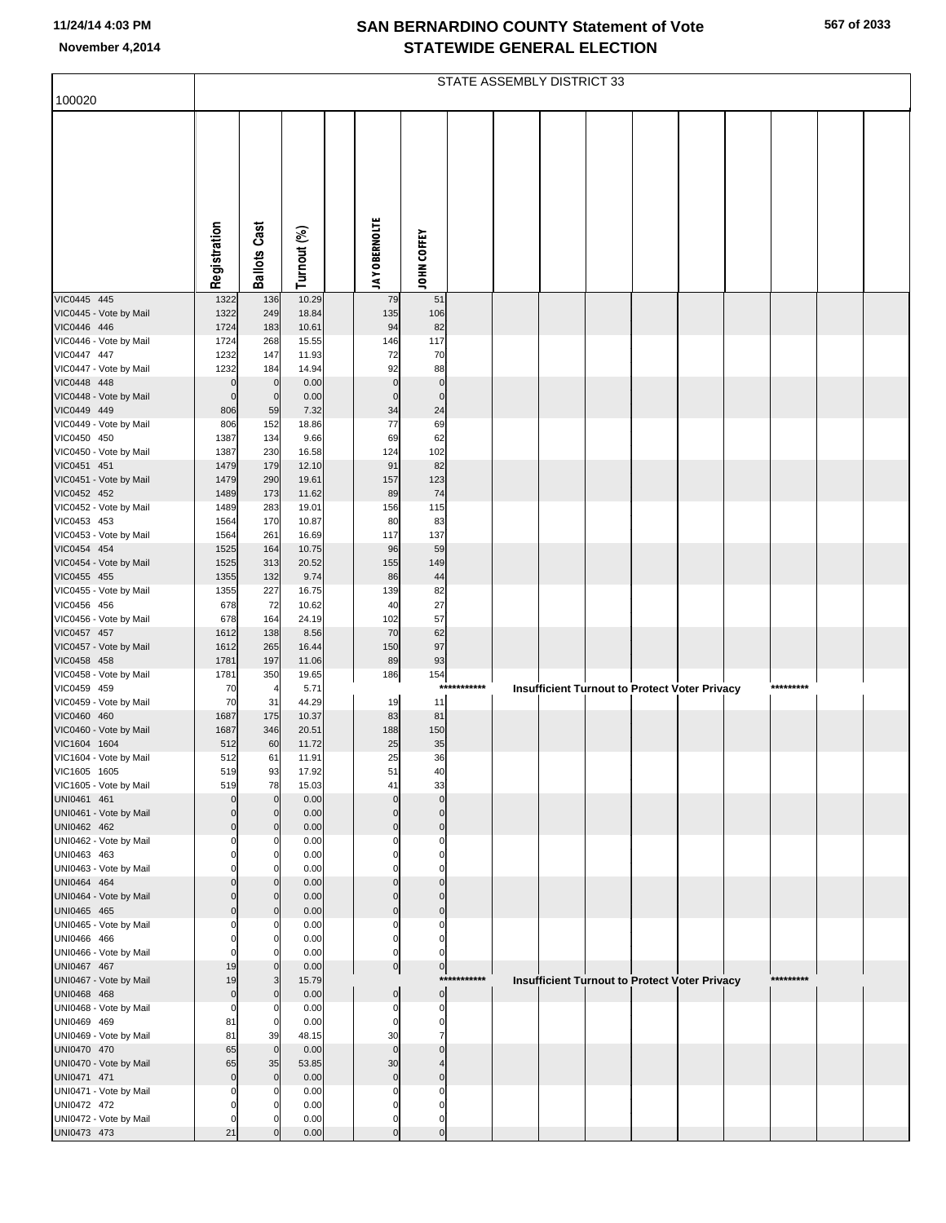|                                        |                             |                                 |                |                            |                                |             | STATE ASSEMBLY DISTRICT 33 |  |                                                      |           |  |
|----------------------------------------|-----------------------------|---------------------------------|----------------|----------------------------|--------------------------------|-------------|----------------------------|--|------------------------------------------------------|-----------|--|
| 100020                                 |                             |                                 |                |                            |                                |             |                            |  |                                                      |           |  |
|                                        | Registration                | <b>Ballots Cast</b>             | Turnout (%)    | <b>JAY OBERNOLTE</b>       |                                |             |                            |  |                                                      |           |  |
|                                        |                             |                                 |                |                            | JOHN COFFEY                    |             |                            |  |                                                      |           |  |
|                                        |                             |                                 |                |                            |                                |             |                            |  |                                                      |           |  |
| VIC0445 445<br>VIC0445 - Vote by Mail  | 1322<br>1322                | 136<br>249                      | 10.29<br>18.84 | 79<br>135                  | 51<br>106                      |             |                            |  |                                                      |           |  |
| VIC0446 446                            | 1724                        | 183                             | 10.61          | 94                         | 82                             |             |                            |  |                                                      |           |  |
| VIC0446 - Vote by Mail                 | 1724                        | 268                             | 15.55          | 146                        | 117                            |             |                            |  |                                                      |           |  |
| VIC0447 447                            | 1232                        | 147                             | 11.93          | 72                         | 70                             |             |                            |  |                                                      |           |  |
| VIC0447 - Vote by Mail                 | 1232                        | 184                             | 14.94          | 92                         | 88                             |             |                            |  |                                                      |           |  |
| VIC0448 448<br>VIC0448 - Vote by Mail  | $\overline{0}$<br>$\pmb{0}$ | $\mathbf 0$<br>$\mathbf 0$      | 0.00<br>0.00   | $\mathbf 0$<br>$\mathbf 0$ | $\pmb{0}$<br>$\pmb{0}$         |             |                            |  |                                                      |           |  |
| VIC0449 449                            | 806                         | 59                              | 7.32           | 34                         | 24                             |             |                            |  |                                                      |           |  |
| VIC0449 - Vote by Mail                 | 806                         | 152                             | 18.86          | 77                         | 69                             |             |                            |  |                                                      |           |  |
| VIC0450 450                            | 1387                        | 134                             | 9.66           | 69                         | 62                             |             |                            |  |                                                      |           |  |
| VIC0450 - Vote by Mail                 | 1387                        | 230                             | 16.58          | 124                        | 102                            |             |                            |  |                                                      |           |  |
| VIC0451 451                            | 1479                        | 179                             | 12.10          | 91                         | 82                             |             |                            |  |                                                      |           |  |
| VIC0451 - Vote by Mail                 | 1479                        | 290                             | 19.61          | 157                        | 123                            |             |                            |  |                                                      |           |  |
| VIC0452 452<br>VIC0452 - Vote by Mail  | 1489<br>1489                | 173<br>283                      | 11.62<br>19.01 | 89<br>156                  | 74<br>115                      |             |                            |  |                                                      |           |  |
| VIC0453 453                            | 1564                        | 170                             | 10.87          | 80                         | 83                             |             |                            |  |                                                      |           |  |
| VIC0453 - Vote by Mail                 | 1564                        | 261                             | 16.69          | 117                        | 137                            |             |                            |  |                                                      |           |  |
| VIC0454 454                            | 1525                        | 164                             | 10.75          | 96                         | 59                             |             |                            |  |                                                      |           |  |
| VIC0454 - Vote by Mail                 | 1525                        | 313                             | 20.52          | 155                        | 149                            |             |                            |  |                                                      |           |  |
| VIC0455 455                            | 1355                        | 132                             | 9.74           | 86                         | 44                             |             |                            |  |                                                      |           |  |
| VIC0455 - Vote by Mail<br>VIC0456 456  | 1355<br>678                 | 227<br>72                       | 16.75<br>10.62 | 139<br>40                  | 82<br>27                       |             |                            |  |                                                      |           |  |
| VIC0456 - Vote by Mail                 | 678                         | 164                             | 24.19          | 102                        | 57                             |             |                            |  |                                                      |           |  |
| VIC0457 457                            | 1612                        | 138                             | 8.56           | 70                         | 62                             |             |                            |  |                                                      |           |  |
| VIC0457 - Vote by Mail                 | 1612                        | 265                             | 16.44          | 150                        | 97                             |             |                            |  |                                                      |           |  |
| VIC0458 458                            | 1781                        | 197                             | 11.06          | 89                         | 93                             |             |                            |  |                                                      |           |  |
| VIC0458 - Vote by Mail<br>VIC0459 459  | 1781<br>70                  | 350<br>$\overline{\phantom{a}}$ | 19.65<br>5.71  | 186                        | 154                            | *********** |                            |  | <b>Insufficient Turnout to Protect Voter Privacy</b> | ********* |  |
| VIC0459 - Vote by Mail                 | 70                          | 31                              | 44.29          | 19                         | 11                             |             |                            |  |                                                      |           |  |
| VIC0460 460                            | 1687                        | 175                             | 10.37          | 83                         | 81                             |             |                            |  |                                                      |           |  |
| VIC0460 - Vote by Mail                 | 1687                        | 346                             | 20.51          | 188                        | 150                            |             |                            |  |                                                      |           |  |
| VIC1604 1604                           | 512                         | 60                              | 11.72          | 25                         | 35                             |             |                            |  |                                                      |           |  |
| VIC1604 - Vote by Mail                 | 512                         | 61                              | 11.91          | 25                         | 36                             |             |                            |  |                                                      |           |  |
| VIC1605 1605<br>VIC1605 - Vote by Mail | 519<br>519                  | 93<br>78                        | 17.92<br>15.03 | 51<br>41                   | 40<br>33                       |             |                            |  |                                                      |           |  |
| UNI0461 461                            | $\mathbf 0$                 | $\Omega$                        | 0.00           | $\Omega$                   | $\mathbf{0}$                   |             |                            |  |                                                      |           |  |
| UNI0461 - Vote by Mail                 | $\mathbf 0$                 | $\Omega$                        | 0.00           | $\Omega$                   | $\mathbf 0$                    |             |                            |  |                                                      |           |  |
| UNI0462 462                            | $\mathbf 0$                 | $\overline{0}$                  | 0.00           | $\mathbf 0$                | $\mathbf 0$                    |             |                            |  |                                                      |           |  |
| UNI0462 - Vote by Mail                 | $\Omega$                    | $\Omega$                        | 0.00           | C                          | $\Omega$                       |             |                            |  |                                                      |           |  |
| UNI0463 463<br>UNI0463 - Vote by Mail  | $\mathbf 0$<br>O            | $\Omega$<br>$\Omega$            | 0.00<br>0.00   | $\Omega$<br>C              | $\mathbf 0$<br>$\Omega$        |             |                            |  |                                                      |           |  |
| UNI0464 464                            | $\mathbf 0$                 | $\overline{0}$                  | 0.00           | $\mathbf 0$                | $\mathbf{0}$                   |             |                            |  |                                                      |           |  |
| UNI0464 - Vote by Mail                 | $\mathbf 0$                 | $\overline{0}$                  | 0.00           | $\Omega$                   | $\mathbf{0}$                   |             |                            |  |                                                      |           |  |
| UNI0465 465                            | $\mathbf 0$                 | $\overline{0}$                  | 0.00           | $\mathbf 0$                | $\mathbf 0$                    |             |                            |  |                                                      |           |  |
| UNI0465 - Vote by Mail                 | $\Omega$                    | $\Omega$                        | 0.00           | $\Omega$                   | $\Omega$                       |             |                            |  |                                                      |           |  |
| UNI0466 466<br>UNI0466 - Vote by Mail  | $\mathbf 0$<br>$\mathbf 0$  | 0<br>$\Omega$                   | 0.00<br>0.00   | $\mathbf 0$<br>$\mathbf 0$ | $\mathbf 0$<br>$\Omega$        |             |                            |  |                                                      |           |  |
| UNI0467 467                            | 19                          | $\overline{0}$                  | 0.00           | $\pmb{0}$                  | $\overline{0}$                 |             |                            |  |                                                      |           |  |
| UNI0467 - Vote by Mail                 | 19                          | 3                               | 15.79          |                            |                                | *********** |                            |  | <b>Insufficient Turnout to Protect Voter Privacy</b> | ********* |  |
| UNI0468 468                            | $\pmb{0}$                   | $\overline{0}$                  | 0.00           | $\mathbf 0$                | $\mathbf 0$                    |             |                            |  |                                                      |           |  |
| UNI0468 - Vote by Mail                 | $\mathbf 0$                 | $\Omega$                        | 0.00           | $\Omega$                   | $\mathbf 0$                    |             |                            |  |                                                      |           |  |
| UNI0469 469                            | 81                          | $\overline{0}$                  | 0.00           | $\mathbf 0$                | $\mathbf 0$                    |             |                            |  |                                                      |           |  |
| UNI0469 - Vote by Mail<br>UNI0470 470  | 81<br>65                    | 39<br>$\overline{0}$            | 48.15<br>0.00  | 30<br>$\mathbf{0}$         | $\overline{7}$<br>$\mathbf{0}$ |             |                            |  |                                                      |           |  |
| UNI0470 - Vote by Mail                 | 65                          | 35                              | 53.85          | 30                         |                                |             |                            |  |                                                      |           |  |
| UNI0471 471                            | $\mathbf 0$                 | $\overline{0}$                  | 0.00           | $\mathbf 0$                | $\mathbf{0}$                   |             |                            |  |                                                      |           |  |
| UNI0471 - Vote by Mail                 | $\Omega$                    | $\Omega$                        | 0.00           | $\Omega$                   | $\Omega$                       |             |                            |  |                                                      |           |  |
| UNI0472 472                            | $\Omega$                    | $\Omega$                        | 0.00           | $\Omega$                   | $\mathbf 0$                    |             |                            |  |                                                      |           |  |
| UNI0472 - Vote by Mail                 | $\Omega$                    |                                 | 0.00           | $\mathbf 0$                | $\mathbf 0$                    |             |                            |  |                                                      |           |  |
| UNI0473 473                            | 21                          |                                 | 0.00           | $\Omega$                   | $\mathbf{0}$                   |             |                            |  |                                                      |           |  |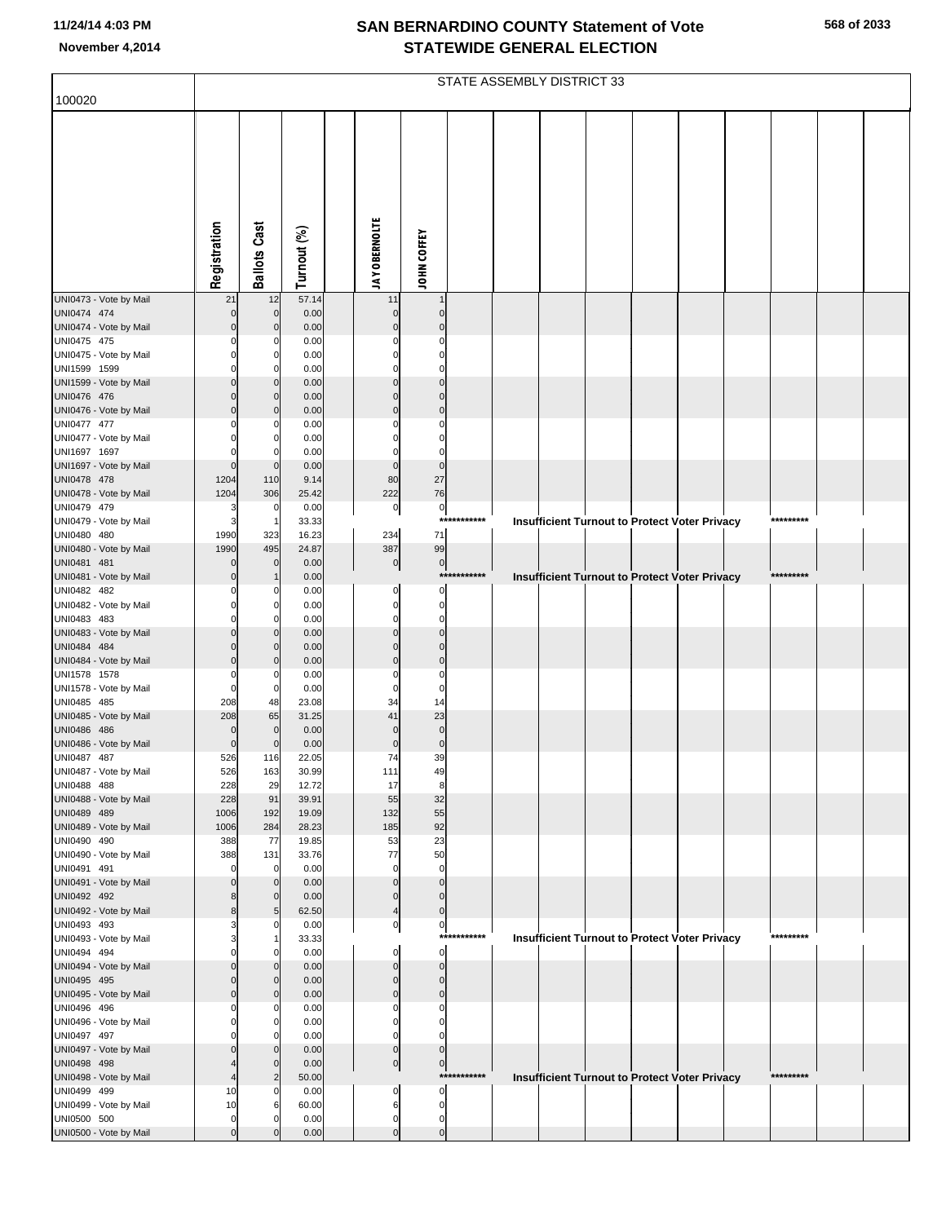|                                        |                |                         |                |                         |                               |             | STATE ASSEMBLY DISTRICT 33 |  |                                                      |           |  |
|----------------------------------------|----------------|-------------------------|----------------|-------------------------|-------------------------------|-------------|----------------------------|--|------------------------------------------------------|-----------|--|
| 100020                                 |                |                         |                |                         |                               |             |                            |  |                                                      |           |  |
|                                        |                |                         |                |                         |                               |             |                            |  |                                                      |           |  |
|                                        |                |                         |                |                         |                               |             |                            |  |                                                      |           |  |
|                                        |                |                         |                |                         |                               |             |                            |  |                                                      |           |  |
|                                        |                |                         |                |                         |                               |             |                            |  |                                                      |           |  |
|                                        |                |                         |                |                         |                               |             |                            |  |                                                      |           |  |
|                                        |                |                         |                |                         |                               |             |                            |  |                                                      |           |  |
|                                        |                |                         |                |                         |                               |             |                            |  |                                                      |           |  |
|                                        |                |                         |                |                         |                               |             |                            |  |                                                      |           |  |
|                                        | Registration   | <b>Ballots Cast</b>     | Turnout (%)    | <b>JAY OBERNOLTE</b>    | JOHN COFFEY                   |             |                            |  |                                                      |           |  |
| UNI0473 - Vote by Mail                 | 21             | 12                      | 57.14          | 11                      |                               |             |                            |  |                                                      |           |  |
| UNI0474 474                            |                | $\mathbf 0$             | 0.00           | $\mathbf 0$             | $\mathcal{C}$                 |             |                            |  |                                                      |           |  |
| UNI0474 - Vote by Mail                 |                | $\Omega$                | 0.00           |                         |                               |             |                            |  |                                                      |           |  |
| UNI0475 475<br>UNI0475 - Vote by Mail  |                | $\Omega$                | 0.00<br>0.00   |                         |                               |             |                            |  |                                                      |           |  |
| UNI1599 1599                           |                | O                       | 0.00           |                         |                               |             |                            |  |                                                      |           |  |
| UNI1599 - Vote by Mail                 |                | $\Omega$<br>$\Omega$    | 0.00           |                         |                               |             |                            |  |                                                      |           |  |
| UNI0476 476<br>UNI0476 - Vote by Mail  | C              | $\Omega$                | 0.00<br>0.00   | $\Omega$                | $\mathcal{C}$                 |             |                            |  |                                                      |           |  |
| UNI0477 477                            |                |                         | 0.00           |                         |                               |             |                            |  |                                                      |           |  |
| UNI0477 - Vote by Mail                 |                | O                       | 0.00           |                         | C                             |             |                            |  |                                                      |           |  |
| UNI1697 1697<br>UNI1697 - Vote by Mail | $\mathbf 0$    | $\mathbf 0$             | 0.00<br>0.00   | $\mathbf 0$             | C<br>$\mathbf 0$              |             |                            |  |                                                      |           |  |
| UNI0478 478                            | 1204           | 110                     | 9.14           | 80                      | 27                            |             |                            |  |                                                      |           |  |
| UNI0478 - Vote by Mail                 | 1204           | 306                     | 25.42          | 222                     | 76                            |             |                            |  |                                                      |           |  |
| UNI0479 479<br>UNI0479 - Vote by Mail  | Э<br>G         |                         | 0.00<br>33.33  | $\circ$                 | $\mathbf 0$<br>$***$          | *******     |                            |  | <b>Insufficient Turnout to Protect Voter Privacy</b> | ********* |  |
| UNI0480 480                            | 1990           | 323                     | 16.23          | 234                     | 71                            |             |                            |  |                                                      |           |  |
| UNI0480 - Vote by Mail                 | 1990           | 495                     | 24.87          | 387                     | 99                            |             |                            |  |                                                      |           |  |
| UNI0481 481<br>UNI0481 - Vote by Mail  |                | $\mathbf 0$             | 0.00<br>0.00   | $\overline{0}$          | $\pmb{0}$                     | *********** |                            |  | Insufficient Turnout to Protect Voter Privacy        | ********* |  |
| UNI0482 482                            |                |                         | 0.00           | 0                       |                               |             |                            |  |                                                      |           |  |
| UNI0482 - Vote by Mail                 |                | O                       | 0.00           | $\Omega$                | C                             |             |                            |  |                                                      |           |  |
| UNI0483 483<br>UNI0483 - Vote by Mail  |                | $\Omega$                | 0.00<br>0.00   | $\Omega$                | C<br>$\mathcal{C}$            |             |                            |  |                                                      |           |  |
| UNI0484 484                            |                | $\Omega$                | 0.00           |                         | C                             |             |                            |  |                                                      |           |  |
| UNI0484 - Vote by Mail                 | C              | $\Omega$                | 0.00           | C                       | $\mathcal{C}$<br>$\mathsf{C}$ |             |                            |  |                                                      |           |  |
| UNI1578 1578<br>UNI1578 - Vote by Mail | C<br>C         | 0                       | 0.00<br>0.00   | 0<br>$\Omega$           | $\mathsf{C}$                  |             |                            |  |                                                      |           |  |
| UNI0485 485                            | 208            | 48                      | 23.08          | 34                      | 14                            |             |                            |  |                                                      |           |  |
| UNI0485 - Vote by Mail<br>UNI0486 486  | 208<br>C       | 65<br>$\mathbf 0$       | 31.25<br>0.00  | 41<br>$\mathbf 0$       | 23<br>$\mathsf{C}$            |             |                            |  |                                                      |           |  |
| UNI0486 - Vote by Mail                 | $\overline{0}$ | $\Omega$                | 0.00           | $\mathbf 0$             | $\mathbf 0$                   |             |                            |  |                                                      |           |  |
| UNI0487 487                            | 526            | 116                     | 22.05          | 74                      | 39                            |             |                            |  |                                                      |           |  |
| UNI0487 - Vote by Mail<br>UNI0488 488  | 526<br>228     | 163<br>29               | 30.99<br>12.72 | 111<br>17               | 49<br>8                       |             |                            |  |                                                      |           |  |
| UNI0488 - Vote by Mail                 | 228            | 91                      | 39.91          | 55                      | 32                            |             |                            |  |                                                      |           |  |
| UNI0489 489                            | 1006           | 192                     | 19.09          | 132                     | 55                            |             |                            |  |                                                      |           |  |
| UNI0489 - Vote by Mail<br>UNI0490 490  | 1006<br>388    | 284<br>77               | 28.23<br>19.85 | 185<br>53               | 92<br>23                      |             |                            |  |                                                      |           |  |
| UNI0490 - Vote by Mail                 | 388            | 131                     | 33.76          | 77                      | 50                            |             |                            |  |                                                      |           |  |
| UNI0491 491                            | C              | 0                       | 0.00           | $\mathbf 0$             | $\mathbf 0$                   |             |                            |  |                                                      |           |  |
| UNI0491 - Vote by Mail<br>UNI0492 492  |                | $\Omega$<br>$\mathbf 0$ | 0.00<br>0.00   | $\Omega$<br>0           | $\mathbf 0$<br>$\Omega$       |             |                            |  |                                                      |           |  |
| UNI0492 - Vote by Mail                 | ٤              | 5 <sub>5</sub>          | 62.50          | 4                       | $\mathbf 0$                   |             |                            |  |                                                      |           |  |
| UNI0493 493                            |                |                         | 0.00           | $\overline{0}$          | $\pmb{0}$                     |             |                            |  |                                                      |           |  |
| UNI0493 - Vote by Mail<br>UNI0494 494  |                | $\Omega$                | 33.33<br>0.00  | 0                       | $\mathbf 0$                   | *********** |                            |  | <b>Insufficient Turnout to Protect Voter Privacy</b> | ********* |  |
| UNI0494 - Vote by Mail                 |                | $\Omega$                | 0.00           | $\Omega$                | $\Omega$                      |             |                            |  |                                                      |           |  |
| UNI0495 495                            |                | $\mathbf 0$<br>$\Omega$ | 0.00           | $\Omega$<br>$\mathbf 0$ | $\mathcal{C}$<br>$\mathsf{C}$ |             |                            |  |                                                      |           |  |
| UNI0495 - Vote by Mail<br>UNI0496 496  | C              |                         | 0.00<br>0.00   | 0                       | C                             |             |                            |  |                                                      |           |  |
| UNI0496 - Vote by Mail                 | r              | $\Omega$                | 0.00           | $\Omega$                | $\mathcal{C}$                 |             |                            |  |                                                      |           |  |
| UNI0497 497                            |                | O<br>$\Omega$           | 0.00<br>0.00   | $\Omega$<br>$\mathbf 0$ | C<br>C                        |             |                            |  |                                                      |           |  |
| UNI0497 - Vote by Mail<br>UNI0498 498  |                | $\Omega$                | 0.00           | $\overline{0}$          | $\mathbf 0$                   |             |                            |  |                                                      |           |  |
| UNI0498 - Vote by Mail                 | 4              | $\overline{2}$          | 50.00          |                         |                               | *********** |                            |  | <b>Insufficient Turnout to Protect Voter Privacy</b> | ********* |  |
| UNI0499 499                            | 10<br>10       | 6                       | 0.00<br>60.00  | 0<br>6                  | $\Omega$<br>$\mathsf{C}$      |             |                            |  |                                                      |           |  |
| UNI0499 - Vote by Mail<br>UNI0500 500  | $\mathbf 0$    | $\Omega$                | 0.00           | 0                       | C                             |             |                            |  |                                                      |           |  |
| UNI0500 - Vote by Mail                 | $\mathbf 0$    |                         | 0.00           | $\mathbf 0$             | $\mathsf{C}$                  |             |                            |  |                                                      |           |  |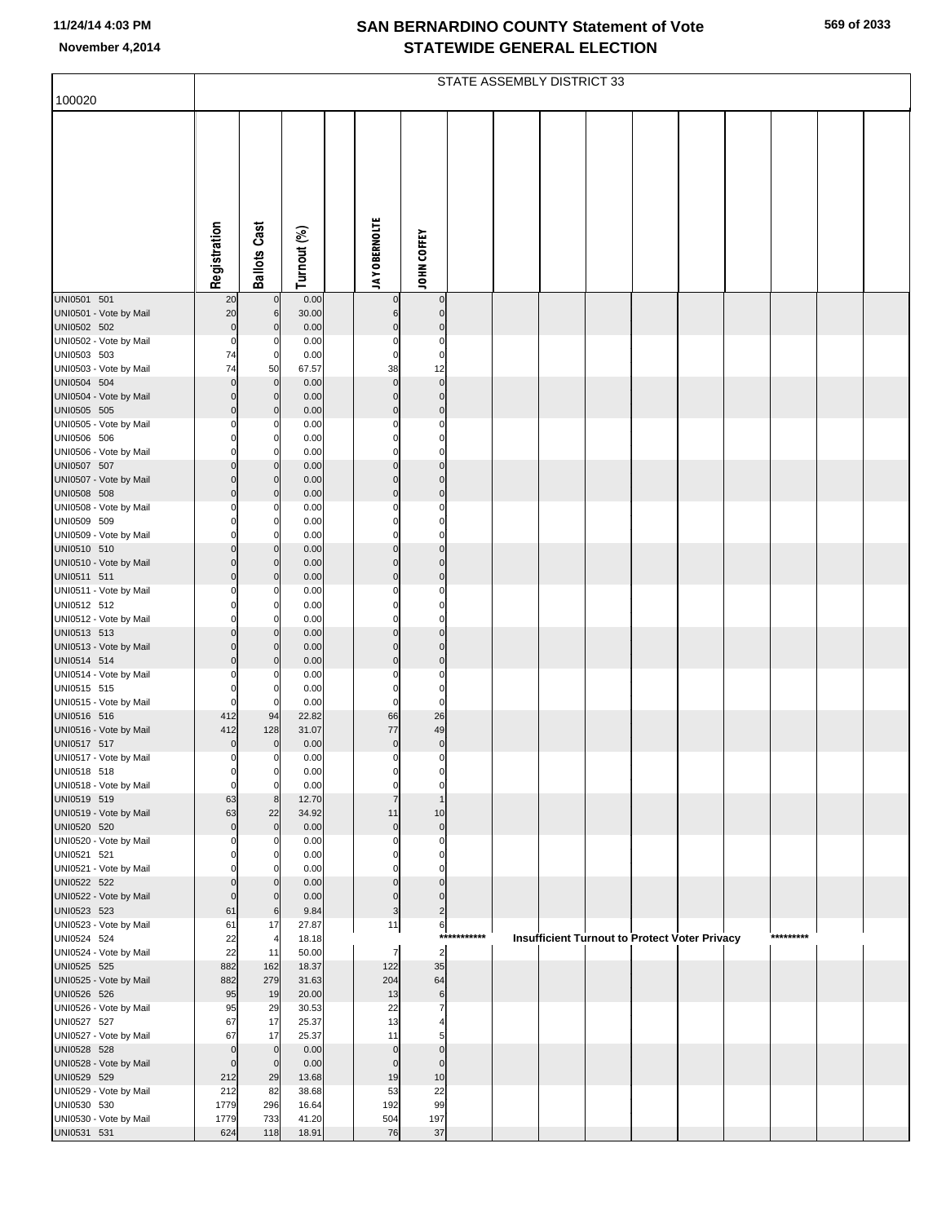| 569 of 2033 |  |
|-------------|--|
|-------------|--|

|                                       |                               |                            |                |                          |                               |          | STATE ASSEMBLY DISTRICT 33 |  |                                                      |           |  |
|---------------------------------------|-------------------------------|----------------------------|----------------|--------------------------|-------------------------------|----------|----------------------------|--|------------------------------------------------------|-----------|--|
| 100020                                |                               |                            |                |                          |                               |          |                            |  |                                                      |           |  |
|                                       |                               |                            |                |                          |                               |          |                            |  |                                                      |           |  |
|                                       |                               |                            |                |                          |                               |          |                            |  |                                                      |           |  |
|                                       | Registration                  | <b>Ballots Cast</b>        | Turnout (%)    | <b>JAY OBERNOLTE</b>     | JOHN COFFEY                   |          |                            |  |                                                      |           |  |
|                                       |                               |                            |                |                          |                               |          |                            |  |                                                      |           |  |
| UNI0501 501                           | 20                            | $\pmb{0}$                  | 0.00           | $\pmb{0}$                | $\pmb{0}$                     |          |                            |  |                                                      |           |  |
| UNI0501 - Vote by Mail                | 20                            | 6                          | 30.00          | 6                        | $\overline{0}$                |          |                            |  |                                                      |           |  |
| UNI0502 502                           | $\mathbf 0$                   | $\mathbf 0$                | 0.00           | $\pmb{0}$                | $\pmb{0}$<br>$\mathbf 0$      |          |                            |  |                                                      |           |  |
| UNI0502 - Vote by Mail<br>UNI0503 503 | $\mathbf 0$<br>74             | 0<br>0                     | 0.00<br>0.00   | 0<br>$\mathbf 0$         | $\mathbf 0$                   |          |                            |  |                                                      |           |  |
| UNI0503 - Vote by Mail                | 74                            | 50                         | 67.57          | 38                       | 12                            |          |                            |  |                                                      |           |  |
| UNI0504 504                           | $\mathbf 0$                   | $\mathbf 0$                | 0.00           | $\mathbf 0$              | $\mathbf 0$                   |          |                            |  |                                                      |           |  |
| UNI0504 - Vote by Mail                | $\mathbf 0$                   | $\mathbf 0$                | 0.00           | $\pmb{0}$                | $\overline{0}$                |          |                            |  |                                                      |           |  |
| UNI0505 505                           | $\Omega$                      | $\mathbf 0$                | 0.00           | $\mathbf 0$              | $\mathbf 0$                   |          |                            |  |                                                      |           |  |
| UNI0505 - Vote by Mail<br>UNI0506 506 | 0                             | 0<br>0                     | 0.00<br>0.00   | 0<br>$\mathbf 0$         | $\mathbf 0$<br>$\mathbf 0$    |          |                            |  |                                                      |           |  |
| UNI0506 - Vote by Mail                | $\Omega$                      | 0                          | 0.00           | $\mathbf 0$              | $\overline{0}$                |          |                            |  |                                                      |           |  |
| UNI0507 507                           | $\Omega$                      | C                          | 0.00           | $\mathbf 0$              | $\mathbf 0$                   |          |                            |  |                                                      |           |  |
| UNI0507 - Vote by Mail                | $\Omega$                      | $\mathbf 0$                | 0.00           | $\pmb{0}$                | $\overline{0}$                |          |                            |  |                                                      |           |  |
| UNI0508 508                           | $\Omega$                      | $\mathbf 0$                | 0.00           | $\mathbf 0$              | $\mathbf 0$                   |          |                            |  |                                                      |           |  |
| UNI0508 - Vote by Mail<br>UNI0509 509 | 0<br>O                        | 0<br>0                     | 0.00<br>0.00   | 0<br>$\mathbf 0$         | $\mathbf 0$<br>$\mathbf 0$    |          |                            |  |                                                      |           |  |
| UNI0509 - Vote by Mail                | $\Omega$                      | $\Omega$                   | 0.00           | $\mathbf 0$              | $\overline{0}$                |          |                            |  |                                                      |           |  |
| UNI0510 510                           | $\Omega$                      | C                          | 0.00           | $\mathbf 0$              | $\mathbf 0$                   |          |                            |  |                                                      |           |  |
| UNI0510 - Vote by Mail                | $\Omega$                      | $\mathbf 0$                | 0.00           | $\pmb{0}$                | $\overline{0}$                |          |                            |  |                                                      |           |  |
| UNI0511 511                           | $\Omega$                      | C                          | 0.00           | $\mathbf 0$              | $\mathbf 0$                   |          |                            |  |                                                      |           |  |
| UNI0511 - Vote by Mail<br>UNI0512 512 |                               | 0<br>0                     | 0.00<br>0.00   | 0<br>$\Omega$            | $\mathbf 0$<br>$\mathbf 0$    |          |                            |  |                                                      |           |  |
| UNI0512 - Vote by Mail                | $\Omega$                      | 0                          | 0.00           | $\mathbf 0$              | $\mathbf{0}$                  |          |                            |  |                                                      |           |  |
| UNI0513 513                           | $\Omega$                      | C                          | 0.00           | $\mathbf 0$              | $\mathbf 0$                   |          |                            |  |                                                      |           |  |
| UNI0513 - Vote by Mail                | $\Omega$                      | $\mathbf 0$                | 0.00           | $\pmb{0}$                | $\overline{0}$                |          |                            |  |                                                      |           |  |
| UNI0514 514<br>UNI0514 - Vote by Mail | $\Omega$<br>0                 | C<br>0                     | 0.00<br>0.00   | $\mathbf 0$<br>0         | $\mathbf 0$<br>$\mathbf 0$    |          |                            |  |                                                      |           |  |
| UNI0515 515                           | 0                             | 0                          | 0.00           | $\mathbf 0$              | $\mathbf 0$                   |          |                            |  |                                                      |           |  |
| UNI0515 - Vote by Mail                | $\mathbf 0$                   | 0                          | 0.00           | $\pmb{0}$                | $\overline{0}$                |          |                            |  |                                                      |           |  |
| UNI0516 516                           | 412                           | 94                         | 22.82          | 66                       | 26                            |          |                            |  |                                                      |           |  |
| UNI0516 - Vote by Mail<br>UNI0517 517 | 412                           | 128                        | 31.07          | 77<br>$\pmb{0}$          | 49<br>$\overline{0}$          |          |                            |  |                                                      |           |  |
| UNI0517 - Vote by Mail                | $\mathbf 0$<br>$\overline{0}$ | $\mathbf 0$<br>$\mathbf 0$ | 0.00<br>0.00   | $\overline{0}$           | $\overline{0}$                |          |                            |  |                                                      |           |  |
| UNI0518 518                           | $\mathbf 0$                   | $\mathbf 0$                | 0.00           | 0                        | $\pmb{0}$                     |          |                            |  |                                                      |           |  |
| UNI0518 - Vote by Mail                | $\overline{0}$                | 0                          | 0.00           | $\mathbf 0$              | $\overline{0}$                |          |                            |  |                                                      |           |  |
| UNI0519 519                           | 63                            | 8                          | 12.70          | $\overline{7}$           | $\overline{1}$                |          |                            |  |                                                      |           |  |
| UNI0519 - Vote by Mail<br>UNI0520 520 | 63<br>$\mathbf 0$             | 22<br>$\mathbf 0$          | 34.92<br>0.00  | 11<br>$\mathbf 0$        | 10<br>$\pmb{0}$               |          |                            |  |                                                      |           |  |
| UNI0520 - Vote by Mail                | $\Omega$                      | 0                          | 0.00           | 0                        | $\pmb{0}$                     |          |                            |  |                                                      |           |  |
| UNI0521 521                           | O                             | $\Omega$                   | 0.00           | $\Omega$                 | $\mathbf 0$                   |          |                            |  |                                                      |           |  |
| UNI0521 - Vote by Mail                | $\Omega$                      | $\Omega$                   | 0.00           | 0                        | $\overline{0}$                |          |                            |  |                                                      |           |  |
| UNI0522 522                           | $\Omega$<br>$\mathbf 0$       | $\mathbf 0$                | 0.00           | $\pmb{0}$<br>$\pmb{0}$   | $\mathbf 0$<br>$\overline{0}$ |          |                            |  |                                                      |           |  |
| UNI0522 - Vote by Mail<br>UNI0523 523 | 61                            | $\mathbf 0$<br>6           | 0.00<br>9.84   | 3                        | $\overline{c}$                |          |                            |  |                                                      |           |  |
| UNI0523 - Vote by Mail                | 61                            | 17                         | 27.87          | 11                       | 6                             |          |                            |  |                                                      |           |  |
| UNI0524 524                           | 22                            | $\overline{4}$             | 18.18          |                          | ****                          | ******** |                            |  | <b>Insufficient Turnout to Protect Voter Privacy</b> | ********* |  |
| UNI0524 - Vote by Mail                | 22                            | 11                         | 50.00          | $\overline{7}$           | $\overline{2}$                |          |                            |  |                                                      |           |  |
| UNI0525 525<br>UNI0525 - Vote by Mail | 882<br>882                    | 162<br>279                 | 18.37<br>31.63 | 122<br>204               | 35<br>64                      |          |                            |  |                                                      |           |  |
| UNI0526 526                           | 95                            | 19                         | 20.00          | 13                       | $6 \overline{}$               |          |                            |  |                                                      |           |  |
| UNI0526 - Vote by Mail                | 95                            | 29                         | 30.53          | 22                       | $\overline{7}$                |          |                            |  |                                                      |           |  |
| UNI0527 527                           | 67                            | 17                         | 25.37          | 13                       | $\overline{\mathbf{4}}$       |          |                            |  |                                                      |           |  |
| UNI0527 - Vote by Mail                | 67                            | 17                         | 25.37          | 11                       | 5 <sub>5</sub>                |          |                            |  |                                                      |           |  |
| UNI0528 528<br>UNI0528 - Vote by Mail | $\mathbf 0$<br>$\mathbf 0$    | $\mathbf 0$<br>$\mathbf 0$ | 0.00<br>0.00   | $\pmb{0}$<br>$\mathbf 0$ | $\mathbf 0$<br>$\pmb{0}$      |          |                            |  |                                                      |           |  |
| UNI0529 529                           | 212                           | 29                         | 13.68          | 19                       | 10                            |          |                            |  |                                                      |           |  |
| UNI0529 - Vote by Mail                | 212                           | 82                         | 38.68          | 53                       | 22                            |          |                            |  |                                                      |           |  |
| UNI0530 530                           | 1779                          | 296                        | 16.64          | 192                      | 99                            |          |                            |  |                                                      |           |  |
| UNI0530 - Vote by Mail                | 1779                          | 733                        | 41.20          | 504                      | 197                           |          |                            |  |                                                      |           |  |
| UNI0531 531                           | 624                           | 118                        | 18.91          | 76                       | 37                            |          |                            |  |                                                      |           |  |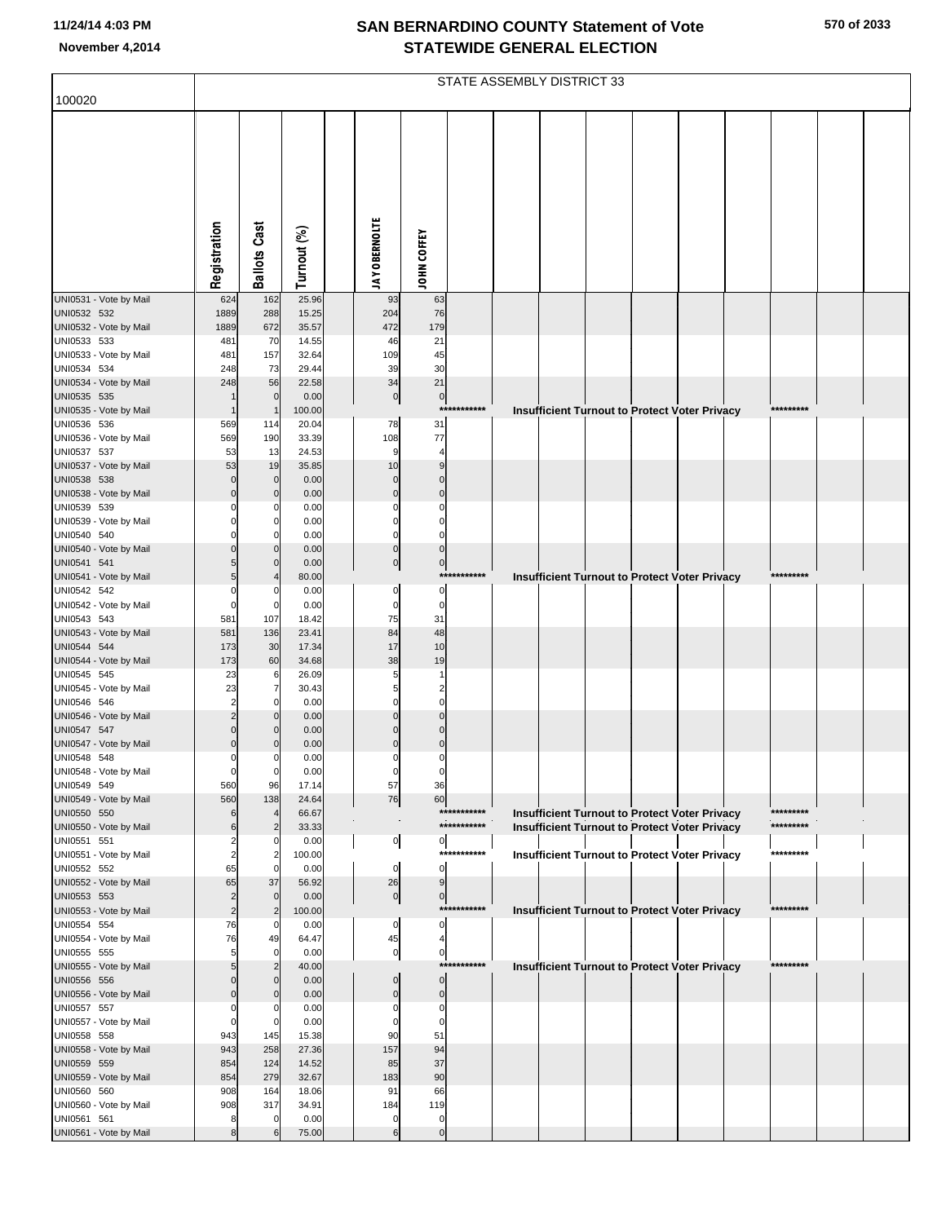|                                       |                      |                               |                |                            |                          |                            | STATE ASSEMBLY DISTRICT 33 |                                                                                                              |  |                        |  |
|---------------------------------------|----------------------|-------------------------------|----------------|----------------------------|--------------------------|----------------------------|----------------------------|--------------------------------------------------------------------------------------------------------------|--|------------------------|--|
| 100020                                |                      |                               |                |                            |                          |                            |                            |                                                                                                              |  |                        |  |
|                                       |                      |                               |                |                            |                          |                            |                            |                                                                                                              |  |                        |  |
|                                       | Registration         | <b>Ballots Cast</b>           | Turnout (%)    | <b>JAY OBERNOLTE</b>       | JOHN COFFEY              |                            |                            |                                                                                                              |  |                        |  |
| UNI0531 - Vote by Mail                | 624                  | 162                           | 25.96          | 93                         | 63                       |                            |                            |                                                                                                              |  |                        |  |
| UNI0532 532                           | 1889                 | 288                           | 15.25          | 204                        | 76                       |                            |                            |                                                                                                              |  |                        |  |
| UNI0532 - Vote by Mail<br>UNI0533 533 | 1889<br>481          | 672<br>70                     | 35.57<br>14.55 | 472<br>46                  | 179<br>21                |                            |                            |                                                                                                              |  |                        |  |
| UNI0533 - Vote by Mail                | 481                  | 157                           | 32.64          | 109                        | 45                       |                            |                            |                                                                                                              |  |                        |  |
| UNI0534 534                           | 248                  | 73                            | 29.44          | 39                         | 30                       |                            |                            |                                                                                                              |  |                        |  |
| UNI0534 - Vote by Mail<br>UNI0535 535 | 248                  | 56<br>$\mathbf 0$             | 22.58<br>0.00  | 34<br>$\pmb{0}$            | 21<br>$\pmb{0}$          |                            |                            |                                                                                                              |  |                        |  |
| UNI0535 - Vote by Mail                | $\mathbf 1$          |                               | 100.00         |                            |                          | ***********                |                            | <b>Insufficient Turnout to Protect Voter Privacy</b>                                                         |  | *********              |  |
| UNI0536 536                           | 569                  | 114                           | 20.04          | 78                         | 31                       |                            |                            |                                                                                                              |  |                        |  |
| UNI0536 - Vote by Mail                | 569                  | 190                           | 33.39          | 108                        | 77                       |                            |                            |                                                                                                              |  |                        |  |
| UNI0537 537                           | 53                   | 13                            | 24.53          | 9                          | 4                        |                            |                            |                                                                                                              |  |                        |  |
| UNI0537 - Vote by Mail<br>UNI0538 538 | 53<br>$\Omega$       | 19<br>$\mathbf 0$             | 35.85<br>0.00  | 10<br>$\mathbf 0$          | 9<br>$\mathcal{C}$       |                            |                            |                                                                                                              |  |                        |  |
| UNI0538 - Vote by Mail                | $\Omega$             | $\mathbf{0}$                  | 0.00           | $\mathbf 0$                | $\Omega$                 |                            |                            |                                                                                                              |  |                        |  |
| UNI0539 539                           |                      | 0                             | 0.00           | C                          | C                        |                            |                            |                                                                                                              |  |                        |  |
| UNI0539 - Vote by Mail                | O                    | $\Omega$                      | 0.00           | $\mathbf 0$                | $\mathsf{C}$             |                            |                            |                                                                                                              |  |                        |  |
| UNI0540 540<br>UNI0540 - Vote by Mail |                      | $\Omega$                      | 0.00<br>0.00   | $\mathbf 0$<br>$\mathbf 0$ | $\Omega$<br>$\mathsf{C}$ |                            |                            |                                                                                                              |  |                        |  |
| UNI0541 541                           |                      | $\mathbf 0$                   | 0.00           | 0                          | $\bf{0}$                 |                            |                            |                                                                                                              |  |                        |  |
| UNI0541 - Vote by Mail                |                      |                               | 80.00          |                            |                          | ***********                |                            | <b>Insufficient Turnout to Protect Voter Privacy</b>                                                         |  | *********              |  |
| UNI0542 542                           | 0                    | $\Omega$                      | 0.00           | $\mathbf 0$                | 0                        |                            |                            |                                                                                                              |  |                        |  |
| UNI0542 - Vote by Mail<br>UNI0543 543 | 0<br>581             | $\mathbf 0$<br>107            | 0.00<br>18.42  | $\mathbf 0$<br>75          | $\mathbf 0$<br>31        |                            |                            |                                                                                                              |  |                        |  |
| UNI0543 - Vote by Mail                | 581                  | 136                           | 23.41          | 84                         | 48                       |                            |                            |                                                                                                              |  |                        |  |
| UNI0544 544                           | 173                  | 30                            | 17.34          | 17                         | 10                       |                            |                            |                                                                                                              |  |                        |  |
| UNI0544 - Vote by Mail                | 173                  | 60                            | 34.68          | 38                         | 19                       |                            |                            |                                                                                                              |  |                        |  |
| UNI0545 545<br>UNI0545 - Vote by Mail | 23<br>23             | 6                             | 26.09<br>30.43 | 5<br>5                     | 2                        |                            |                            |                                                                                                              |  |                        |  |
| UNI0546 546                           | $\overline{2}$       | 0                             | 0.00           | $\Omega$                   | $\Omega$                 |                            |                            |                                                                                                              |  |                        |  |
| UNI0546 - Vote by Mail                | $\overline{c}$       |                               | 0.00           | C                          | $\sqrt{ }$               |                            |                            |                                                                                                              |  |                        |  |
| UNI0547 547                           |                      |                               | 0.00           | C                          | C                        |                            |                            |                                                                                                              |  |                        |  |
| UNI0547 - Vote by Mail<br>UNI0548 548 | $\mathbf 0$<br>0     | $\Omega$<br>$\mathbf{0}$      | 0.00<br>0.00   | $\Omega$<br>C              | $\Omega$<br>C            |                            |                            |                                                                                                              |  |                        |  |
| UNI0548 - Vote by Mail                | 0                    | $\overline{0}$                | 0.00           | $\mathbf 0$                | 0                        |                            |                            |                                                                                                              |  |                        |  |
| UNI0549 549                           | 560                  | 96                            | 17.14          | 57                         | 36                       |                            |                            |                                                                                                              |  |                        |  |
| UNI0549 - Vote by Mail                | 560                  | 138                           | 24.64          | 76                         | 60                       |                            |                            |                                                                                                              |  |                        |  |
| UNI0550 550<br>UNI0550 - Vote by Mail | 6<br>6               | 4<br>$\overline{2}$           | 66.67<br>33.33 |                            |                          | ***********<br>*********** |                            | <b>Insufficient Turnout to Protect Voter Privacy</b><br><b>Insufficient Turnout to Protect Voter Privacy</b> |  | *********<br>********* |  |
| UNI0551 551                           | 2                    | 0                             | 0.00           | $\overline{0}$             | $\mathbf 0$              |                            |                            |                                                                                                              |  |                        |  |
| UNI0551 - Vote by Mail                | $\overline{2}$       | $\overline{2}$                | 100.00         |                            |                          | ***********                |                            | <b>Insufficient Turnout to Protect Voter Privacy</b>                                                         |  | *********              |  |
| UNI0552 552                           | 65                   | $\mathbf 0$                   | 0.00           | $\mathbf 0$                | $\mathbf 0$              |                            |                            |                                                                                                              |  |                        |  |
| UNI0552 - Vote by Mail<br>UNI0553 553 | 65<br>$\overline{2}$ | 37<br>$\mathbf 0$             | 56.92<br>0.00  | 26<br>$\pmb{0}$            | 9<br>$\mathbf 0$         |                            |                            |                                                                                                              |  |                        |  |
| UNI0553 - Vote by Mail                | $\overline{2}$       | $\overline{2}$                | 100.00         |                            |                          | ***********                |                            | Insufficient Turnout to Protect Voter Privacy                                                                |  | *********              |  |
| UNI0554 554                           | 76                   | $\Omega$                      | 0.00           | $\mathbf 0$                | $\mathbf 0$              |                            |                            |                                                                                                              |  |                        |  |
| UNI0554 - Vote by Mail                | 76                   | 49                            | 64.47          | 45                         |                          |                            |                            |                                                                                                              |  |                        |  |
| UNI0555 555<br>UNI0555 - Vote by Mail | 5<br>5               | $\mathbf 0$<br>$\overline{2}$ | 0.00<br>40.00  | $\pmb{0}$                  | 0                        | ***********                |                            | Insufficient Turnout to Protect Voter Privacy                                                                |  | *********              |  |
| UNI0556 556                           | $\Omega$             | $\mathbf{0}$                  | 0.00           | $\Omega$                   | $\mathbf 0$              |                            |                            |                                                                                                              |  |                        |  |
| UNI0556 - Vote by Mail                | $\Omega$             | $\mathbf 0$                   | 0.00           | $\mathbf 0$                | $\mathbf 0$              |                            |                            |                                                                                                              |  |                        |  |
| UNI0557 557                           | 0                    | 0                             | 0.00           | C                          | 0                        |                            |                            |                                                                                                              |  |                        |  |
| UNI0557 - Vote by Mail<br>UNI0558 558 | $\Omega$<br>943      | $\mathbf 0$<br>145            | 0.00<br>15.38  | $\mathbf 0$<br>90          | $\mathbf 0$<br>51        |                            |                            |                                                                                                              |  |                        |  |
| UNI0558 - Vote by Mail                | 943                  | 258                           | 27.36          | 157                        | 94                       |                            |                            |                                                                                                              |  |                        |  |
| UNI0559 559                           | 854                  | 124                           | 14.52          | 85                         | 37                       |                            |                            |                                                                                                              |  |                        |  |
| UNI0559 - Vote by Mail                | 854                  | 279                           | 32.67          | 183                        | 90                       |                            |                            |                                                                                                              |  |                        |  |
| UNI0560 560                           | 908                  | 164                           | 18.06          | 91                         | 66                       |                            |                            |                                                                                                              |  |                        |  |
| UNI0560 - Vote by Mail<br>UNI0561 561 | 908<br>8             | 317<br>$\mathbf 0$            | 34.91<br>0.00  | 184<br>C                   | 119<br>0                 |                            |                            |                                                                                                              |  |                        |  |
| UNI0561 - Vote by Mail                | 8                    | 6                             | 75.00          | 6                          | $\mathbf 0$              |                            |                            |                                                                                                              |  |                        |  |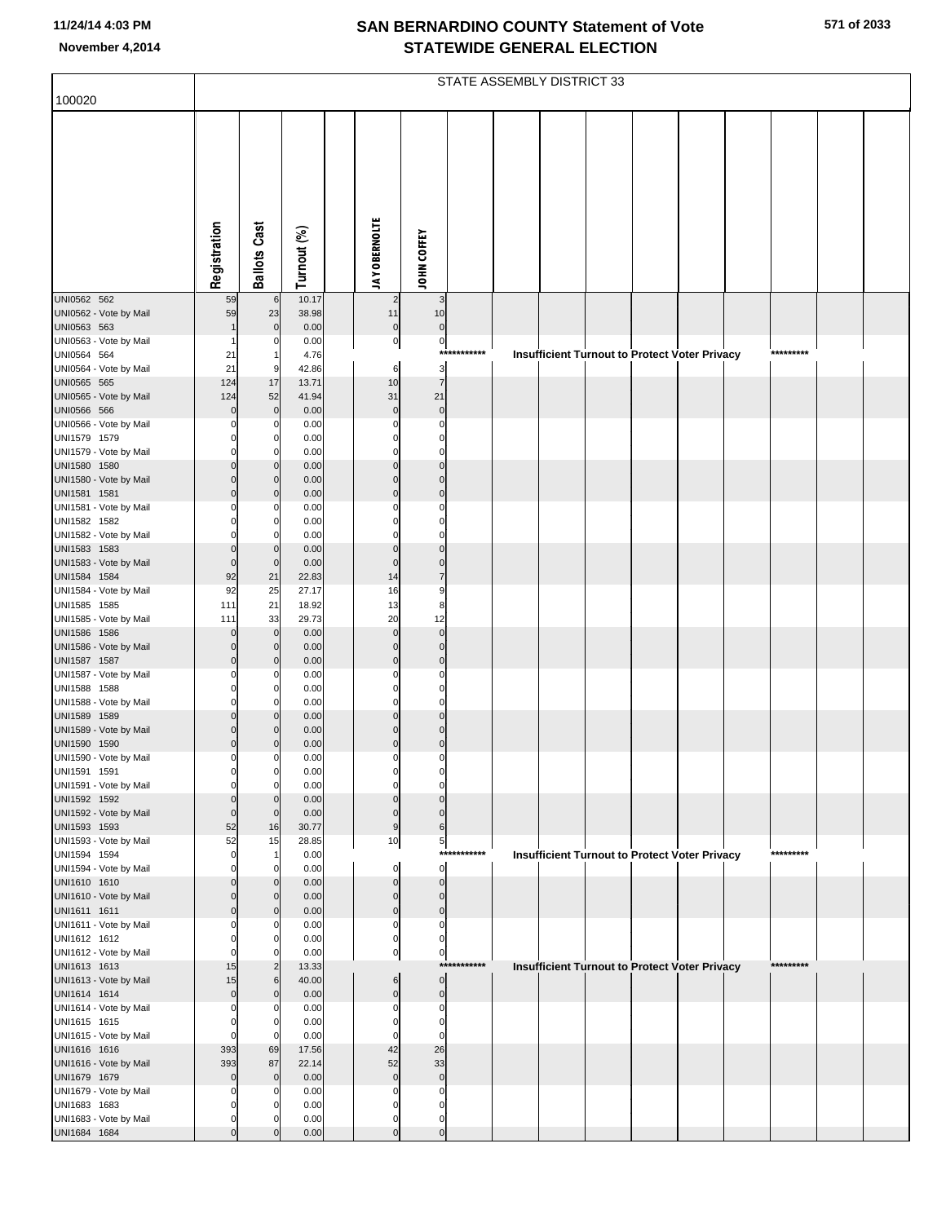|                                        |                         |                         |                |                         |                               |                 | STATE ASSEMBLY DISTRICT 33 |  |                                                      |           |  |
|----------------------------------------|-------------------------|-------------------------|----------------|-------------------------|-------------------------------|-----------------|----------------------------|--|------------------------------------------------------|-----------|--|
| 100020                                 |                         |                         |                |                         |                               |                 |                            |  |                                                      |           |  |
|                                        |                         |                         |                |                         |                               |                 |                            |  |                                                      |           |  |
|                                        |                         |                         |                |                         |                               |                 |                            |  |                                                      |           |  |
|                                        |                         |                         |                |                         |                               |                 |                            |  |                                                      |           |  |
|                                        |                         |                         |                |                         |                               |                 |                            |  |                                                      |           |  |
|                                        |                         |                         |                |                         |                               |                 |                            |  |                                                      |           |  |
|                                        |                         |                         |                |                         |                               |                 |                            |  |                                                      |           |  |
|                                        |                         |                         |                |                         |                               |                 |                            |  |                                                      |           |  |
|                                        | Registration            | <b>Ballots Cast</b>     | Turnout (%)    | <b>JAY OBERNOLTE</b>    | JOHN COFFEY                   |                 |                            |  |                                                      |           |  |
|                                        |                         |                         |                |                         |                               |                 |                            |  |                                                      |           |  |
| UNI0562 562<br>UNI0562 - Vote by Mail  | 59<br>59                | 6<br>23                 | 10.17<br>38.98 | $\overline{c}$<br>11    | $\mathbf{3}$<br>10            |                 |                            |  |                                                      |           |  |
| UNI0563 563                            |                         | $\Omega$                | 0.00           | $\overline{0}$          | $\mathbf 0$                   |                 |                            |  |                                                      |           |  |
| UNI0563 - Vote by Mail                 |                         | $^{(1)}$                | 0.00           | $\overline{0}$          | $\overline{0}$<br>***         | *****           |                            |  |                                                      | ********* |  |
| UNI0564 564<br>UNI0564 - Vote by Mail  | 21<br>21                | 9                       | 4.76<br>42.86  | 6                       | $\overline{\mathbf{3}}$       |                 |                            |  | <b>Insufficient Turnout to Protect Voter Privacy</b> |           |  |
| UNI0565 565                            | 124                     | 17                      | 13.71          | 10                      | $\overline{7}$                |                 |                            |  |                                                      |           |  |
| UNI0565 - Vote by Mail<br>UNI0566 566  | 124<br>$\Omega$         | 52<br>$\Omega$          | 41.94<br>0.00  | 31<br>$\mathbf 0$       | 21<br>$\mathbf 0$             |                 |                            |  |                                                      |           |  |
| UNI0566 - Vote by Mail                 |                         | 0                       | 0.00           | $\Omega$                | 0                             |                 |                            |  |                                                      |           |  |
| UNI1579 1579                           |                         | $\Omega$                | 0.00           | C                       | O                             |                 |                            |  |                                                      |           |  |
| UNI1579 - Vote by Mail<br>UNI1580 1580 |                         | O<br>O                  | 0.00<br>0.00   | C<br>$\Omega$           | 0<br>$\Omega$                 |                 |                            |  |                                                      |           |  |
| UNI1580 - Vote by Mail                 |                         | $\Omega$                | 0.00           | $\Omega$                | $\Omega$                      |                 |                            |  |                                                      |           |  |
| UNI1581 1581<br>UNI1581 - Vote by Mail |                         |                         | 0.00<br>0.00   | $\Omega$<br>C           | $\Omega$<br>$\Omega$          |                 |                            |  |                                                      |           |  |
| UNI1582 1582                           |                         |                         | 0.00           | C                       | O                             |                 |                            |  |                                                      |           |  |
| UNI1582 - Vote by Mail                 | C                       | O                       | 0.00           | 0                       | $\Omega$                      |                 |                            |  |                                                      |           |  |
| UNI1583 1583<br>UNI1583 - Vote by Mail | $\Omega$<br>$\Omega$    | $\Omega$<br>$\mathbf 0$ | 0.00<br>0.00   | $\Omega$<br>$\Omega$    | $\Omega$<br>$\mathbf 0$       |                 |                            |  |                                                      |           |  |
| UNI1584 1584                           | 92                      | 21                      | 22.83          | 14                      | $\overline{7}$                |                 |                            |  |                                                      |           |  |
| UNI1584 - Vote by Mail<br>UNI1585 1585 | 92<br>111               | 25<br>21                | 27.17<br>18.92 | 16<br>13                | 9<br>8                        |                 |                            |  |                                                      |           |  |
| UNI1585 - Vote by Mail                 | 111                     | 33                      | 29.73          | 20                      | 12                            |                 |                            |  |                                                      |           |  |
| UNI1586 1586                           | $\Omega$                | $\mathbf 0$             | 0.00           | $\mathbf 0$<br>$\Omega$ | $\mathbf 0$<br>$\Omega$       |                 |                            |  |                                                      |           |  |
| UNI1586 - Vote by Mail<br>UNI1587 1587 |                         | $\Omega$<br>$\Omega$    | 0.00<br>0.00   | $\Omega$                | $\Omega$                      |                 |                            |  |                                                      |           |  |
| UNI1587 - Vote by Mail                 |                         | $^{(1)}$                | 0.00           | $\Omega$                | $\Omega$                      |                 |                            |  |                                                      |           |  |
| UNI1588 1588<br>UNI1588 - Vote by Mail | $\Omega$                | $^{(1)}$<br>O           | 0.00<br>0.00   | C<br>$\Omega$           | 0                             |                 |                            |  |                                                      |           |  |
| UNI1589 1589                           |                         |                         | 0.00           | $\Omega$                | $\Omega$                      |                 |                            |  |                                                      |           |  |
| UNI1589 - Vote by Mail<br>UNI1590 1590 | $\Omega$                |                         | 0.00<br>0.00   | $\Omega$                | $\Omega$<br>$\Omega$          |                 |                            |  |                                                      |           |  |
| UNI1590 - Vote by Mail                 | $\mathbf 0$             | $\Omega$                | 0.00           | 0                       | 0                             |                 |                            |  |                                                      |           |  |
| UNI1591 1591                           | $\mathbf 0$             | $\overline{0}$          | 0.00           | 0                       | 0                             |                 |                            |  |                                                      |           |  |
| UNI1591 - Vote by Mail<br>UNI1592 1592 | $\Omega$<br>$\Omega$    | 0<br>$\Omega$           | 0.00<br>0.00   | $\Omega$<br>$\Omega$    | $\Omega$<br>$\Omega$          |                 |                            |  |                                                      |           |  |
| UNI1592 - Vote by Mail                 | $\mathbf 0$             | $\mathbf 0$             | 0.00           | $\mathbf 0$             | $\mathbf{0}$                  |                 |                            |  |                                                      |           |  |
| UNI1593 1593<br>UNI1593 - Vote by Mail | 52<br>52                | 16<br>15                | 30.77<br>28.85 | $\boldsymbol{9}$<br>10  | 6<br>5                        |                 |                            |  |                                                      |           |  |
| UNI1594 1594                           | $\Omega$                |                         | 0.00           |                         |                               | ******<br>***** |                            |  | <b>Insufficient Turnout to Protect Voter Privacy</b> | ********* |  |
| UNI1594 - Vote by Mail<br>UNI1610 1610 | O<br>$\Omega$           | $\Omega$<br>$\Omega$    | 0.00<br>0.00   | $\mathbf 0$<br>$\Omega$ | $\overline{0}$<br>$\mathbf 0$ |                 |                            |  |                                                      |           |  |
| UNI1610 - Vote by Mail                 | $\Omega$                | $\mathbf 0$             | 0.00           | $\Omega$                | $\mathbf{0}$                  |                 |                            |  |                                                      |           |  |
| UNI1611 1611                           | $\Omega$                | $\Omega$                | 0.00           | $\Omega$                | $\mathbf 0$                   |                 |                            |  |                                                      |           |  |
| UNI1611 - Vote by Mail<br>UNI1612 1612 | O                       | O<br>O                  | 0.00<br>0.00   | $\Omega$<br>$\Omega$    | 0<br>O                        |                 |                            |  |                                                      |           |  |
| UNI1612 - Vote by Mail                 | $\Omega$                | 0                       | 0.00           | $\overline{0}$          | $\overline{0}$                |                 |                            |  |                                                      |           |  |
| UNI1613 1613<br>UNI1613 - Vote by Mail | 15<br>15                | $\overline{2}$<br>6     | 13.33<br>40.00 | 6                       | $\overline{0}$                | ***********     |                            |  | Insufficient Turnout to Protect Voter Privacy        | ********* |  |
| UNI1614 1614                           | $\overline{0}$          | $\Omega$                | 0.00           | $\mathbf 0$             | $\overline{0}$                |                 |                            |  |                                                      |           |  |
| UNI1614 - Vote by Mail                 | $\Omega$                | $^{(1)}$                | 0.00           | $\Omega$                | 0                             |                 |                            |  |                                                      |           |  |
| UNI1615 1615<br>UNI1615 - Vote by Mail | $\Omega$<br>$\mathbf 0$ | $\Omega$<br>$\Omega$    | 0.00<br>0.00   | $\Omega$<br>$\mathbf 0$ | $\Omega$<br>$\Omega$          |                 |                            |  |                                                      |           |  |
| UNI1616 1616                           | 393                     | 69                      | 17.56          | 42                      | 26                            |                 |                            |  |                                                      |           |  |
| UNI1616 - Vote by Mail<br>UNI1679 1679 | 393<br>$\Omega$         | 87<br>$\Omega$          | 22.14<br>0.00  | 52<br>$\mathbf 0$       | 33<br>$\mathbf 0$             |                 |                            |  |                                                      |           |  |
| UNI1679 - Vote by Mail                 |                         | $^{(1)}$                | 0.00           | $\Omega$                | $\Omega$                      |                 |                            |  |                                                      |           |  |
| UNI1683 1683                           | $\Omega$                |                         | 0.00           | O<br>$\Omega$           |                               |                 |                            |  |                                                      |           |  |
| UNI1683 - Vote by Mail<br>UNI1684 1684 | $\Omega$                |                         | 0.00<br>0.00   | $\Omega$                | 0<br>$\mathbf 0$              |                 |                            |  |                                                      |           |  |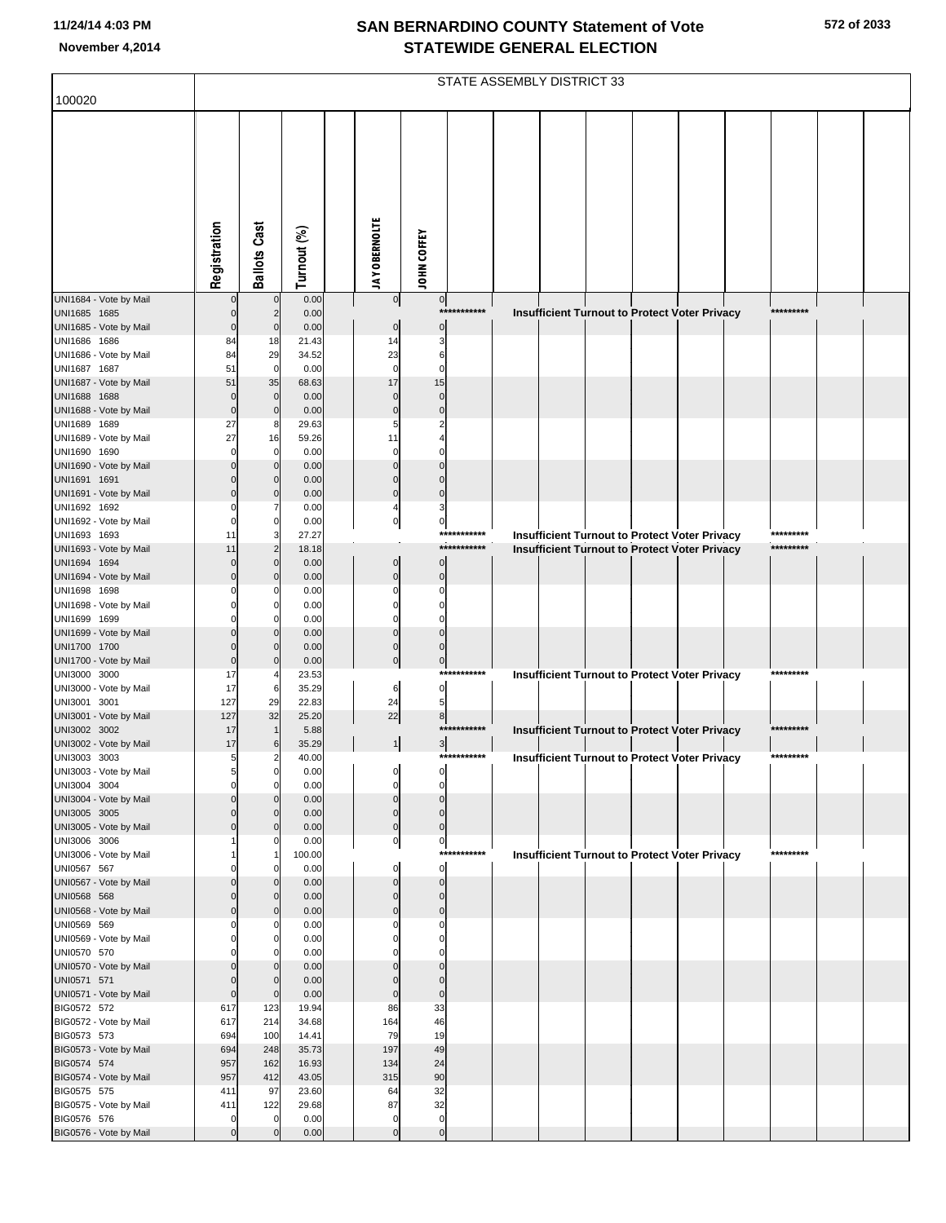|                                        |                         |                               |                |                            |                            |             | STATE ASSEMBLY DISTRICT 33 |                                                      |  |  |           |  |
|----------------------------------------|-------------------------|-------------------------------|----------------|----------------------------|----------------------------|-------------|----------------------------|------------------------------------------------------|--|--|-----------|--|
| 100020                                 |                         |                               |                |                            |                            |             |                            |                                                      |  |  |           |  |
|                                        | Registration            | <b>Ballots Cast</b>           | Turnout (%)    | <b>JAY OBERNOLTE</b>       | <b>JOHN COFFEY</b>         |             |                            |                                                      |  |  |           |  |
| UNI1684 - Vote by Mail                 |                         | $\mathbf 0$                   | 0.00           | $\overline{0}$             | $\overline{0}$             |             |                            |                                                      |  |  |           |  |
| UNI1685 1685                           |                         | $\overline{2}$                | 0.00           |                            | $***$                      | *******     |                            | <b>Insufficient Turnout to Protect Voter Privacy</b> |  |  | ********* |  |
| UNI1685 - Vote by Mail<br>UNI1686 1686 | $\overline{0}$<br>84    | $\mathbf{0}$                  | 0.00<br>21.43  | 0                          | $\mathbf 0$<br>3           |             |                            |                                                      |  |  |           |  |
| UNI1686 - Vote by Mail                 | 84                      | 18<br>29                      | 34.52          | 14<br>23                   | 6                          |             |                            |                                                      |  |  |           |  |
| UNI1687 1687                           | 51                      | $\overline{0}$                | 0.00           | $\mathbf 0$                | C                          |             |                            |                                                      |  |  |           |  |
| UNI1687 - Vote by Mail                 | 51                      | 35                            | 68.63          | 17                         | 15                         |             |                            |                                                      |  |  |           |  |
| UNI1688 1688                           | $\mathbf 0$             | $\mathbf 0$                   | 0.00           |                            | $\Omega$                   |             |                            |                                                      |  |  |           |  |
| UNI1688 - Vote by Mail<br>UNI1689 1689 | $\mathbf 0$<br>27       | $\mathbf 0$<br>8              | 0.00<br>29.63  | $\sqrt{ }$                 | $\Omega$                   |             |                            |                                                      |  |  |           |  |
| UNI1689 - Vote by Mail                 | 27                      | 16                            | 59.26          | 11                         |                            |             |                            |                                                      |  |  |           |  |
| UNI1690 1690                           | $\Omega$                | $\mathbf 0$                   | 0.00           |                            |                            |             |                            |                                                      |  |  |           |  |
| UNI1690 - Vote by Mail                 | $\Omega$                | $\mathbf{0}$                  | 0.00           |                            |                            |             |                            |                                                      |  |  |           |  |
| UNI1691 1691                           |                         | $\mathbf{0}$                  | 0.00           |                            |                            |             |                            |                                                      |  |  |           |  |
| UNI1691 - Vote by Mail<br>UNI1692 1692 | $\Omega$                | $\mathbf{0}$                  | 0.00<br>0.00   | $\Omega$                   | $\Omega$<br>3              |             |                            |                                                      |  |  |           |  |
| UNI1692 - Vote by Mail                 | $\Omega$                | $\mathbf 0$                   | 0.00           | $\mathbf 0$                | 0                          |             |                            |                                                      |  |  |           |  |
| UNI1693 1693                           | 11                      | 3                             | 27.27          |                            |                            | *********** |                            | <b>Insufficient Turnout to Protect Voter Privacy</b> |  |  | ********* |  |
| UNI1693 - Vote by Mail                 | 11                      | $\overline{2}$                | 18.18          |                            |                            | *********** |                            | <b>Insufficient Turnout to Protect Voter Privacy</b> |  |  | ********* |  |
| UNI1694 1694                           | $\Omega$                | $\mathbf{0}$                  | 0.00           | $\Omega$                   |                            |             |                            |                                                      |  |  |           |  |
| UNI1694 - Vote by Mail<br>UNI1698 1698 | $\Omega$                | $\mathbf{0}$<br>0             | 0.00<br>0.00   | $\Omega$                   | $\Omega$<br>$\Omega$       |             |                            |                                                      |  |  |           |  |
| UNI1698 - Vote by Mail                 |                         | $\Omega$                      | 0.00           |                            | $\Omega$                   |             |                            |                                                      |  |  |           |  |
| UNI1699 1699                           |                         |                               | 0.00           |                            |                            |             |                            |                                                      |  |  |           |  |
| UNI1699 - Vote by Mail                 |                         | $\mathbf{0}$                  | 0.00           | U                          | $\Omega$                   |             |                            |                                                      |  |  |           |  |
| UNI1700 1700                           | $\Omega$                | $\mathbf{0}$<br>$\mathbf 0$   | 0.00           | $\Omega$                   |                            |             |                            |                                                      |  |  |           |  |
| UNI1700 - Vote by Mail<br>UNI3000 3000 | 17                      |                               | 0.00<br>23.53  |                            | $\pmb{0}$<br>***           | ********    |                            | <b>Insufficient Turnout to Protect Voter Privacy</b> |  |  | ********* |  |
| UNI3000 - Vote by Mail                 | 17                      | 6                             | 35.29          | 6                          | $\overline{0}$             |             |                            |                                                      |  |  |           |  |
| UNI3001 3001                           | 127                     | 29                            | 22.83          | 24                         |                            |             |                            |                                                      |  |  |           |  |
| UNI3001 - Vote by Mail                 | 127                     | 32                            | 25.20          | 22                         | 8                          |             |                            |                                                      |  |  |           |  |
| UNI3002 3002                           | 17<br>17                |                               | 5.88           |                            |                            | ********    |                            | Insufficient Turnout to Protect Voter Privacy        |  |  | ********* |  |
| UNI3002 - Vote by Mail<br>UNI3003 3003 | 5                       | 6<br>2                        | 35.29<br>40.00 |                            | 3                          | *********** |                            | Insufficient Turnout to Protect Voter Privacy        |  |  | ********* |  |
| UNI3003 - Vote by Mail                 | 5                       | $\mathbf{0}$                  | 0.00           |                            |                            |             |                            |                                                      |  |  |           |  |
| UNI3004 3004                           | $\Omega$                | $\mathbf 0$                   | 0.00           | $\Omega$                   | $\Omega$                   |             |                            |                                                      |  |  |           |  |
| UNI3004 - Vote by Mail                 | $\Omega$                | $\Omega$                      | 0.00           | $\Omega$                   | $\Omega$                   |             |                            |                                                      |  |  |           |  |
| UNI3005 3005<br>UNI3005 - Vote by Mail | $\Omega$<br>$\mathbf 0$ | $\mathbf 0$<br>$\overline{0}$ | 0.00<br>0.00   | $\mathbf 0$<br>$\mathbf 0$ | $\mathbf 0$<br>$\mathbf 0$ |             |                            |                                                      |  |  |           |  |
| UNI3006 3006                           |                         | $\Omega$                      | 0.00           | $\pmb{0}$                  | $\overline{0}$             |             |                            |                                                      |  |  |           |  |
| UNI3006 - Vote by Mail                 |                         |                               | 100.00         |                            |                            | *********** |                            | <b>Insufficient Turnout to Protect Voter Privacy</b> |  |  | ********* |  |
| UNI0567 567                            |                         | 0                             | 0.00           | $\Omega$                   | $\overline{0}$             |             |                            |                                                      |  |  |           |  |
| UNI0567 - Vote by Mail<br>UNI0568 568  | $\Omega$<br>$\Omega$    | $\mathbf 0$<br>$\overline{0}$ | 0.00<br>0.00   | $\Omega$<br>$\Omega$       | $\mathbf 0$<br>$\Omega$    |             |                            |                                                      |  |  |           |  |
| UNI0568 - Vote by Mail                 | $\Omega$                | $\overline{0}$                | 0.00           | $\Omega$                   | $\Omega$                   |             |                            |                                                      |  |  |           |  |
| UNI0569 569                            | O                       | $\mathbf 0$                   | 0.00           | C                          | 0                          |             |                            |                                                      |  |  |           |  |
| UNI0569 - Vote by Mail                 | $\Omega$                | $\mathbf 0$                   | 0.00           | C                          | $\Omega$                   |             |                            |                                                      |  |  |           |  |
| UNI0570 570                            |                         | $\mathbf 0$                   | 0.00           |                            | $\Omega$                   |             |                            |                                                      |  |  |           |  |
| UNI0570 - Vote by Mail                 | $\Omega$<br>$\Omega$    | $\mathbf 0$                   | 0.00           | r<br>C                     | $\Omega$<br>$\Omega$       |             |                            |                                                      |  |  |           |  |
| UNI0571 571<br>UNI0571 - Vote by Mail  | $\pmb{0}$               | $\mathbf{0}$<br>$\mathbf{0}$  | 0.00<br>0.00   | $\mathbf 0$                | $\mathbf 0$                |             |                            |                                                      |  |  |           |  |
| BIG0572 572                            | 617                     | 123                           | 19.94          | 86                         | 33                         |             |                            |                                                      |  |  |           |  |
| BIG0572 - Vote by Mail                 | 617                     | 214                           | 34.68          | 164                        | 46                         |             |                            |                                                      |  |  |           |  |
| BIG0573 573                            | 694                     | 100                           | 14.41          | 79                         | 19                         |             |                            |                                                      |  |  |           |  |
| BIG0573 - Vote by Mail<br>BIG0574 574  | 694<br>957              | 248<br>162                    | 35.73<br>16.93 | 197<br>134                 | 49<br>24                   |             |                            |                                                      |  |  |           |  |
| BIG0574 - Vote by Mail                 | 957                     | 412                           | 43.05          | 315                        | 90                         |             |                            |                                                      |  |  |           |  |
| BIG0575 575                            | 411                     | 97                            | 23.60          | 64                         | 32                         |             |                            |                                                      |  |  |           |  |
| BIG0575 - Vote by Mail                 | 411                     | 122                           | 29.68          | 87                         | 32                         |             |                            |                                                      |  |  |           |  |
| BIG0576 576                            | $\Omega$                | $\mathbf 0$                   | 0.00           | $\mathbf 0$                | $\mathbf 0$                |             |                            |                                                      |  |  |           |  |
| BIG0576 - Vote by Mail                 | $\Omega$                | $\Omega$                      | 0.00           | $\Omega$                   | $\overline{0}$             |             |                            |                                                      |  |  |           |  |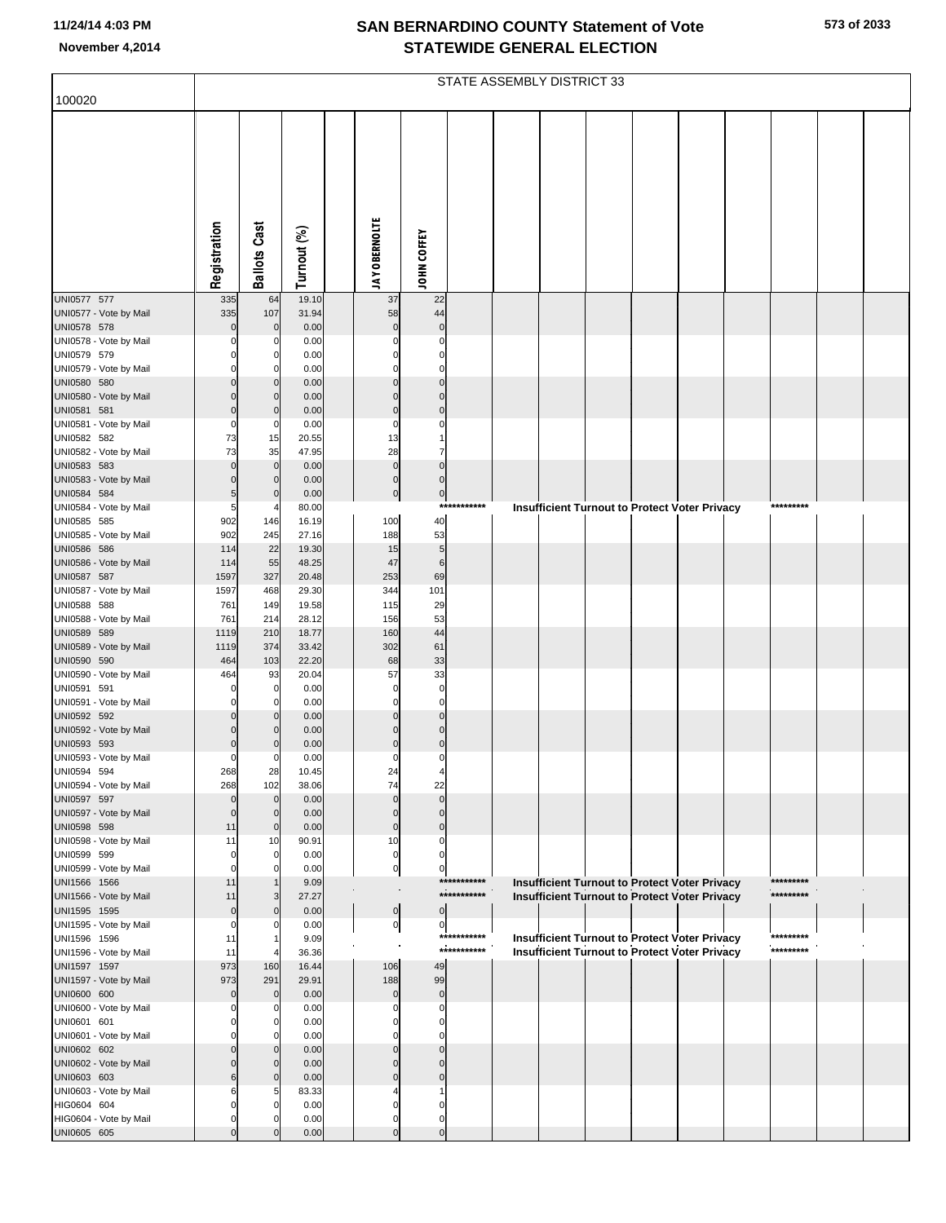|                                        | STATE ASSEMBLY DISTRICT 33 |                     |                |  |                             |                                  |             |  |  |  |  |                                                      |  |           |  |  |
|----------------------------------------|----------------------------|---------------------|----------------|--|-----------------------------|----------------------------------|-------------|--|--|--|--|------------------------------------------------------|--|-----------|--|--|
| 100020                                 |                            |                     |                |  |                             |                                  |             |  |  |  |  |                                                      |  |           |  |  |
|                                        |                            |                     |                |  |                             |                                  |             |  |  |  |  |                                                      |  |           |  |  |
|                                        |                            |                     |                |  |                             |                                  |             |  |  |  |  |                                                      |  |           |  |  |
|                                        |                            |                     |                |  |                             |                                  |             |  |  |  |  |                                                      |  |           |  |  |
|                                        |                            |                     |                |  |                             |                                  |             |  |  |  |  |                                                      |  |           |  |  |
|                                        |                            |                     |                |  |                             |                                  |             |  |  |  |  |                                                      |  |           |  |  |
|                                        |                            |                     |                |  |                             |                                  |             |  |  |  |  |                                                      |  |           |  |  |
|                                        |                            |                     |                |  |                             |                                  |             |  |  |  |  |                                                      |  |           |  |  |
|                                        |                            |                     |                |  |                             |                                  |             |  |  |  |  |                                                      |  |           |  |  |
|                                        |                            |                     |                |  |                             |                                  |             |  |  |  |  |                                                      |  |           |  |  |
|                                        | Registration               | <b>Ballots Cast</b> | Turnout (%)    |  | <b>JAY OBERNOLTE</b>        | JOHN COFFEY                      |             |  |  |  |  |                                                      |  |           |  |  |
| UNI0577 577                            | 335                        | 64                  | 19.10          |  | 37                          | 22                               |             |  |  |  |  |                                                      |  |           |  |  |
| UNI0577 - Vote by Mail                 | 335                        | 107                 | 31.94          |  | 58                          | 44                               |             |  |  |  |  |                                                      |  |           |  |  |
| UNI0578 578                            | $\Omega$                   | $\Omega$            | 0.00           |  | $\mathbf 0$                 | $\mathbf 0$                      |             |  |  |  |  |                                                      |  |           |  |  |
| UNI0578 - Vote by Mail<br>UNI0579 579  |                            | 0                   | 0.00<br>0.00   |  | $\mathbf 0$<br>$\Omega$     | $\Omega$<br>$\Omega$             |             |  |  |  |  |                                                      |  |           |  |  |
| UNI0579 - Vote by Mail                 | 0                          | 0                   | 0.00           |  | $\Omega$                    | $\Omega$                         |             |  |  |  |  |                                                      |  |           |  |  |
| UNI0580 580                            |                            |                     | 0.00           |  | $\Omega$                    | $\Omega$                         |             |  |  |  |  |                                                      |  |           |  |  |
| UNI0580 - Vote by Mail                 | $\Omega$                   | $\Omega$            | 0.00           |  | $\Omega$                    | $\Omega$                         |             |  |  |  |  |                                                      |  |           |  |  |
| UNI0581 581<br>UNI0581 - Vote by Mail  | $\Omega$<br>0              | 0                   | 0.00<br>0.00   |  | $\mathbf 0$<br>0            | $\Omega$<br>0                    |             |  |  |  |  |                                                      |  |           |  |  |
| UNI0582 582                            | 73                         | 15                  | 20.55          |  | 13                          |                                  |             |  |  |  |  |                                                      |  |           |  |  |
| UNI0582 - Vote by Mail                 | 73                         | 35                  | 47.95          |  | 28                          |                                  |             |  |  |  |  |                                                      |  |           |  |  |
| UNI0583 583                            | $\Omega$                   | $\mathbf 0$         | 0.00           |  | $\pmb{0}$                   | $\Omega$                         |             |  |  |  |  |                                                      |  |           |  |  |
| UNI0583 - Vote by Mail                 |                            | $\Omega$            | 0.00           |  | $\pmb{0}$                   | $\mathbf{0}$                     |             |  |  |  |  |                                                      |  |           |  |  |
| UNI0584 584<br>UNI0584 - Vote by Mail  | 5<br>5                     | $\Omega$            | 0.00<br>80.00  |  | $\pmb{0}$                   | $\overline{0}$                   | *********** |  |  |  |  | <b>Insufficient Turnout to Protect Voter Privacy</b> |  | ********* |  |  |
| UNI0585 585                            | 902                        | 146                 | 16.19          |  | 100                         | 40                               |             |  |  |  |  |                                                      |  |           |  |  |
| UNI0585 - Vote by Mail                 | 902                        | 245                 | 27.16          |  | 188                         | 53                               |             |  |  |  |  |                                                      |  |           |  |  |
| UNI0586 586                            | 114                        | 22                  | 19.30          |  | 15                          | $5\overline{)}$                  |             |  |  |  |  |                                                      |  |           |  |  |
| UNI0586 - Vote by Mail<br>UNI0587 587  | 114<br>1597                | 55<br>327           | 48.25<br>20.48 |  | 47<br>253                   | 6<br>69                          |             |  |  |  |  |                                                      |  |           |  |  |
| UNI0587 - Vote by Mail                 | 1597                       | 468                 | 29.30          |  | 344                         | 101                              |             |  |  |  |  |                                                      |  |           |  |  |
| UNI0588 588                            | 761                        | 149                 | 19.58          |  | 115                         | 29                               |             |  |  |  |  |                                                      |  |           |  |  |
| UNI0588 - Vote by Mail                 | 761                        | 214                 | 28.12          |  | 156                         | 53                               |             |  |  |  |  |                                                      |  |           |  |  |
| UNI0589 589<br>UNI0589 - Vote by Mail  | 1119<br>1119               | 210<br>374          | 18.77<br>33.42 |  | 160<br>302                  | 44<br>61                         |             |  |  |  |  |                                                      |  |           |  |  |
| UNI0590 590                            | 464                        | 103                 | 22.20          |  | 68                          | 33                               |             |  |  |  |  |                                                      |  |           |  |  |
| UNI0590 - Vote by Mail                 | 464                        | 93                  | 20.04          |  | 57                          | 33                               |             |  |  |  |  |                                                      |  |           |  |  |
| UNI0591 591                            | $\Omega$                   | 0                   | 0.00           |  | $\mathbf 0$                 | $\mathbf 0$                      |             |  |  |  |  |                                                      |  |           |  |  |
| UNI0591 - Vote by Mail<br>UNI0592 592  | $\Omega$                   | 0                   | 0.00<br>0.00   |  | $\mathbf 0$<br>$\Omega$     | $\mathbf 0$<br>$\mathbf 0$       |             |  |  |  |  |                                                      |  |           |  |  |
| UNI0592 - Vote by Mail                 | $\Omega$                   |                     | 0.00           |  | $\Omega$                    | $\Omega$                         |             |  |  |  |  |                                                      |  |           |  |  |
| UNI0593 593                            | $\Omega$                   |                     | 0.00           |  | $\Omega$                    | $\Omega$                         |             |  |  |  |  |                                                      |  |           |  |  |
| UNI0593 - Vote by Mail                 | $\mathbf 0$                | 0                   | 0.00           |  | 0                           | 0                                |             |  |  |  |  |                                                      |  |           |  |  |
| UNI0594 594<br>UNI0594 - Vote by Mail  | 268<br>268                 | 28<br>102           | 10.45<br>38.06 |  | 24<br>74                    | 22                               |             |  |  |  |  |                                                      |  |           |  |  |
| UNI0597 597                            | $\Omega$                   | $\mathbf 0$         | 0.00           |  | $\mathbf 0$                 | $\Omega$                         |             |  |  |  |  |                                                      |  |           |  |  |
| UNI0597 - Vote by Mail                 | $\Omega$                   | $\mathbf 0$         | 0.00           |  | $\mathbf 0$                 | $\Omega$                         |             |  |  |  |  |                                                      |  |           |  |  |
| UNI0598 598                            | 11                         | $\mathbf 0$         | 0.00           |  | $\mathbf 0$                 | $\Omega$                         |             |  |  |  |  |                                                      |  |           |  |  |
| UNI0598 - Vote by Mail<br>UNI0599 599  | 11<br>$\mathbf 0$          | 10<br>0             | 90.91<br>0.00  |  | 10<br>$\mathbf 0$           | $\Omega$<br>$\Omega$             |             |  |  |  |  |                                                      |  |           |  |  |
| UNI0599 - Vote by Mail                 | $\Omega$                   |                     | 0.00           |  | $\overline{0}$              | 0                                |             |  |  |  |  |                                                      |  |           |  |  |
| UNI1566 1566                           | 11                         |                     | 9.09           |  |                             |                                  | *********** |  |  |  |  | <b>Insufficient Turnout to Protect Voter Privacy</b> |  | ********* |  |  |
| UNI1566 - Vote by Mail                 | 11                         | 3                   | 27.27          |  |                             |                                  | *********** |  |  |  |  | <b>Insufficient Turnout to Protect Voter Privacy</b> |  | ********* |  |  |
| UNI1595 1595<br>UNI1595 - Vote by Mail | $\mathbf 0$<br>$\Omega$    | $\Omega$            | 0.00<br>0.00   |  | $\pmb{0}$<br>$\overline{0}$ | $\overline{0}$<br>$\overline{0}$ |             |  |  |  |  |                                                      |  |           |  |  |
| UNI1596 1596                           | 11                         |                     | 9.09           |  |                             |                                  | *********** |  |  |  |  | <b>Insufficient Turnout to Protect Voter Privacy</b> |  | ********* |  |  |
| UNI1596 - Vote by Mail                 | 11                         |                     | 36.36          |  |                             |                                  | *********** |  |  |  |  | <b>Insufficient Turnout to Protect Voter Privacy</b> |  | ********* |  |  |
| UNI1597 1597                           | 973                        | 160                 | 16.44          |  | 106                         | 49                               |             |  |  |  |  |                                                      |  |           |  |  |
| UNI1597 - Vote by Mail<br>UNI0600 600  | 973<br>$\Omega$            | 291<br>$\mathbf 0$  | 29.91<br>0.00  |  | 188<br>$\mathbf 0$          | 99<br>$\mathbf 0$                |             |  |  |  |  |                                                      |  |           |  |  |
| UNI0600 - Vote by Mail                 |                            | 0                   | 0.00           |  | 0                           | $\Omega$                         |             |  |  |  |  |                                                      |  |           |  |  |
| UNI0601 601                            |                            | $\Omega$            | 0.00           |  | O                           |                                  |             |  |  |  |  |                                                      |  |           |  |  |
| UNI0601 - Vote by Mail                 |                            | $\Omega$            | 0.00           |  | 0                           |                                  |             |  |  |  |  |                                                      |  |           |  |  |
| UNI0602 602<br>UNI0602 - Vote by Mail  |                            |                     | 0.00<br>0.00   |  | $\Omega$<br>$\Omega$        | $\Omega$                         |             |  |  |  |  |                                                      |  |           |  |  |
| UNI0603 603                            | 6                          | $\Omega$            | 0.00           |  | $\Omega$                    |                                  |             |  |  |  |  |                                                      |  |           |  |  |
| UNI0603 - Vote by Mail                 |                            |                     | 83.33          |  |                             |                                  |             |  |  |  |  |                                                      |  |           |  |  |
| HIG0604 604                            |                            |                     | 0.00           |  | C                           |                                  |             |  |  |  |  |                                                      |  |           |  |  |
| HIG0604 - Vote by Mail                 | $\Omega$<br>$\mathbf 0$    |                     | 0.00           |  | 0                           | $\Omega$                         |             |  |  |  |  |                                                      |  |           |  |  |
| UNI0605 605                            |                            |                     | 0.00           |  | $\mathbf 0$                 | $\mathbf 0$                      |             |  |  |  |  |                                                      |  |           |  |  |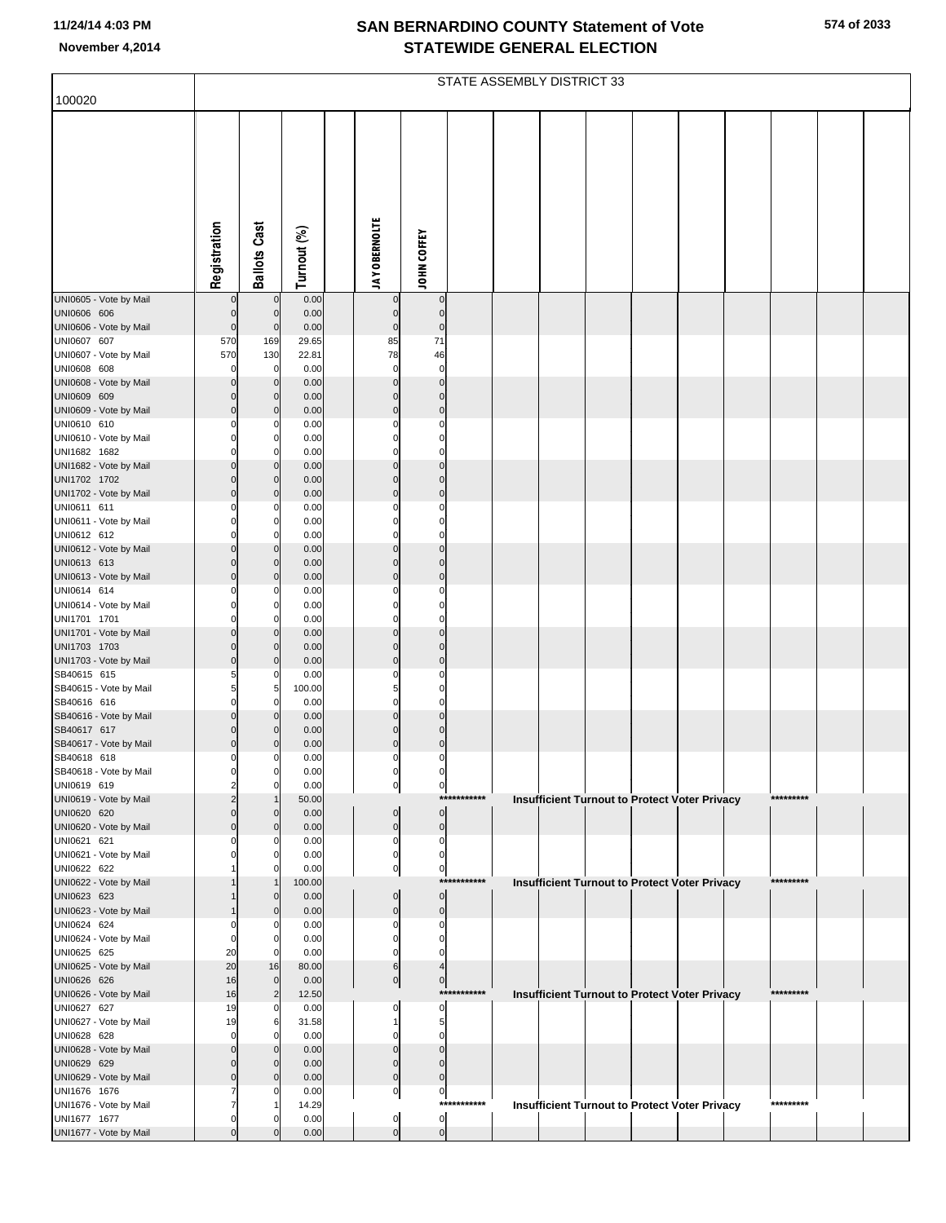| 100020                                 | STATE ASSEMBLY DISTRICT 33 |                                  |                |  |                            |                             |              |  |  |  |  |                                                      |  |           |  |  |
|----------------------------------------|----------------------------|----------------------------------|----------------|--|----------------------------|-----------------------------|--------------|--|--|--|--|------------------------------------------------------|--|-----------|--|--|
|                                        |                            |                                  |                |  |                            |                             |              |  |  |  |  |                                                      |  |           |  |  |
|                                        |                            |                                  |                |  |                            |                             |              |  |  |  |  |                                                      |  |           |  |  |
|                                        |                            |                                  |                |  |                            |                             |              |  |  |  |  |                                                      |  |           |  |  |
|                                        |                            |                                  |                |  |                            |                             |              |  |  |  |  |                                                      |  |           |  |  |
|                                        |                            |                                  |                |  |                            |                             |              |  |  |  |  |                                                      |  |           |  |  |
|                                        |                            |                                  |                |  |                            |                             |              |  |  |  |  |                                                      |  |           |  |  |
|                                        |                            |                                  |                |  |                            |                             |              |  |  |  |  |                                                      |  |           |  |  |
|                                        |                            |                                  |                |  |                            |                             |              |  |  |  |  |                                                      |  |           |  |  |
|                                        | Registration               | <b>Ballots Cast</b>              | Turnout (%)    |  | <b>JAY OBERNOLTE</b>       | JOHN COFFEY                 |              |  |  |  |  |                                                      |  |           |  |  |
| UNI0605 - Vote by Mail                 | 0                          | $\mathbf 0$                      | 0.00           |  | $\bf{0}$                   | $\bf{0}$                    |              |  |  |  |  |                                                      |  |           |  |  |
| UNI0606 606                            | $\pmb{0}$                  | $\overline{0}$                   | 0.00           |  | $\overline{0}$             | $\pmb{0}$                   |              |  |  |  |  |                                                      |  |           |  |  |
| UNI0606 - Vote by Mail                 | $\mathbf 0$                | $\mathbf 0$                      | 0.00           |  | $\overline{0}$<br>85       | $\mathbf 0$                 |              |  |  |  |  |                                                      |  |           |  |  |
| UNI0607 607<br>UNI0607 - Vote by Mail  | 570<br>570                 | 169<br>130                       | 29.65<br>22.81 |  | 78                         | 71<br>46                    |              |  |  |  |  |                                                      |  |           |  |  |
| UNI0608 608                            | $\mathbf 0$                | $\mathbf 0$                      | 0.00           |  | $\mathbf 0$                | $\mathbf 0$                 |              |  |  |  |  |                                                      |  |           |  |  |
| UNI0608 - Vote by Mail<br>UNI0609 609  | $\mathbf 0$<br>$\mathbf 0$ | $\mathbf{0}$<br>$\overline{0}$   | 0.00<br>0.00   |  | $\mathbf 0$<br>$\mathbf 0$ | $\mathbf 0$<br>$\mathbf{0}$ |              |  |  |  |  |                                                      |  |           |  |  |
| UNI0609 - Vote by Mail                 | $\mathbf 0$                | $\overline{0}$                   | 0.00           |  | $\mathbf{0}$               | $\pmb{0}$                   |              |  |  |  |  |                                                      |  |           |  |  |
| UNI0610 610                            | $\Omega$                   | $\mathbf 0$                      | 0.00           |  | $\mathbf 0$                | $\mathbf 0$                 |              |  |  |  |  |                                                      |  |           |  |  |
| UNI0610 - Vote by Mail<br>UNI1682 1682 | $\mathbf 0$<br>$\Omega$    | $\mathbf 0$<br>$\mathbf 0$       | 0.00<br>0.00   |  | $\mathbf 0$<br>$\mathbf 0$ | $\mathbf 0$<br>$\mathbf 0$  |              |  |  |  |  |                                                      |  |           |  |  |
| UNI1682 - Vote by Mail                 | $\pmb{0}$                  | $\overline{0}$                   | 0.00           |  | $\pmb{0}$                  | $\mathbf 0$                 |              |  |  |  |  |                                                      |  |           |  |  |
| UNI1702 1702                           | $\mathbf 0$                | $\overline{0}$                   | 0.00           |  | $\mathbf 0$                | $\mathbf{0}$                |              |  |  |  |  |                                                      |  |           |  |  |
| UNI1702 - Vote by Mail<br>UNI0611 611  | $\mathbf 0$<br>0           | $\mathbf 0$<br>0                 | 0.00<br>0.00   |  | $\mathbf 0$<br>$\mathbf 0$ | $\mathbf 0$<br>$\mathbf 0$  |              |  |  |  |  |                                                      |  |           |  |  |
| UNI0611 - Vote by Mail                 | $\Omega$                   | $\Omega$                         | 0.00           |  | $\mathbf 0$                | $\mathbf 0$                 |              |  |  |  |  |                                                      |  |           |  |  |
| UNI0612 612                            | $\Omega$                   | $\mathbf 0$                      | 0.00           |  | $\mathbf 0$                | $\mathbf 0$                 |              |  |  |  |  |                                                      |  |           |  |  |
| UNI0612 - Vote by Mail<br>UNI0613 613  | $\mathbf 0$<br>$\mathbf 0$ | $\overline{0}$<br>$\overline{0}$ | 0.00<br>0.00   |  | $\mathbf 0$<br>$\mathbf 0$ | $\mathbf 0$<br>$\mathbf{0}$ |              |  |  |  |  |                                                      |  |           |  |  |
| UNI0613 - Vote by Mail                 | $\mathbf 0$                | $\overline{0}$                   | 0.00           |  | $\mathbf 0$                | $\mathbf 0$                 |              |  |  |  |  |                                                      |  |           |  |  |
| UNI0614 614<br>UNI0614 - Vote by Mail  | $\Omega$<br>$\mathbf 0$    | $\mathbf{0}$<br>$\mathbf 0$      | 0.00<br>0.00   |  | $\Omega$<br>0              | $\Omega$<br>$\mathbf 0$     |              |  |  |  |  |                                                      |  |           |  |  |
| UNI1701 1701                           | $\Omega$                   | $\mathbf 0$                      | 0.00           |  | $\mathbf 0$                | $\mathbf 0$                 |              |  |  |  |  |                                                      |  |           |  |  |
| UNI1701 - Vote by Mail                 | $\pmb{0}$                  | $\overline{0}$                   | 0.00           |  | $\pmb{0}$                  | $\mathbf 0$                 |              |  |  |  |  |                                                      |  |           |  |  |
| UNI1703 1703<br>UNI1703 - Vote by Mail | $\mathbf 0$<br>$\mathbf 0$ | $\Omega$<br>$\mathbf 0$          | 0.00<br>0.00   |  | $\mathbf 0$<br>$\mathbf 0$ | $\mathbf{0}$<br>$\mathbf 0$ |              |  |  |  |  |                                                      |  |           |  |  |
| SB40615 615                            | 5                          | $\Omega$                         | 0.00           |  | $\mathbf 0$                | $\mathbf 0$                 |              |  |  |  |  |                                                      |  |           |  |  |
| SB40615 - Vote by Mail                 | 5<br>$\mathbf 0$           | 5                                | 100.00         |  | 5<br>$\mathbf 0$           | $\mathbf 0$<br>$\mathbf 0$  |              |  |  |  |  |                                                      |  |           |  |  |
| SB40616 616<br>SB40616 - Vote by Mail  | $\pmb{0}$                  | $\mathbf 0$<br>$\mathbf{0}$      | 0.00<br>0.00   |  | $\pmb{0}$                  | $\mathbf 0$                 |              |  |  |  |  |                                                      |  |           |  |  |
| SB40617 617                            | $\mathbf 0$                | $\Omega$                         | 0.00           |  | $\mathbf 0$                | $\mathbf{0}$                |              |  |  |  |  |                                                      |  |           |  |  |
| SB40617 - Vote by Mail<br>SB40618 618  | $\mathbf 0$<br>$\mathbf 0$ | $\Omega$<br>O                    | 0.00<br>0.00   |  | $\mathbf 0$<br>$\Omega$    | $\pmb{0}$<br>$\mathbf 0$    |              |  |  |  |  |                                                      |  |           |  |  |
| SB40618 - Vote by Mail                 |                            |                                  | 0.00           |  |                            |                             |              |  |  |  |  |                                                      |  |           |  |  |
| UNI0619 619                            | 2                          | $\mathbf 0$                      | 0.00           |  | $\overline{0}$             | $\boldsymbol{0}$            | ***********  |  |  |  |  |                                                      |  | ********* |  |  |
| UNI0619 - Vote by Mail<br>UNI0620 620  | $\Omega$                   | $\mathbf{0}$                     | 50.00<br>0.00  |  | $\mathbf 0$                | $\pmb{0}$                   |              |  |  |  |  | <b>Insufficient Turnout to Protect Voter Privacy</b> |  |           |  |  |
| UNI0620 - Vote by Mail                 | $\Omega$                   | $\mathbf 0$                      | 0.00           |  | $\bf 0$                    | $\pmb{0}$                   |              |  |  |  |  |                                                      |  |           |  |  |
| UNI0621 621<br>UNI0621 - Vote by Mail  |                            | O<br>O                           | 0.00<br>0.00   |  | 0<br>0                     | 0<br>0                      |              |  |  |  |  |                                                      |  |           |  |  |
| UNI0622 622                            |                            | C                                | 0.00           |  | 0                          | $\mathbf 0$                 |              |  |  |  |  |                                                      |  |           |  |  |
| UNI0622 - Vote by Mail                 |                            |                                  | 100.00         |  |                            |                             | ************ |  |  |  |  | <b>Insufficient Turnout to Protect Voter Privacy</b> |  | ********* |  |  |
| UNI0623 623<br>UNI0623 - Vote by Mail  |                            | $\Omega$<br>$\Omega$             | 0.00<br>0.00   |  | $\mathbf 0$<br>$\mathbf 0$ | $\mathbf 0$<br>$\pmb{0}$    |              |  |  |  |  |                                                      |  |           |  |  |
| UNI0624 624                            |                            | O                                | 0.00           |  | 0                          | 0                           |              |  |  |  |  |                                                      |  |           |  |  |
| UNI0624 - Vote by Mail                 | $\Omega$                   | 0<br>$\Omega$                    | 0.00           |  | 0                          | $\mathbf 0$<br>$\Omega$     |              |  |  |  |  |                                                      |  |           |  |  |
| UNI0625 625<br>UNI0625 - Vote by Mail  | 20<br>20                   | 16                               | 0.00<br>80.00  |  | 0<br>6                     | 4                           |              |  |  |  |  |                                                      |  |           |  |  |
| UNI0626 626                            | 16                         | $\Omega$                         | 0.00           |  | $\overline{0}$             | $\pmb{0}$                   |              |  |  |  |  |                                                      |  |           |  |  |
| UNI0626 - Vote by Mail<br>UNI0627 627  | 16<br>19                   | $\overline{2}$<br>$\Omega$       | 12.50<br>0.00  |  | 0                          | $\mathbf 0$                 | ***********  |  |  |  |  | Insufficient Turnout to Protect Voter Privacy        |  | ********* |  |  |
| UNI0627 - Vote by Mail                 | 19                         | 6                                | 31.58          |  | 1                          | 5                           |              |  |  |  |  |                                                      |  |           |  |  |
| UNI0628 628                            | $\Omega$                   | O                                | 0.00           |  | $\Omega$                   | $\Omega$                    |              |  |  |  |  |                                                      |  |           |  |  |
| UNI0628 - Vote by Mail<br>UNI0629 629  | $\mathbf 0$<br>$\Omega$    | $\mathbf{0}$<br>$\Omega$         | 0.00<br>0.00   |  | $\mathbf 0$<br>$\mathbf 0$ | $\mathbf 0$<br>$\mathbf 0$  |              |  |  |  |  |                                                      |  |           |  |  |
| UNI0629 - Vote by Mail                 | $\Omega$                   | $\Omega$                         | 0.00           |  | $\mathbf 0$                | $\mathbf 0$                 |              |  |  |  |  |                                                      |  |           |  |  |
| UNI1676 1676                           |                            | O                                | 0.00           |  | $\overline{0}$             | $\boldsymbol{0}$            | ***********  |  |  |  |  |                                                      |  | ********* |  |  |
| UNI1676 - Vote by Mail<br>UNI1677 1677 | $\Omega$                   | O                                | 14.29<br>0.00  |  | 0                          | $\pmb{0}$                   |              |  |  |  |  | <b>Insufficient Turnout to Protect Voter Privacy</b> |  |           |  |  |
| UNI1677 - Vote by Mail                 | $\mathbf 0$                | $\Omega$                         | 0.00           |  | $\overline{0}$             | $\overline{0}$              |              |  |  |  |  |                                                      |  |           |  |  |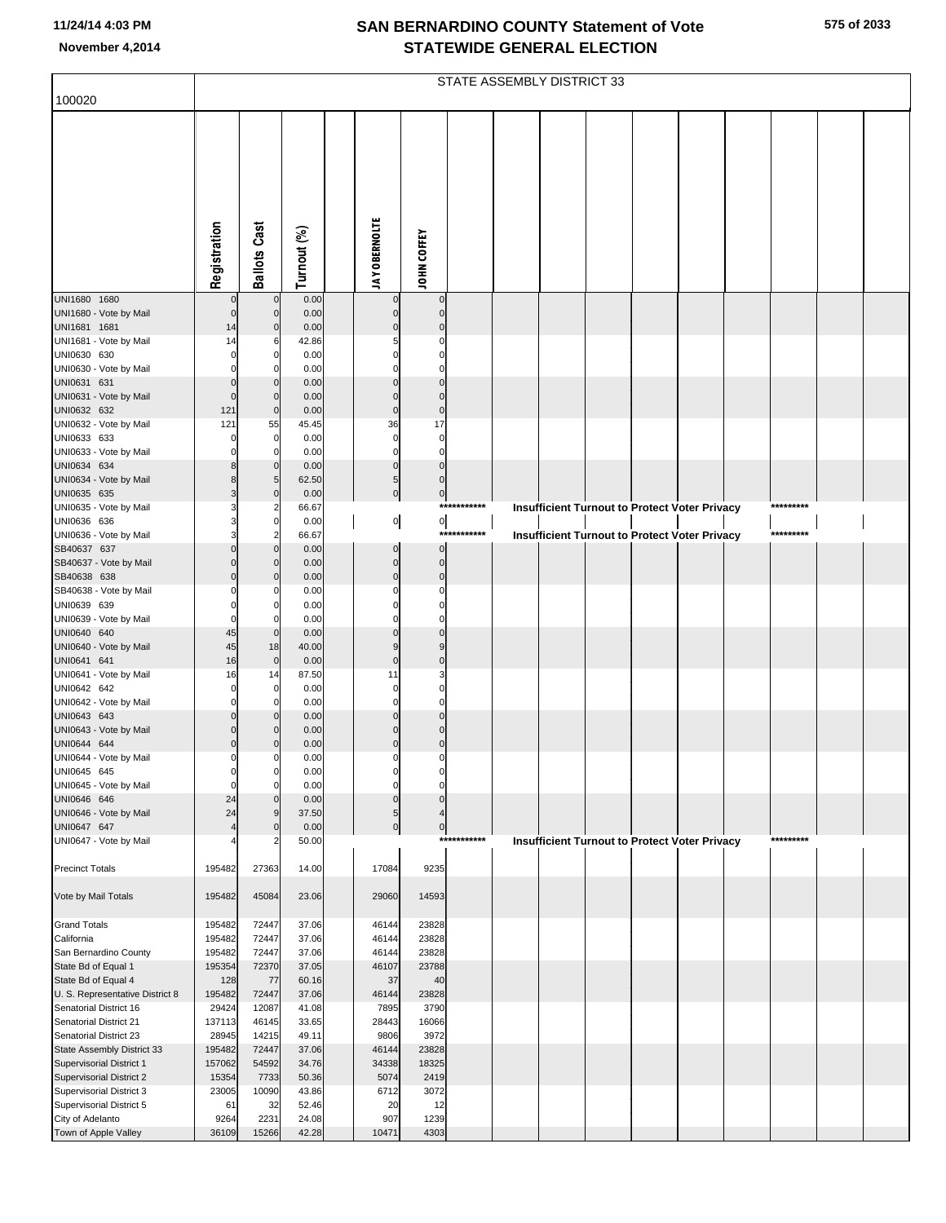|                                                        | STATE ASSEMBLY DISTRICT 33 |                           |                |                      |                                                   |                  |  |                                                      |  |  |  |  |           |  |  |
|--------------------------------------------------------|----------------------------|---------------------------|----------------|----------------------|---------------------------------------------------|------------------|--|------------------------------------------------------|--|--|--|--|-----------|--|--|
| 100020                                                 |                            |                           |                |                      |                                                   |                  |  |                                                      |  |  |  |  |           |  |  |
|                                                        | Registration               | <b>Ballots Cast</b>       | Turnout (%)    | <b>JAY OBERNOLTE</b> | <b>JOHN COFFEY</b>                                |                  |  |                                                      |  |  |  |  |           |  |  |
| UNI1680 1680                                           | $\mathbf 0$                | $\mathbf 0$               | 0.00           |                      | $\pmb{0}$<br>0                                    |                  |  |                                                      |  |  |  |  |           |  |  |
| UNI1680 - Vote by Mail                                 | $\mathbf 0$                | $\Omega$<br>$\mathcal{C}$ | 0.00           |                      | $\pmb{0}$<br>$\mathbf 0$<br>$\pmb{0}$<br>$\Omega$ |                  |  |                                                      |  |  |  |  |           |  |  |
| UNI1681 1681<br>UNI1681 - Vote by Mail                 | 14<br>14                   | 6                         | 0.00<br>42.86  |                      | $\mathbf 0$                                       |                  |  |                                                      |  |  |  |  |           |  |  |
| UNI0630 630                                            | $\Omega$                   | $\mathbf 0$               | 0.00           |                      | $\mathbf 0$<br>$\Omega$                           |                  |  |                                                      |  |  |  |  |           |  |  |
| UNI0630 - Vote by Mail                                 | $\Omega$                   | C                         | 0.00           |                      | $\mathbf 0$                                       |                  |  |                                                      |  |  |  |  |           |  |  |
| UNI0631 631                                            | $\Omega$                   | $\mathsf{C}$              | 0.00           |                      | $\mathbf 0$<br>$\Omega$                           |                  |  |                                                      |  |  |  |  |           |  |  |
| UNI0631 - Vote by Mail                                 | $\Omega$                   | $\mathbf 0$               | 0.00           |                      | $\pmb{0}$<br>$\mathbf 0$                          |                  |  |                                                      |  |  |  |  |           |  |  |
| UNI0632 632                                            | 121                        | $\mathbf 0$               | 0.00           |                      | $\mathbf 0$<br>$\pmb{0}$                          |                  |  |                                                      |  |  |  |  |           |  |  |
| UNI0632 - Vote by Mail<br>UNI0633 633                  | 121<br>$\Omega$            | 55<br>$\mathbf 0$         | 45.45<br>0.00  |                      | 17<br>36<br>$\pmb{0}$<br>$\Omega$                 |                  |  |                                                      |  |  |  |  |           |  |  |
| UNI0633 - Vote by Mail                                 |                            | C                         | 0.00           |                      | $\mathbf 0$<br>$\Omega$                           |                  |  |                                                      |  |  |  |  |           |  |  |
| UNI0634 634                                            | 8                          | $\mathbf 0$               | 0.00           |                      | $\pmb{0}$<br>$\pmb{0}$                            |                  |  |                                                      |  |  |  |  |           |  |  |
| UNI0634 - Vote by Mail                                 | 8                          | 5                         | 62.50          |                      | $\pmb{0}$<br>$\sqrt{5}$                           |                  |  |                                                      |  |  |  |  |           |  |  |
| UNI0635 635                                            | 3                          | $\mathbf 0$               | 0.00           |                      | $\circ$<br>$\overline{0}$                         |                  |  |                                                      |  |  |  |  |           |  |  |
| UNI0635 - Vote by Mail<br>UNI0636 636                  |                            | 2<br>$\mathbf 0$          | 66.67<br>0.00  |                      |                                                   | ***********      |  | <b>Insufficient Turnout to Protect Voter Privacy</b> |  |  |  |  | ********* |  |  |
| UNI0636 - Vote by Mail                                 |                            | 2                         | 66.67          |                      | 이<br>$\overline{0}$                               | *******<br>$***$ |  | <b>Insufficient Turnout to Protect Voter Privacy</b> |  |  |  |  | ********* |  |  |
| SB40637 637                                            | $\Omega$                   | $\Omega$                  | 0.00           |                      | $\overline{0}$<br>$\pmb{0}$                       |                  |  |                                                      |  |  |  |  |           |  |  |
| SB40637 - Vote by Mail                                 | $\Omega$                   | $\mathcal{C}$             | 0.00           |                      | $\overline{0}$<br>$\pmb{0}$                       |                  |  |                                                      |  |  |  |  |           |  |  |
| SB40638 638                                            | $\Omega$                   | $\mathsf{C}$              | 0.00           |                      | $\pmb{0}$<br>$\mathbf 0$                          |                  |  |                                                      |  |  |  |  |           |  |  |
| SB40638 - Vote by Mail                                 |                            | C                         | 0.00           |                      | $\pmb{0}$<br>$\Omega$                             |                  |  |                                                      |  |  |  |  |           |  |  |
| UNI0639 639<br>UNI0639 - Vote by Mail                  | $\Omega$<br>$\Omega$       | $\Omega$<br>C             | 0.00<br>0.00   |                      | $\mathbf 0$<br>$\Omega$<br>$\mathbf 0$            |                  |  |                                                      |  |  |  |  |           |  |  |
| UNI0640 640                                            | 45                         | $\mathbf{0}$              | 0.00           |                      | $\mathbf 0$<br>$\Omega$                           |                  |  |                                                      |  |  |  |  |           |  |  |
| UNI0640 - Vote by Mail                                 | 45                         | 18                        | 40.00          |                      | 9<br>9                                            |                  |  |                                                      |  |  |  |  |           |  |  |
| UNI0641 641                                            | 16                         | $\mathbf 0$               | 0.00           |                      | $\pmb{0}$<br>$\pmb{0}$                            |                  |  |                                                      |  |  |  |  |           |  |  |
| UNI0641 - Vote by Mail                                 | 16                         | 14                        | 87.50          |                      | 3<br>11                                           |                  |  |                                                      |  |  |  |  |           |  |  |
| UNI0642 642<br>UNI0642 - Vote by Mail                  | $\Omega$<br>$\Omega$       | $\mathbf 0$<br>C          | 0.00<br>0.00   |                      | $\mathbf 0$<br>0<br>$\mathbf 0$<br>$\Omega$       |                  |  |                                                      |  |  |  |  |           |  |  |
| UNI0643 643                                            | $\Omega$                   | $\mathsf{C}$              | 0.00           |                      | $\mathbf 0$<br>$\mathbf 0$                        |                  |  |                                                      |  |  |  |  |           |  |  |
| UNI0643 - Vote by Mail                                 | $\Omega$                   | C                         | 0.00           |                      | $\pmb{0}$<br>$\mathbf 0$                          |                  |  |                                                      |  |  |  |  |           |  |  |
| UNI0644 644                                            | $\Omega$                   | C                         | 0.00           |                      | $\pmb{0}$<br>$\pmb{0}$                            |                  |  |                                                      |  |  |  |  |           |  |  |
| UNI0644 - Vote by Mail                                 | $\Omega$                   | C                         | 0.00           |                      | $\pmb{0}$<br>0                                    |                  |  |                                                      |  |  |  |  |           |  |  |
| UNI0645 645<br>UNI0645 - Vote by Mail                  | 0<br>$\mathbf 0$           | 0<br>$\Omega$             | 0.00<br>0.00   |                      | 0<br>$\mathbf 0$<br>0                             |                  |  |                                                      |  |  |  |  |           |  |  |
| UNI0646 646                                            | 24                         |                           | 0.00           |                      | $\mathbf 0$<br>$\pmb{0}$                          |                  |  |                                                      |  |  |  |  |           |  |  |
| UNI0646 - Vote by Mail                                 | 24                         | $\overline{c}$            | 37.50          |                      | $\sqrt{5}$<br>$\overline{\mathcal{L}}$            |                  |  |                                                      |  |  |  |  |           |  |  |
| UNI0647 647                                            |                            | $\mathsf{C}$              | 0.00           |                      | $\overline{0}$<br>$\overline{0}$                  |                  |  |                                                      |  |  |  |  |           |  |  |
| UNI0647 - Vote by Mail                                 |                            |                           | 50.00          |                      |                                                   | ***********      |  | Insufficient Turnout to Protect Voter Privacy        |  |  |  |  | ********* |  |  |
| <b>Precinct Totals</b>                                 | 195482                     | 27363                     | 14.00          | 17084                | 9235                                              |                  |  |                                                      |  |  |  |  |           |  |  |
| Vote by Mail Totals                                    | 195482                     | 45084                     | 23.06          | 29060                | 14593                                             |                  |  |                                                      |  |  |  |  |           |  |  |
| <b>Grand Totals</b>                                    | 195482                     | 72447                     | 37.06          | 46144                | 23828                                             |                  |  |                                                      |  |  |  |  |           |  |  |
| California                                             | 195482                     | 72447                     | 37.06          | 46144                | 23828                                             |                  |  |                                                      |  |  |  |  |           |  |  |
| San Bernardino County                                  | 195482                     | 72447                     | 37.06<br>37.05 | 46144                | 23828                                             |                  |  |                                                      |  |  |  |  |           |  |  |
| State Bd of Equal 1<br>State Bd of Equal 4             | 195354<br>128              | 72370<br>77               | 60.16          | 46107                | 23788<br>37<br>40                                 |                  |  |                                                      |  |  |  |  |           |  |  |
| U. S. Representative District 8                        | 195482                     | 72447                     | 37.06          | 46144                | 23828                                             |                  |  |                                                      |  |  |  |  |           |  |  |
| Senatorial District 16                                 | 29424                      | 12087                     | 41.08          | 7895                 | 3790                                              |                  |  |                                                      |  |  |  |  |           |  |  |
| Senatorial District 21                                 | 137113                     | 46145                     | 33.65          | 28443                | 16066                                             |                  |  |                                                      |  |  |  |  |           |  |  |
| Senatorial District 23                                 | 28945                      | 14215                     | 49.11          | 9806                 | 3972                                              |                  |  |                                                      |  |  |  |  |           |  |  |
| State Assembly District 33<br>Supervisorial District 1 | 195482<br>157062           | 72447<br>54592            | 37.06<br>34.76 | 46144<br>34338       | 23828<br>18325                                    |                  |  |                                                      |  |  |  |  |           |  |  |
| Supervisorial District 2                               | 15354                      | 7733                      | 50.36          | 5074                 | 2419                                              |                  |  |                                                      |  |  |  |  |           |  |  |
| Supervisorial District 3                               | 23005                      | 10090                     | 43.86          | 6712                 | 3072                                              |                  |  |                                                      |  |  |  |  |           |  |  |
| Supervisorial District 5                               | 61                         | 32                        | 52.46          |                      | 20<br>12                                          |                  |  |                                                      |  |  |  |  |           |  |  |
| City of Adelanto                                       | 9264                       | 2231                      | 24.08          | 907                  | 1239                                              |                  |  |                                                      |  |  |  |  |           |  |  |
| Town of Apple Valley                                   | 36109                      | 15266                     | 42.28          | 10471                | 4303                                              |                  |  |                                                      |  |  |  |  |           |  |  |